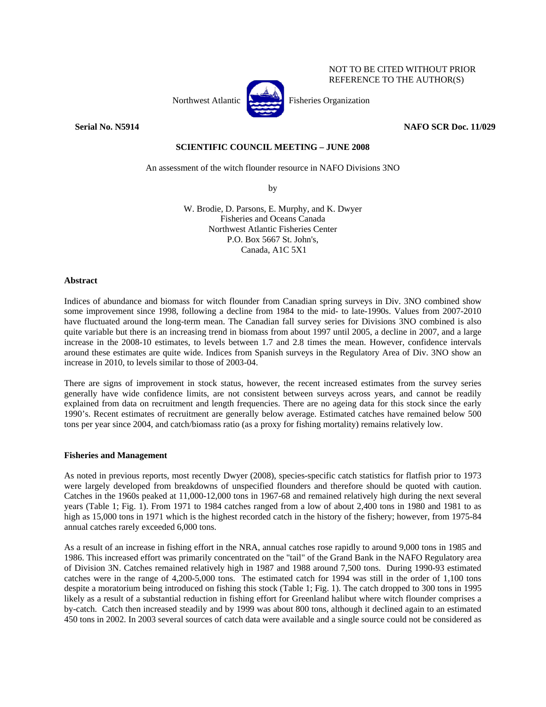

### **Serial No. N5914 NAFO SCR Doc. 11/029**

NOT TO BE CITED WITHOUT PRIOR REFERENCE TO THE AUTHOR(S)

## **SCIENTIFIC COUNCIL MEETING – JUNE 2008**

An assessment of the witch flounder resource in NAFO Divisions 3NO

by

W. Brodie, D. Parsons, E. Murphy, and K. Dwyer Fisheries and Oceans Canada Northwest Atlantic Fisheries Center P.O. Box 5667 St. John's, Canada, A1C 5X1

#### **Abstract**

Indices of abundance and biomass for witch flounder from Canadian spring surveys in Div. 3NO combined show some improvement since 1998, following a decline from 1984 to the mid- to late-1990s. Values from 2007-2010 have fluctuated around the long-term mean. The Canadian fall survey series for Divisions 3NO combined is also quite variable but there is an increasing trend in biomass from about 1997 until 2005, a decline in 2007, and a large increase in the 2008-10 estimates, to levels between 1.7 and 2.8 times the mean. However, confidence intervals around these estimates are quite wide. Indices from Spanish surveys in the Regulatory Area of Div. 3NO show an increase in 2010, to levels similar to those of 2003-04.

There are signs of improvement in stock status, however, the recent increased estimates from the survey series generally have wide confidence limits, are not consistent between surveys across years, and cannot be readily explained from data on recruitment and length frequencies. There are no ageing data for this stock since the early 1990's. Recent estimates of recruitment are generally below average. Estimated catches have remained below 500 tons per year since 2004, and catch/biomass ratio (as a proxy for fishing mortality) remains relatively low.

#### **Fisheries and Management**

As noted in previous reports, most recently Dwyer (2008), species-specific catch statistics for flatfish prior to 1973 were largely developed from breakdowns of unspecified flounders and therefore should be quoted with caution. Catches in the 1960s peaked at 11,000-12,000 tons in 1967-68 and remained relatively high during the next several years (Table 1; Fig. 1). From 1971 to 1984 catches ranged from a low of about 2,400 tons in 1980 and 1981 to as high as 15,000 tons in 1971 which is the highest recorded catch in the history of the fishery; however, from 1975-84 annual catches rarely exceeded 6,000 tons.

As a result of an increase in fishing effort in the NRA, annual catches rose rapidly to around 9,000 tons in 1985 and 1986. This increased effort was primarily concentrated on the "tail" of the Grand Bank in the NAFO Regulatory area of Division 3N. Catches remained relatively high in 1987 and 1988 around 7,500 tons. During 1990-93 estimated catches were in the range of 4,200-5,000 tons. The estimated catch for 1994 was still in the order of 1,100 tons despite a moratorium being introduced on fishing this stock (Table 1; Fig. 1). The catch dropped to 300 tons in 1995 likely as a result of a substantial reduction in fishing effort for Greenland halibut where witch flounder comprises a by-catch. Catch then increased steadily and by 1999 was about 800 tons, although it declined again to an estimated 450 tons in 2002. In 2003 several sources of catch data were available and a single source could not be considered as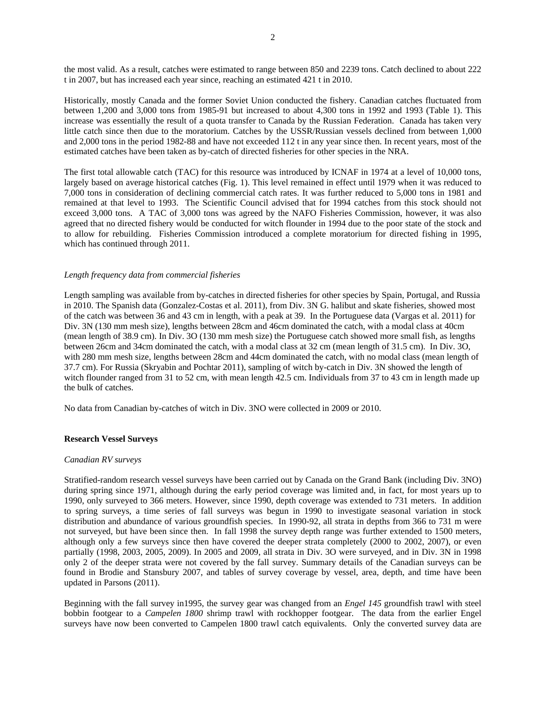the most valid. As a result, catches were estimated to range between 850 and 2239 tons. Catch declined to about 222 t in 2007, but has increased each year since, reaching an estimated 421 t in 2010.

Historically, mostly Canada and the former Soviet Union conducted the fishery. Canadian catches fluctuated from between 1,200 and 3,000 tons from 1985-91 but increased to about 4,300 tons in 1992 and 1993 (Table 1). This increase was essentially the result of a quota transfer to Canada by the Russian Federation. Canada has taken very little catch since then due to the moratorium. Catches by the USSR/Russian vessels declined from between 1,000 and 2,000 tons in the period 1982-88 and have not exceeded 112 t in any year since then. In recent years, most of the estimated catches have been taken as by-catch of directed fisheries for other species in the NRA.

The first total allowable catch (TAC) for this resource was introduced by ICNAF in 1974 at a level of 10,000 tons, largely based on average historical catches (Fig. 1). This level remained in effect until 1979 when it was reduced to 7,000 tons in consideration of declining commercial catch rates. It was further reduced to 5,000 tons in 1981 and remained at that level to 1993. The Scientific Council advised that for 1994 catches from this stock should not exceed 3,000 tons. A TAC of 3,000 tons was agreed by the NAFO Fisheries Commission, however, it was also agreed that no directed fishery would be conducted for witch flounder in 1994 due to the poor state of the stock and to allow for rebuilding. Fisheries Commission introduced a complete moratorium for directed fishing in 1995, which has continued through 2011.

#### *Length frequency data from commercial fisheries*

Length sampling was available from by-catches in directed fisheries for other species by Spain, Portugal, and Russia in 2010. The Spanish data (Gonzalez-Costas et al. 2011), from Div. 3N G. halibut and skate fisheries, showed most of the catch was between 36 and 43 cm in length, with a peak at 39. In the Portuguese data (Vargas et al. 2011) for Div. 3N (130 mm mesh size), lengths between 28cm and 46cm dominated the catch, with a modal class at 40cm (mean length of 38.9 cm). In Div. 3O (130 mm mesh size) the Portuguese catch showed more small fish, as lengths between 26cm and 34cm dominated the catch, with a modal class at 32 cm (mean length of 31.5 cm). In Div. 3O, with 280 mm mesh size, lengths between 28cm and 44cm dominated the catch, with no modal class (mean length of 37.7 cm). For Russia (Skryabin and Pochtar 2011), sampling of witch by-catch in Div. 3N showed the length of witch flounder ranged from 31 to 52 cm, with mean length 42.5 cm. Individuals from 37 to 43 cm in length made up the bulk of catches.

No data from Canadian by-catches of witch in Div. 3NO were collected in 2009 or 2010.

#### **Research Vessel Surveys**

#### *Canadian RV surveys*

Stratified-random research vessel surveys have been carried out by Canada on the Grand Bank (including Div. 3NO) during spring since 1971, although during the early period coverage was limited and, in fact, for most years up to 1990, only surveyed to 366 meters. However, since 1990, depth coverage was extended to 731 meters. In addition to spring surveys, a time series of fall surveys was begun in 1990 to investigate seasonal variation in stock distribution and abundance of various groundfish species. In 1990-92, all strata in depths from 366 to 731 m were not surveyed, but have been since then. In fall 1998 the survey depth range was further extended to 1500 meters, although only a few surveys since then have covered the deeper strata completely (2000 to 2002, 2007), or even partially (1998, 2003, 2005, 2009). In 2005 and 2009, all strata in Div. 3O were surveyed, and in Div. 3N in 1998 only 2 of the deeper strata were not covered by the fall survey. Summary details of the Canadian surveys can be found in Brodie and Stansbury 2007, and tables of survey coverage by vessel, area, depth, and time have been updated in Parsons (2011).

Beginning with the fall survey in1995, the survey gear was changed from an *Engel 145* groundfish trawl with steel bobbin footgear to a *Campelen 1800* shrimp trawl with rockhopper footgear. The data from the earlier Engel surveys have now been converted to Campelen 1800 trawl catch equivalents. Only the converted survey data are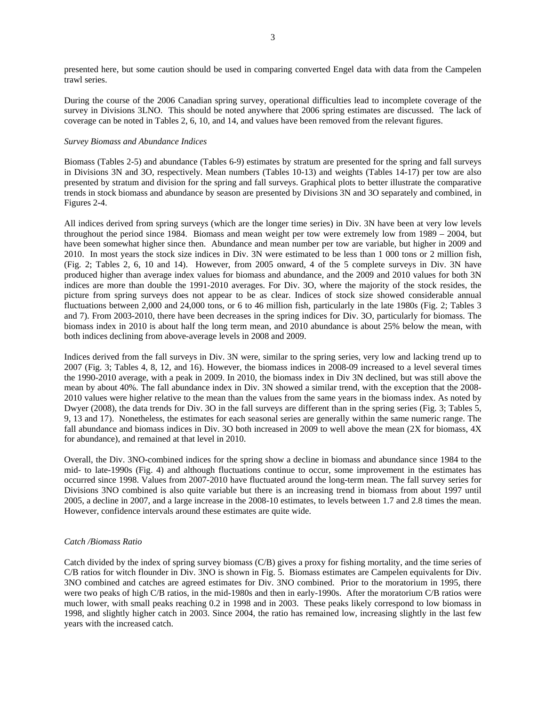presented here, but some caution should be used in comparing converted Engel data with data from the Campelen trawl series.

During the course of the 2006 Canadian spring survey, operational difficulties lead to incomplete coverage of the survey in Divisions 3LNO. This should be noted anywhere that 2006 spring estimates are discussed. The lack of coverage can be noted in Tables 2, 6, 10, and 14, and values have been removed from the relevant figures.

## *Survey Biomass and Abundance Indices*

Biomass (Tables 2-5) and abundance (Tables 6-9) estimates by stratum are presented for the spring and fall surveys in Divisions 3N and 3O, respectively. Mean numbers (Tables 10-13) and weights (Tables 14-17) per tow are also presented by stratum and division for the spring and fall surveys. Graphical plots to better illustrate the comparative trends in stock biomass and abundance by season are presented by Divisions 3N and 3O separately and combined, in Figures 2-4.

All indices derived from spring surveys (which are the longer time series) in Div. 3N have been at very low levels throughout the period since 1984. Biomass and mean weight per tow were extremely low from 1989 – 2004, but have been somewhat higher since then. Abundance and mean number per tow are variable, but higher in 2009 and 2010. In most years the stock size indices in Div. 3N were estimated to be less than 1 000 tons or 2 million fish, (Fig. 2; Tables 2, 6, 10 and 14). However, from 2005 onward, 4 of the 5 complete surveys in Div. 3N have produced higher than average index values for biomass and abundance, and the 2009 and 2010 values for both 3N indices are more than double the 1991-2010 averages. For Div. 3O, where the majority of the stock resides, the picture from spring surveys does not appear to be as clear. Indices of stock size showed considerable annual fluctuations between 2,000 and 24,000 tons, or 6 to 46 million fish, particularly in the late 1980s (Fig. 2; Tables 3 and 7). From 2003-2010, there have been decreases in the spring indices for Div. 3O, particularly for biomass. The biomass index in 2010 is about half the long term mean, and 2010 abundance is about 25% below the mean, with both indices declining from above-average levels in 2008 and 2009.

Indices derived from the fall surveys in Div. 3N were, similar to the spring series, very low and lacking trend up to 2007 (Fig. 3; Tables 4, 8, 12, and 16). However, the biomass indices in 2008-09 increased to a level several times the 1990-2010 average, with a peak in 2009. In 2010, the biomass index in Div 3N declined, but was still above the mean by about 40%. The fall abundance index in Div. 3N showed a similar trend, with the exception that the 2008- 2010 values were higher relative to the mean than the values from the same years in the biomass index. As noted by Dwyer (2008), the data trends for Div. 3O in the fall surveys are different than in the spring series (Fig. 3; Tables 5, 9, 13 and 17). Nonetheless, the estimates for each seasonal series are generally within the same numeric range. The fall abundance and biomass indices in Div. 3O both increased in 2009 to well above the mean (2X for biomass, 4X for abundance), and remained at that level in 2010.

Overall, the Div. 3NO-combined indices for the spring show a decline in biomass and abundance since 1984 to the mid- to late-1990s (Fig. 4) and although fluctuations continue to occur, some improvement in the estimates has occurred since 1998. Values from 2007-2010 have fluctuated around the long-term mean. The fall survey series for Divisions 3NO combined is also quite variable but there is an increasing trend in biomass from about 1997 until 2005, a decline in 2007, and a large increase in the 2008-10 estimates, to levels between 1.7 and 2.8 times the mean. However, confidence intervals around these estimates are quite wide.

#### *Catch /Biomass Ratio*

Catch divided by the index of spring survey biomass (C/B) gives a proxy for fishing mortality, and the time series of C/B ratios for witch flounder in Div. 3NO is shown in Fig. 5. Biomass estimates are Campelen equivalents for Div. 3NO combined and catches are agreed estimates for Div. 3NO combined. Prior to the moratorium in 1995, there were two peaks of high C/B ratios, in the mid-1980s and then in early-1990s. After the moratorium C/B ratios were much lower, with small peaks reaching 0.2 in 1998 and in 2003. These peaks likely correspond to low biomass in 1998, and slightly higher catch in 2003. Since 2004, the ratio has remained low, increasing slightly in the last few years with the increased catch.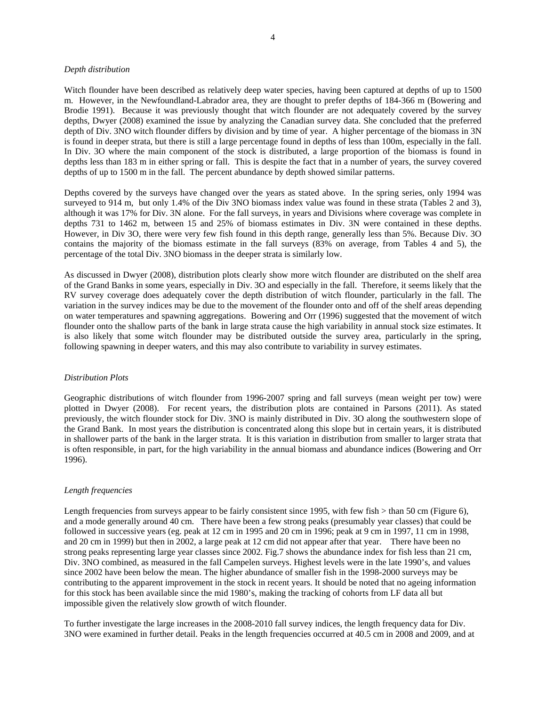#### *Depth distribution*

Witch flounder have been described as relatively deep water species, having been captured at depths of up to 1500 m. However, in the Newfoundland-Labrador area, they are thought to prefer depths of 184-366 m (Bowering and Brodie 1991). Because it was previously thought that witch flounder are not adequately covered by the survey depths, Dwyer (2008) examined the issue by analyzing the Canadian survey data. She concluded that the preferred depth of Div. 3NO witch flounder differs by division and by time of year. A higher percentage of the biomass in 3N is found in deeper strata, but there is still a large percentage found in depths of less than 100m, especially in the fall. In Div. 3O where the main component of the stock is distributed, a large proportion of the biomass is found in depths less than 183 m in either spring or fall. This is despite the fact that in a number of years, the survey covered depths of up to 1500 m in the fall. The percent abundance by depth showed similar patterns.

Depths covered by the surveys have changed over the years as stated above. In the spring series, only 1994 was surveyed to 914 m, but only 1.4% of the Div 3NO biomass index value was found in these strata (Tables 2 and 3), although it was 17% for Div. 3N alone. For the fall surveys, in years and Divisions where coverage was complete in depths 731 to 1462 m, between 15 and 25% of biomass estimates in Div. 3N were contained in these depths. However, in Div 3O, there were very few fish found in this depth range, generally less than 5%. Because Div. 3O contains the majority of the biomass estimate in the fall surveys (83% on average, from Tables 4 and 5), the percentage of the total Div. 3NO biomass in the deeper strata is similarly low.

As discussed in Dwyer (2008), distribution plots clearly show more witch flounder are distributed on the shelf area of the Grand Banks in some years, especially in Div. 3O and especially in the fall. Therefore, it seems likely that the RV survey coverage does adequately cover the depth distribution of witch flounder, particularly in the fall. The variation in the survey indices may be due to the movement of the flounder onto and off of the shelf areas depending on water temperatures and spawning aggregations. Bowering and Orr (1996) suggested that the movement of witch flounder onto the shallow parts of the bank in large strata cause the high variability in annual stock size estimates. It is also likely that some witch flounder may be distributed outside the survey area, particularly in the spring, following spawning in deeper waters, and this may also contribute to variability in survey estimates.

#### *Distribution Plots*

Geographic distributions of witch flounder from 1996-2007 spring and fall surveys (mean weight per tow) were plotted in Dwyer (2008). For recent years, the distribution plots are contained in Parsons (2011). As stated previously, the witch flounder stock for Div. 3NO is mainly distributed in Div. 3O along the southwestern slope of the Grand Bank. In most years the distribution is concentrated along this slope but in certain years, it is distributed in shallower parts of the bank in the larger strata. It is this variation in distribution from smaller to larger strata that is often responsible, in part, for the high variability in the annual biomass and abundance indices (Bowering and Orr 1996).

#### *Length frequencies*

Length frequencies from surveys appear to be fairly consistent since 1995, with few fish > than 50 cm (Figure 6), and a mode generally around 40 cm. There have been a few strong peaks (presumably year classes) that could be followed in successive years (eg. peak at 12 cm in 1995 and 20 cm in 1996; peak at 9 cm in 1997, 11 cm in 1998, and 20 cm in 1999) but then in 2002, a large peak at 12 cm did not appear after that year. There have been no strong peaks representing large year classes since 2002. Fig.7 shows the abundance index for fish less than 21 cm, Div. 3NO combined, as measured in the fall Campelen surveys. Highest levels were in the late 1990's, and values since 2002 have been below the mean. The higher abundance of smaller fish in the 1998-2000 surveys may be contributing to the apparent improvement in the stock in recent years. It should be noted that no ageing information for this stock has been available since the mid 1980's, making the tracking of cohorts from LF data all but impossible given the relatively slow growth of witch flounder.

To further investigate the large increases in the 2008-2010 fall survey indices, the length frequency data for Div. 3NO were examined in further detail. Peaks in the length frequencies occurred at 40.5 cm in 2008 and 2009, and at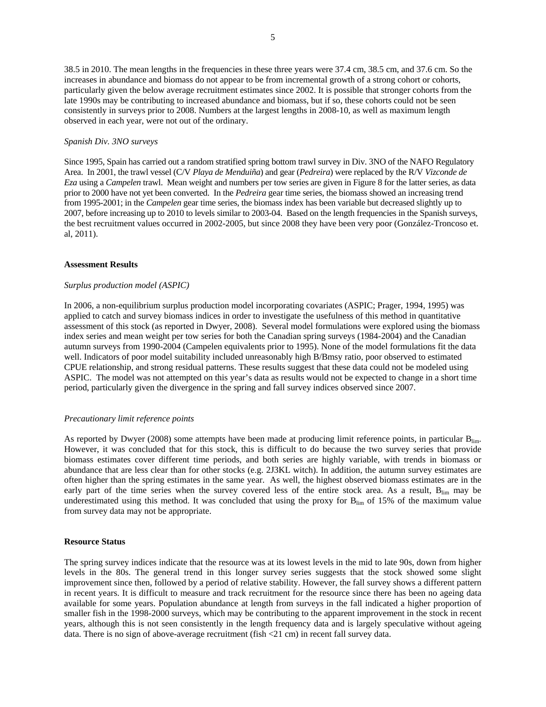38.5 in 2010. The mean lengths in the frequencies in these three years were 37.4 cm, 38.5 cm, and 37.6 cm. So the increases in abundance and biomass do not appear to be from incremental growth of a strong cohort or cohorts, particularly given the below average recruitment estimates since 2002. It is possible that stronger cohorts from the late 1990s may be contributing to increased abundance and biomass, but if so, these cohorts could not be seen consistently in surveys prior to 2008. Numbers at the largest lengths in 2008-10, as well as maximum length observed in each year, were not out of the ordinary.

## *Spanish Div. 3NO surveys*

Since 1995, Spain has carried out a random stratified spring bottom trawl survey in Div. 3NO of the NAFO Regulatory Area. In 2001, the trawl vessel (C/V *Playa de Menduiña*) and gear (*Pedreira*) were replaced by the R/V *Vizconde de Eza* using a *Campelen* trawl. Mean weight and numbers per tow series are given in Figure 8 for the latter series, as data prior to 2000 have not yet been converted. In the *Pedreira* gear time series, the biomass showed an increasing trend from 1995-2001; in the *Campelen* gear time series, the biomass index has been variable but decreased slightly up to 2007, before increasing up to 2010 to levels similar to 2003-04. Based on the length frequencies in the Spanish surveys, the best recruitment values occurred in 2002-2005, but since 2008 they have been very poor (González-Troncoso et. al, 2011).

#### **Assessment Results**

#### *Surplus production model (ASPIC)*

In 2006, a non-equilibrium surplus production model incorporating covariates (ASPIC; Prager, 1994, 1995) was applied to catch and survey biomass indices in order to investigate the usefulness of this method in quantitative assessment of this stock (as reported in Dwyer, 2008). Several model formulations were explored using the biomass index series and mean weight per tow series for both the Canadian spring surveys (1984-2004) and the Canadian autumn surveys from 1990-2004 (Campelen equivalents prior to 1995). None of the model formulations fit the data well. Indicators of poor model suitability included unreasonably high B/Bmsy ratio, poor observed to estimated CPUE relationship, and strong residual patterns. These results suggest that these data could not be modeled using ASPIC. The model was not attempted on this year's data as results would not be expected to change in a short time period, particularly given the divergence in the spring and fall survey indices observed since 2007.

#### *Precautionary limit reference points*

As reported by Dwyer (2008) some attempts have been made at producing limit reference points, in particular B<sub>lim</sub>. However, it was concluded that for this stock, this is difficult to do because the two survey series that provide biomass estimates cover different time periods, and both series are highly variable, with trends in biomass or abundance that are less clear than for other stocks (e.g. 2J3KL witch). In addition, the autumn survey estimates are often higher than the spring estimates in the same year. As well, the highest observed biomass estimates are in the early part of the time series when the survey covered less of the entire stock area. As a result, Blim may be underestimated using this method. It was concluded that using the proxy for B<sub>lim</sub> of 15% of the maximum value from survey data may not be appropriate.

#### **Resource Status**

The spring survey indices indicate that the resource was at its lowest levels in the mid to late 90s, down from higher levels in the 80s. The general trend in this longer survey series suggests that the stock showed some slight improvement since then, followed by a period of relative stability. However, the fall survey shows a different pattern in recent years. It is difficult to measure and track recruitment for the resource since there has been no ageing data available for some years. Population abundance at length from surveys in the fall indicated a higher proportion of smaller fish in the 1998-2000 surveys, which may be contributing to the apparent improvement in the stock in recent years, although this is not seen consistently in the length frequency data and is largely speculative without ageing data. There is no sign of above-average recruitment (fish <21 cm) in recent fall survey data.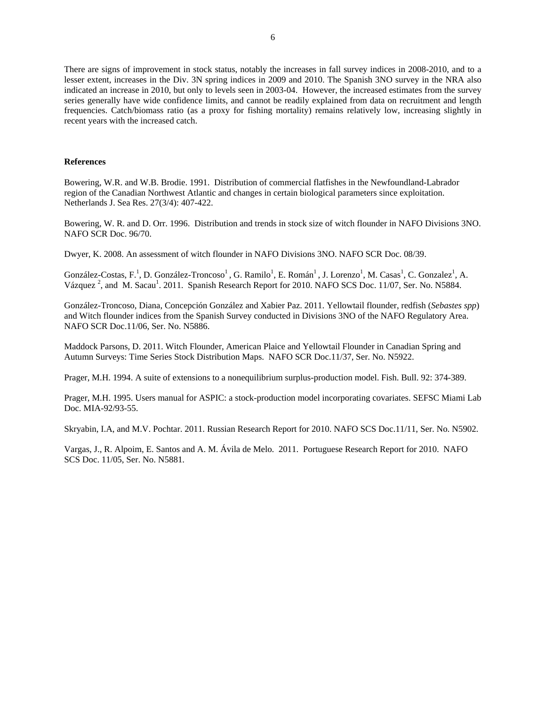There are signs of improvement in stock status, notably the increases in fall survey indices in 2008-2010, and to a lesser extent, increases in the Div. 3N spring indices in 2009 and 2010. The Spanish 3NO survey in the NRA also indicated an increase in 2010, but only to levels seen in 2003-04. However, the increased estimates from the survey series generally have wide confidence limits, and cannot be readily explained from data on recruitment and length frequencies. Catch/biomass ratio (as a proxy for fishing mortality) remains relatively low, increasing slightly in recent years with the increased catch.

#### **References**

Bowering, W.R. and W.B. Brodie. 1991. Distribution of commercial flatfishes in the Newfoundland-Labrador region of the Canadian Northwest Atlantic and changes in certain biological parameters since exploitation. Netherlands J. Sea Res. 27(3/4): 407-422.

Bowering, W. R. and D. Orr. 1996. Distribution and trends in stock size of witch flounder in NAFO Divisions 3NO. NAFO SCR Doc. 96/70.

Dwyer, K. 2008. An assessment of witch flounder in NAFO Divisions 3NO. NAFO SCR Doc. 08/39.

González-Costas, F.<sup>1</sup>, D. González-Troncoso<sup>1</sup>, G. Ramilo<sup>1</sup>, E. Román<sup>1</sup>, J. Lorenzo<sup>1</sup>, M. Casas<sup>1</sup>, C. Gonzalez<sup>1</sup>, A. Vázquez<sup>2</sup>, and M. Sacau<sup>1</sup>. 2011. Spanish Research Report for 2010. NAFO SCS Doc. 11/07, Ser. No. N5884.

González-Troncoso, Diana, Concepción González and Xabier Paz. 2011. Yellowtail flounder, redfish (*Sebastes spp*) and Witch flounder indices from the Spanish Survey conducted in Divisions 3NO of the NAFO Regulatory Area. NAFO SCR Doc.11/06, Ser. No. N5886.

Maddock Parsons, D. 2011. Witch Flounder, American Plaice and Yellowtail Flounder in Canadian Spring and Autumn Surveys: Time Series Stock Distribution Maps. NAFO SCR Doc.11/37, Ser. No. N5922.

Prager, M.H. 1994. A suite of extensions to a nonequilibrium surplus-production model. Fish. Bull. 92: 374-389.

Prager, M.H. 1995. Users manual for ASPIC: a stock-production model incorporating covariates. SEFSC Miami Lab Doc. MIA-92/93-55.

Skryabin, I.A, and M.V. Pochtar. 2011. Russian Research Report for 2010. NAFO SCS Doc.11/11, Ser. No. N5902.

Vargas, J., R. Alpoim, E. Santos and A. M. Ávila de Melo. 2011. Portuguese Research Report for 2010. NAFO SCS Doc. 11/05, Ser. No. N5881.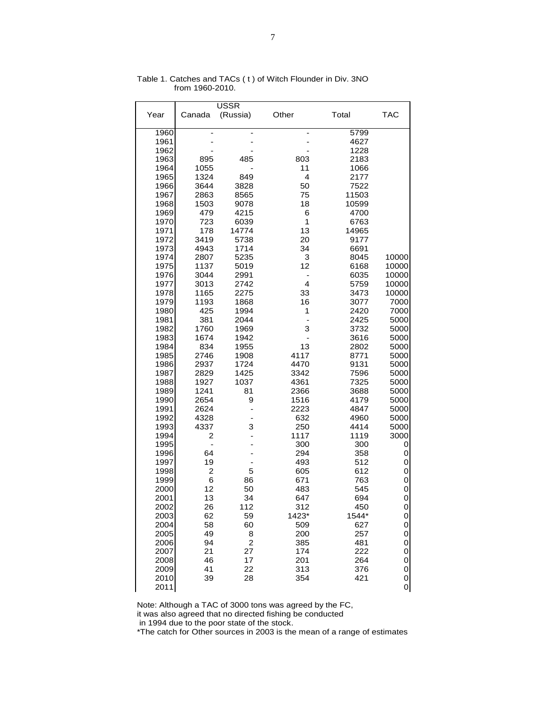|      |        | <b>USSR</b> |                          |       |            |
|------|--------|-------------|--------------------------|-------|------------|
| Year | Canada | (Russia)    | Other                    | Total | <b>TAC</b> |
| 1960 |        | -           | $\overline{a}$           | 5799  |            |
| 1961 |        |             |                          | 4627  |            |
| 1962 |        |             |                          | 1228  |            |
| 1963 | 895    | 485         | 803                      | 2183  |            |
| 1964 | 1055   |             | 11                       | 1066  |            |
| 1965 | 1324   | 849         | $\overline{4}$           | 2177  |            |
| 1966 | 3644   | 3828        | 50                       | 7522  |            |
| 1967 | 2863   | 8565        | 75                       | 11503 |            |
| 1968 | 1503   | 9078        | 18                       | 10599 |            |
| 1969 | 479    | 4215        | 6                        | 4700  |            |
| 1970 | 723    | 6039        | 1                        | 6763  |            |
| 1971 | 178    | 14774       | 13                       | 14965 |            |
| 1972 | 3419   | 5738        | 20                       | 9177  |            |
| 1973 | 4943   | 1714        | 34                       | 6691  |            |
| 1974 | 2807   | 5235        | 3                        | 8045  | 10000      |
| 1975 | 1137   | 5019        | 12                       | 6168  | 10000      |
| 1976 | 3044   | 2991        | $\overline{\phantom{0}}$ | 6035  | 10000      |
| 1977 | 3013   | 2742        | $\overline{4}$           | 5759  | 10000      |
| 1978 | 1165   | 2275        | 33                       | 3473  | 10000      |
| 1979 | 1193   | 1868        | 16                       | 3077  | 7000       |
| 1980 | 425    | 1994        | 1                        | 2420  | 7000       |
| 1981 | 381    | 2044        | $\overline{a}$           | 2425  | 5000       |
| 1982 | 1760   | 1969        | 3                        | 3732  | 5000       |
| 1983 | 1674   | 1942        |                          | 3616  | 5000       |
| 1984 | 834    | 1955        | 13                       | 2802  | 5000       |
| 1985 | 2746   | 1908        | 4117                     | 8771  | 5000       |
| 1986 | 2937   | 1724        | 4470                     | 9131  | 5000       |
| 1987 | 2829   | 1425        | 3342                     | 7596  | 5000       |
| 1988 | 1927   | 1037        | 4361                     | 7325  | 5000       |
| 1989 | 1241   | 81          | 2366                     | 3688  | 5000       |
| 1990 | 2654   | 9           | 1516                     | 4179  | 5000       |
| 1991 | 2624   |             | 2223                     | 4847  | 5000       |
| 1992 | 4328   |             | 632                      | 4960  | 5000       |
| 1993 | 4337   | 3           | 250                      | 4414  | 5000       |
| 1994 | 2      |             | 1117                     | 1119  | 3000       |
| 1995 |        |             | 300                      | 300   | 0          |
| 1996 | 64     |             | 294                      | 358   | 0          |
| 1997 | 19     |             | 493                      | 512   | 0          |
| 1998 | 2      | 5           | 605                      | 612   | 0          |
| 1999 | 6      | 86          | 671                      | 763   | 0          |
| 2000 | 12     | 50          | 483                      | 545   | 0          |
| 2001 | 13     | 34          | 647                      | 694   | 0          |
| 2002 | 26     | 112         | 312                      | 450   | 0          |
| 2003 | 62     | 59          | 1423*                    | 1544* | 0          |
| 2004 | 58     | 60          | 509                      | 627   | 0          |
| 2005 | 49     | 8           | 200                      | 257   | 0          |
| 2006 | 94     | 2           | 385                      | 481   | 0          |
| 2007 | 21     | 27          | 174                      | 222   | 0          |
| 2008 | 46     | 17          | 201                      | 264   | 0          |
| 2009 | 41     | 22          | 313                      | 376   | 0          |
| 2010 | 39     | 28          | 354                      | 421   | 0          |
| 2011 |        |             |                          |       | 0          |

Table 1. Catches and TACs ( t ) of Witch Flounder in Div. 3NO from 1960-2010.

Note: Although a TAC of 3000 tons was agreed by the FC,

it was also agreed that no directed fishing be conducted

in 1994 due to the poor state of the stock.

\*The catch for Other sources in 2003 is the mean of a range of estimates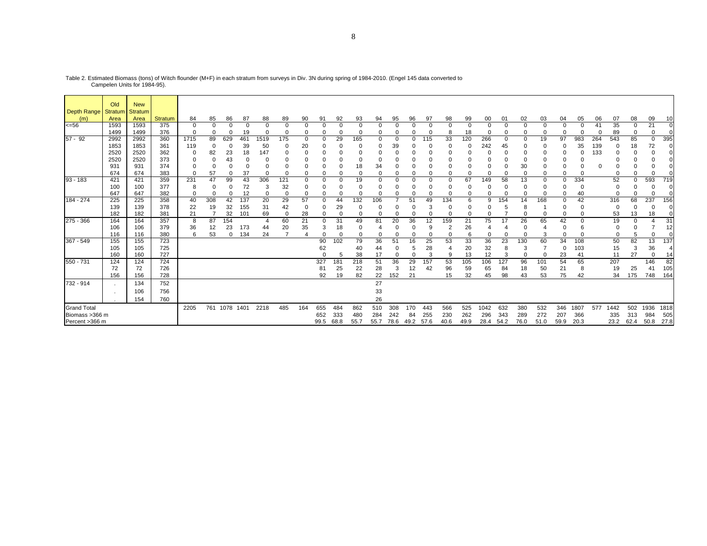|                    | Old            | <b>New</b>     |         |          |                |               |          |          |          |          |      |             |          |          |          |          |      |          |          |             |          |          |      |          |          |              |      |          |             |                |
|--------------------|----------------|----------------|---------|----------|----------------|---------------|----------|----------|----------|----------|------|-------------|----------|----------|----------|----------|------|----------|----------|-------------|----------|----------|------|----------|----------|--------------|------|----------|-------------|----------------|
| Depth Range        | <b>Stratun</b> | <b>Stratum</b> |         |          |                |               |          |          |          |          |      |             |          |          |          |          |      |          |          |             |          |          |      |          |          |              |      |          |             |                |
| (m)                | Area           | Area           | Stratum | 84       | 85             | 86            | 87       | 88       | 89       | 90       | 91   | 92          | 93       | 94       | 95       | 96       | 97   | 98       | 99       | 00          | 01       | 02       | 03   | 04       | 05       | 06           | 07   | 08       | 09          | 10             |
| $\leq$ =56         | 1593           | 1593           | 375     | 0        | $\Omega$       | $\Omega$      | $\Omega$ | $\Omega$ | $\Omega$ |          |      | $\Omega$    | $\Omega$ |          |          | 0        | O    | $\Omega$ | $\Omega$ | 0           | 0        | $\Omega$ | 0    |          | $\Omega$ | 41           | 35   | O        | 21          | $\Omega$       |
|                    | 1499           | 1499           | 376     | 0        | $\Omega$       | $\Omega$      | 19       | $\Omega$ |          |          |      | $\Omega$    | 0        |          |          | $\Omega$ |      |          | 18       | 0           |          | $\Omega$ |      |          | $\Omega$ | $\mathsf{C}$ | 89   |          | 0           |                |
| $57 - 92$          | 2992           | 2992           | 360     | 1715     | 89             | 629           | 461      | 1519     | 175      | $\Omega$ |      | 29          | 165      | $\Omega$ |          | 0        | 115  | 33       | 120      | 266         | $\Omega$ | $\Omega$ | 19   | 97       | 983      | 264          | 543  | 85       | 0           | 395            |
|                    | 1853           | 1853           | 361     | 119      | 0              | 0             | 39       | 50       |          | 20       |      | $\Omega$    | 0        |          | 39       | 0        | 0    |          |          | 242         | 45       | 0        |      |          | 35       | 139          |      | 18       | 72          |                |
|                    | 2520           | 2520           | 362     | 0        | 82             | 23            | 18       | 147      |          | 0        | 0    | $\mathbf 0$ | 0        | $\Omega$ |          | 0        |      |          | 0        | O           |          | 0        |      |          | 0        | 133          |      | 0        | $\mathbf 0$ |                |
|                    | 2520           | 2520           | 373     |          | $\Omega$       | 43            | 0        | 0        |          |          |      | $\Omega$    | 0        |          |          |          |      |          |          |             |          |          |      |          | $\Omega$ |              |      |          | 0           |                |
|                    | 931            | 931            | 374     |          | 0              |               |          | 0        |          |          |      | $\Omega$    | 18       | 34       |          | 0        |      |          |          |             |          | 30       |      |          | 0        | $\Omega$     |      |          | 0           |                |
|                    | 674            | 674            | 383     | $\Omega$ | 57             | $\Omega$      | 37       | $\Omega$ |          | $\Omega$ |      | $\Omega$    | 0        | $\Omega$ |          | $\Omega$ |      |          | $\Omega$ | $\Omega$    |          | $\Omega$ |      | $\Omega$ | $\Omega$ |              |      | U        | $\Omega$    |                |
| $93 - 183$         | 421            | 421            | 359     | 231      | 47             | 99            | 43       | 306      | 121      | $\Omega$ |      | 0           | 19       | n        |          | 0        |      | $\Omega$ | 67       | 149         | 58       | 13       | 0    | $\Omega$ | 334      |              | 52   | 0        | 593         | 719            |
|                    | 100            | 100            | 377     | 8        | 0              |               | 72       | 3        | 32       | 0        |      | $\Omega$    | 0        |          |          | 0        | 0    |          |          | 0           |          | 0        |      |          | 0        |              |      |          | 0           |                |
|                    | 647            | 647            | 382     | $\Omega$ | $\Omega$       | $\Omega$      | 12       | $\Omega$ | $\Omega$ | $\Omega$ |      | $\Omega$    | $\Omega$ | $\Omega$ | O        | $\Omega$ | U    |          | $\Omega$ | $\mathbf 0$ | $\Omega$ | $\Omega$ |      | ∩        | 40       |              | ∩    | $\Omega$ | $\Omega$    |                |
| 184 - 274          | 225            | 225            | 358     | 40       | 308            | 42            | 137      | 20       | 29       | 57       |      | 44          | 132      | 106      |          | 51       | 49   | 134      | 6        | 9           | 154      | 14       | 168  | ∩        | 42       |              | 316  | 68       | 237         | 156            |
|                    | 139            | 139            | 378     | 22       | 19             | 32            | 155      | 31       | 42       | $\Omega$ | 0    | 29          | 0        |          |          | 0        | 3    |          |          | O           | ь        | 8        |      |          | $\Omega$ |              |      | $\Omega$ | 0           |                |
|                    | 182            | 182            | 381     | 21       | $\overline{ }$ | 32            | 101      | 69       | $\Omega$ | 28       |      | $\Omega$    | 0        |          |          | 0        |      |          | $\Omega$ | $\Omega$    |          | $\Omega$ |      |          | $\Omega$ |              | 53   | 13       | 18          |                |
| 275 - 366          | 164            | 164            | 357     | 8        | 87             | 154           |          |          | 60       | 21       |      | 31          | 49       | 81       | 20       | 36       | 12   | 159      | 21       | 75          | 17       | 26       | 65   | 42       | $\Omega$ |              | 19   | $\Omega$ |             | 31             |
|                    | 106            | 106            | 379     | 36       | 12             | 23            | 173      | 44       | 20       | 35       | 3    | 18          | 0        |          | 0        | 0        | 9    | 2        | 26       | 4           |          | $\Omega$ |      |          | 6        |              |      | $\Omega$ |             | 12             |
|                    | 116            | 116            | 380     | 6        | 53             | $\Omega$      | 134      | 24       |          |          |      | $\Omega$    | $\Omega$ | $\Omega$ | 0        | 0        |      |          | 6        | $\mathbf 0$ |          | $\Omega$ | 3    | $\Omega$ | $\Omega$ |              |      | 5        | $\Omega$    |                |
| 367 - 549          | 155            | 155            | 723     |          |                |               |          |          |          |          | 90   | 102         | 79       | 36       | 51       | 16       | 25   | 53       | 33       | 36          | 23       | 130      | 60   | 34       | 108      |              | 50   | 82       | 13          | 137            |
|                    | 105            | 105            | 725     |          |                |               |          |          |          |          | 62   |             | 40       | 44       | 0        | 5        | 28   |          | 20       | 32          | 8        | 3        |      |          | 103      |              | 15   | 3        | 36          | $\overline{4}$ |
|                    | 160            | 160            | 727     |          |                |               |          |          |          |          |      | 5           | 38       | 17       | $\Omega$ | $\Omega$ | 3    | 9        | 13       | 12          | 3        | $\Omega$ | ŋ    | 23       | 41       |              | 11   | 27       | $\mathbf 0$ | 14             |
| 550 - 731          | 124            | 124            | 724     |          |                |               |          |          |          |          | 327  | 181         | 218      | 51       | 36       | 29       | 157  | 53       | 105      | 106         | 127      | 96       | 101  | 54       | 65       |              | 207  |          | 146         | 82             |
|                    | 72             | 72             | 726     |          |                |               |          |          |          |          | 81   | 25          | 22       | 28       | 3        | 12       | 42   | 96       | 59       | 65          | 84       | 18       | 50   | 21       | 8        |              | 19   | 25       | 41          | 105            |
|                    | 156            | 156            | 728     |          |                |               |          |          |          |          | 92   | 19          | 82       | 22       | 152      | 21       |      | 15       | 32       | 45          | 98       | 43       | 53   | 75       | 42       |              | 34   | 175      | 748         | 164            |
| 732 - 914          | $\sim$         | 134            | 752     |          |                |               |          |          |          |          |      |             |          | 27       |          |          |      |          |          |             |          |          |      |          |          |              |      |          |             |                |
|                    |                | 106            | 756     |          |                |               |          |          |          |          |      |             |          | 33       |          |          |      |          |          |             |          |          |      |          |          |              |      |          |             |                |
|                    | $\sim$         |                |         |          |                |               |          |          |          |          |      |             |          |          |          |          |      |          |          |             |          |          |      |          |          |              |      |          |             |                |
|                    |                | 154            | 760     |          |                |               |          |          |          |          |      |             |          | 26       |          |          |      |          |          |             |          |          |      |          |          |              |      |          |             |                |
| <b>Grand Total</b> |                |                |         | 2205     |                | 761 1078 1401 |          | 2218     | 485      | 164      | 655  | 484         | 862      | 510      | 308      | 170      | 443  | 566      | 525      | 1042        | 632      | 380      | 532  | 346      | 1807     | 577          | 1442 | 502      | 1936        | 1818           |
| Biomass > 366 m    |                |                |         |          |                |               |          |          |          |          | 652  | 333         | 480      | 284      | 242      | 84       | 255  | 230      | 262      | 296         | 343      | 289      | 272  | 207      | 366      |              | 335  | 313      | 984         | 505            |
| Percent >366 m     |                |                |         |          |                |               |          |          |          |          | 99.5 | 68.8        | 55.7     | 55.7     | 78.6     | 49.2     | 57.6 | 40.6     | 49.9     | 28.4        | 54.2     | 76.0     | 51.0 | 59.9     | 20.3     |              | 23.2 | 62.4     | 50.8        | 27.8           |

Table 2. Estimated Biomass (tons) of Witch flounder (M+F) in each stratum from surveys in Div. 3N during spring of 1984-2010. (Engel 145 data converted to Campelen Units for 1984-95).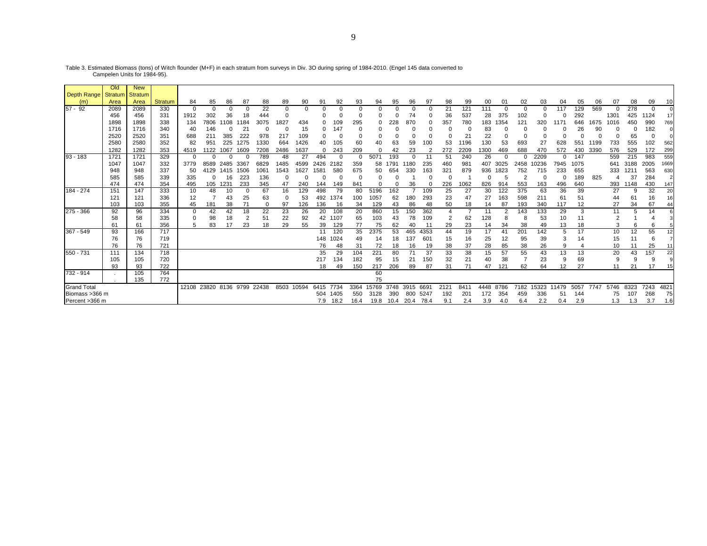|                    | Old  | <b>New</b>      |         |          |          |      |                 |      |      |       |          |      |          |            |      |              |                  |      |      |          |          |                |          |          |          |      |                  |                   |          |                 |
|--------------------|------|-----------------|---------|----------|----------|------|-----------------|------|------|-------|----------|------|----------|------------|------|--------------|------------------|------|------|----------|----------|----------------|----------|----------|----------|------|------------------|-------------------|----------|-----------------|
| Depth Range        |      | Stratum Stratum |         |          |          |      |                 |      |      |       |          |      |          |            |      |              |                  |      |      |          |          |                |          |          |          |      |                  |                   |          |                 |
| (m)                | Area | Area            | Stratum | 84       | 85       | 86   | 87              | 88   | 89   | 90    | 91       | 92   | 93       | 94         | 95   | 96           | 97               | 98   | 99   | 00       | 01       | 02             | 03       | 04       | 05       | 06   | 07               | 08                | 09       | 10 <sup>1</sup> |
| $57 - 92$          | 2089 | 2089            | 330     | $\Omega$ | $\Omega$ |      | $\Omega$        | 22   |      |       | $\Omega$ |      | $\Omega$ |            |      |              |                  | 21   | 121  | 111      | $\Omega$ | $\Omega$       | $\Omega$ | 117      | 129      | 569  |                  | 278               | $\Omega$ |                 |
|                    | 456  | 456             | 331     | 1912     | 302      | 36   | 18              | 444  |      |       |          |      |          |            |      | 74           |                  | 36   | 537  | 28       | 375      | 102            |          |          | 292      |      | 130 <sup>4</sup> | 425               | 1124     | 17              |
|                    | 1898 | 1898            | 338     | 134      | 7806     | 108  | 184             | 3075 | 1827 | 434   |          | 09   | 295      |            | 228  | 870          |                  | 357  | 780  | 183      | 1354     | 121            | 320      |          | 646      | 1675 | 1016             | 450               | 990      | 769             |
|                    | 1716 | 1716            | 340     | 40       | 146      |      | $2^.$           |      |      | 15    |          | 147  |          |            |      |              |                  |      |      | 83       |          |                |          |          | 26       | 90   |                  | 0                 | 182      |                 |
|                    | 2520 | 2520            | 351     | 688      | 211      | 385  | 222             | 978  | 217  | 109   | 0        |      |          |            |      |              |                  |      | 21   | 22       | 0        |                |          |          | $\Omega$ |      |                  | 65                | $\Omega$ |                 |
|                    | 2580 | 2580            | 352     | 82       | 951      | 225  | 1275            | 1330 | 664  | 426   | 40       | 105  | 60       | 40         | 63   | 59           | 100              | 53   | 196  | 130      | 53       | 693            | 27       | 628      | 551      | 1199 | 733              | 555               | 102      | 562             |
|                    | 1282 | 1282            | 353     | 4519     | 122      | 1067 | 1609            | 7208 | 2486 | 637   | 0        | 243  | 209      |            | 42   | 23           |                  |      | 2209 | 1300     | 469      | 688            | 470      | 572      | 430      | 3390 | 576              | 529               | 172      | 299             |
| $93 - 183$         | 1721 | 1721            | 329     | 0        |          |      | 0               | 789  | 48   | 27    | 494      |      |          | 5071       | 193  |              | 11               | 51   | 240  | 26       | $\Omega$ | $\Omega$       | 2209     | $\Omega$ | 147      |      | 559              | 215               | 983      | 559             |
|                    | 1047 | 1047            | 332     | 3779     | 8589     | 2485 | 3367            | 6829 | 1485 | 4599  | 2426     | 2182 | 359      | 58         | 179  | 1180         | 235              | 460  | 981  | 407      | 3025     | 2458           | 10236    | 7945     | 1075     |      | 641              | 3188              | 2005     | 1669            |
|                    | 948  | 948             | 337     | 50       | 4129     | 1415 | 1506            | 106' | 1543 | 627   | 1581     | 580  | 675      | 50         | 654  | 330          | 163              | 321  | 879  | 936      | 1823     | 752            | 715      | 233      | 655      |      | 333              | 121'              | 563      | 630             |
|                    | 585  | 585             | 339     | 335      | 0        | 16   | 223             | 136  |      |       |          |      |          |            |      |              |                  |      |      | $\Omega$ | 5        | $\overline{2}$ | 0        |          | 189      | 825  |                  | 37                | 284      |                 |
|                    | 474  | 474             | 354     | 495      | 105      | 1231 | 233             | 345  | 47   | 240   | 144      | 149  | 841      |            |      | 36           | 0                | 226  | 062  | 826      | 914      | 553            | 163      | 496      | 640      |      | 393              | 1148              | 430      | 147             |
| 184 - 274          | 151  | 147             | 333     | 10       | 48       | 10   | $\Omega$        | 67   | 16   | 129   | 498      | 79   | 80       | 5196       | 162  |              | 109              | 25   | 27   | 30       | 122      | 375            | 63       | 36       | 39       |      | 27               | 9                 | 32       | 20              |
|                    | 121  | 121             | 336     | 12       |          | 43   | 25              | 63   |      | 53    | 492      | 1374 | 100      | 1057       | 62   | 180          | 293              | 23   | 47   | 27       | 163      | 598            | 211      | 61       | 51       |      | 44               | 61                | 16       | 16              |
|                    | 103  | 103             | 355     | 45       | 181      | 38   | 71              |      | 97   | 126   | 136      | 16   | 34       | 129        | 43   | 86           | 48               | 50   | 18   | 14       | 87       | 193            | 340      | 117      | 12       |      | 27               | 34                | 67       | 44              |
| 275 - 366          | 92   | 96              | 334     | O        | 42       | 42   | 18              | 22   | 23   | 26    | 20       | 108  | 20       | <b>860</b> | 15   | 150          | 362              |      |      |          |          | 143            | 133      | 29       | 3        |      | 11               | 5                 | 14       |                 |
|                    | 58   | 58              | 335     |          | 98       | 18   | 2               | 51   | 22   | 92    | 42       | 1107 | 65       | 103        | 43   | 78           | 109              |      | 62   | 128      | 8        | 8              | 53       | 10       | 11       |      |                  |                   |          |                 |
|                    | 61   | 61              | 356     |          | 83       | 17   | 23              | 18   | 29   | 55    | 39       | 129  | 77       | 75         | 62   | 40           | 11               | 29   | 23   | 14       | 34       | 38             | 49       | 13       | 18       |      | 3                | 6                 | 6        |                 |
| $367 - 549$        | 93   | 166             | 717     |          |          |      |                 |      |      |       | 11       | 120  | 35       | 2375       | 53   | 465          | 4353             | 44   | 19   | 17       | 41       | 201            | 142      | 5        | 17       |      | 10               | $12 \overline{ }$ | 55       | 12              |
|                    | 76   | 76              | 719     |          |          |      |                 |      |      |       | 148      | 1024 | 49       | 14         | 18   | 137          | 601              | 15   | 16   | 25       | 12       | 95             | 39       |          | 14       |      | 15               | 11                | 6        |                 |
|                    | 76   | 76              | 721     |          |          |      |                 |      |      |       | 76       | 48   | 31       | 72         | 18   | 16           | 19               | 38   | 37   | 28       | 85       | 38             | 26       |          |          |      | 10               |                   | 25       | 11              |
| 550 - 731          | 111  | 134             | 718     |          |          |      |                 |      |      |       | 35       | 29   | 104      | 221        | 80   |              | 37               | 33   | 38   | 15       | 57       | 55             | 43       | 13       | 13       |      | 20               | 43                | 157      | 22              |
|                    | 105  | 105             | 720     |          |          |      |                 |      |      |       | 217      | 134  | 182      | 95         | 15   | $2^{\prime}$ | 150              | 32   | 21   | 40       | 38       |                | 23       |          | 69       |      |                  | 9                 | g        |                 |
|                    | 93   | 93              | 722     |          |          |      |                 |      |      |       | 18       | 49   | 150      | 217        | 206  | 89           | 87               | 31   | 71   | 47       | 121      | 62             | 64       | 12       | 27       |      |                  | 21                | 17       | 15              |
| 732 - 914          |      | 105             | 764     |          |          |      |                 |      |      |       |          |      |          | 60         |      |              |                  |      |      |          |          |                |          |          |          |      |                  |                   |          |                 |
|                    |      | 135             | 772     |          |          |      |                 |      |      |       |          |      |          | 75         |      |              |                  |      |      |          |          |                |          |          |          |      |                  |                   |          |                 |
| <b>Grand Total</b> |      |                 |         | 12108    | 23820    |      | 8136 9799 22438 |      | 8503 | 10594 | 6415     | 7734 | 3364     | 15769      | 3748 | 3915         | 669 <sup>-</sup> | 2121 | 8411 | 4448     | 8786     | 7182           | 15323    | 11479    | 5057     | 7747 | 5746             | 8323              | 7243     | 4821            |
| Biomass > 366 m    |      |                 |         |          |          |      |                 |      |      |       | 504      | 1405 | 550      | 3128       | 390  | 800          | 5247             | 192  | 201  | 172      | 354      | 459            | 336      | 51       | 144      |      | 75               | 107               | 268      | 75              |
| Percent >366 m     |      |                 |         |          |          |      |                 |      |      |       | 7.9      | 18.2 | 16.4     | 19.8       | 10.4 | 20.4         | 78.4             | 9.1  | 2.4  | 3.9      | 4.0      | 6.4            | 2.2      | 0.4      | 2.9      |      | 1.3              | 1.3               | 3.7      | 1.6             |

Table 3. Estimated Biomass (tons) of Witch flounder (M+F) in each stratum from surveys in Div. 3O during spring of 1984-2010. (Engel 145 data converted to Campelen Units for 1984-95).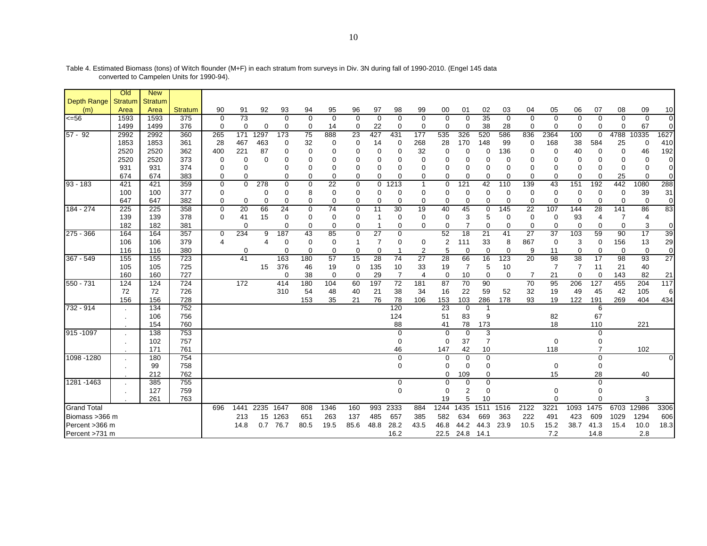|                    | O <sub>Id</sub> | <b>New</b> |                |             |             |          |                 |                            |               |          |                  |                 |                     |                     |                 |                |               |                 |                 |               |               |             |                |                      |
|--------------------|-----------------|------------|----------------|-------------|-------------|----------|-----------------|----------------------------|---------------|----------|------------------|-----------------|---------------------|---------------------|-----------------|----------------|---------------|-----------------|-----------------|---------------|---------------|-------------|----------------|----------------------|
| <b>Depth Range</b> | Stratum         | Stratum    |                |             |             |          |                 |                            |               |          |                  |                 |                     |                     |                 |                |               |                 |                 |               |               |             |                |                      |
| (m)                | Area            | Area       | <b>Stratum</b> | 90          | 91          | 92       | 93              | 94                         | 95            | 96       | 97               | 98              | 99                  | 00                  | 01              | 02             | 03            | 04              | 05              | 06            | 07            | 08          | 09             | 10                   |
| $\leq 56$          | 1593            | 1593       | 375            | $\Omega$    | 73          |          | $\Omega$        | $\Omega$                   | $\Omega$      | $\Omega$ | $\Omega$         | $\Omega$        | $\Omega$            | $\Omega$            | $\Omega$        | 35             | $\Omega$      | $\Omega$        | $\Omega$        | $\Omega$      | $\Omega$      | $\Omega$    | $\Omega$       | $\Omega$             |
|                    | 1499            | 1499       | 376            | $\Omega$    | $\mathbf 0$ | 0        | 0               | 0                          | 14            | 0        | 22               | 0               | $\Omega$            | $\Omega$            | $\Omega$        | 38             | 28            | 0               | $\mathbf 0$     | $\mathbf 0$   | 0             | 0           | 67             | $\overline{0}$       |
| $57 - 92$          | 2992            | 2992       | 360            | 265         | 171         | 1297     | 173             | 75                         | 888           | 23       | 427              | 431             | 177                 | 535                 | 326             | 520            | 586           | 836             | 2364            | 100           | $\mathbf 0$   | 4788        | 10335          | 1627                 |
|                    | 1853            | 1853       | 361            | 28          | 467         | 463      | 0               | 32                         | $\Omega$      | 0        | 14               | 0               | 268                 | 28                  | 170             | 148            | 99            | $\Omega$        | 168             | 38            | 584           | 25          | 0              | 410                  |
|                    | 2520            | 2520       | 362            | 400         | 221         | 87       |                 | 0                          | $\Omega$      | 0        | 0                | $\Omega$        | 32                  | 0                   | $\Omega$        | 0              | 136           |                 | 0               | 40            | $\Omega$      | 0           | 46             | 192                  |
|                    | 2520            | 2520       | 373            | $\mathbf 0$ | $\Omega$    | $\Omega$ |                 | $\Omega$                   | $\Omega$      | 0        | $\Omega$         | $\Omega$        | $\Omega$            | 0                   | 0               | 0              | $\Omega$      |                 | 0               | $\Omega$      | $\Omega$      | 0           | 0              | $\overline{0}$       |
|                    | 931             | 931        | 374            | 0           | 0           |          |                 | 0                          | $\Omega$      | $\Omega$ | 0                | $\Omega$        | 0                   | 0                   | 0               | 0              | 0             |                 | $\Omega$        | O             | ∩             | 0           |                | $\overline{0}$       |
|                    | 674             | 674        | 383            | 0           | $\mathbf 0$ |          | U               | 0                          | $\Omega$      | $\Omega$ | 0                | $\Omega$        | 0                   | 0                   | 0               | 0              | $\Omega$      | $\Omega$        | 0               | $\Omega$      | 0             | 25          |                | 0                    |
| $93 - 183$         | 421             | 421        | 359            | $\mathbf 0$ | $\mathbf 0$ | 278      | $\mathbf 0$     | $\mathbf 0$                | 22            | 0        | $\mathbf 0$      | 1213            | 1                   | $\mathbf 0$         | 121             | 42             | 110           | 139             | 43              | 151           | 192           | 442         | 1080           | 288                  |
|                    | 100             | 100        | 377            | 0           |             | $\Omega$ | 0               | 8                          | $\Omega$      | 0        | $\Omega$         | 0               | 0                   | $\Omega$            | $\mathbf 0$     | 0              | 0             | $\Omega$        | 0               | 0             | $\mathbf 0$   | 0           | 39             | 31                   |
|                    | 647             | 647        | 382            | $\Omega$    | $\mathbf 0$ | 0        | 0               | $\mathbf 0$                | $\Omega$      | 0        | 0                | 0               | 0                   | 0                   | $\Omega$        | 0              | $\Omega$      | 0               | 0               | $\mathbf 0$   | 0             | 0           | 0              | $\overline{0}$       |
| 184 - 274          | 225             | 225        | 358            | $\mathbf 0$ | 20          | 66       | $\overline{24}$ | $\mathbf 0$                | 74            | 0        | 11               | 30              | 19                  | 40                  | 45              | 0              | 145           | 22              | 107             | 144           | 28            | 141         | 86             | 83                   |
|                    | 139             | 139        | 378            | $\Omega$    | 41          | 15       | 0               | 0                          | $\Omega$      | 0        |                  | 0               | 0                   | $\Omega$            | 3               | 5              | 0             | $\Omega$        | 0               | 93            | 4             | 7           | 4              |                      |
|                    | 182             | 182        | 381            |             | $\Omega$    |          | $\Omega$        | $\mathbf 0$                | $\Omega$      | $\Omega$ |                  | $\Omega$        | $\Omega$            | 0                   |                 | $\Omega$       | $\Omega$      | $\Omega$        | 0               | $\Omega$      | $\Omega$      | $\mathbf 0$ | 3<br>17        | $\overline{0}$<br>39 |
| 275 - 366          | 164<br>106      | 164<br>106 | 357<br>379     | $\mathbf 0$ | 234         | 9        | 187             | 43                         | 85            | 0<br>1   | 27               | $\mathbf 0$     |                     | 52                  | 18              | 21             | 41            | 27<br>867       | 37              | 103           | 59            | 90          |                |                      |
|                    | 116             | 116        | 380            | 4           | $\mathbf 0$ |          | 0<br>$\Omega$   | $\mathbf 0$<br>$\mathbf 0$ | 0<br>$\Omega$ | $\Omega$ | 7<br>$\mathbf 0$ | 0               | 0<br>$\overline{2}$ | $\overline{c}$<br>5 | 111<br>$\Omega$ | 33<br>$\Omega$ | 8<br>$\Omega$ | 9               | 0<br>11         | 3<br>$\Omega$ | 0<br>$\Omega$ | 156<br>0    | 13<br>$\Omega$ | 29<br>$\overline{0}$ |
| $367 - 549$        | 155             | 155        | 723            |             | 41          |          | 163             | 180                        | 57            | 15       | 28               | 74              | 27                  | 28                  | 66              | 16             | 123           | 20              | 98              | 38            | 17            | 98          | 93             | 27                   |
|                    | 105             | 105        | 725            |             |             | 15       | 376             | 46                         | 19            | 0        | 135              | 10              | 33                  | 19                  | 7               | 5              | 10            |                 | $\overline{7}$  | 7             | 11            | 21          | 40             |                      |
|                    | 160             | 160        | 727            |             |             |          | 0               | 38                         | $\Omega$      | 0        | 29               | 7               | 4                   | 0                   | 10              | $\mathbf 0$    | $\mathbf 0$   |                 | 21              | $\Omega$      | $\mathbf 0$   | 143         | 82             | 21                   |
| 550 - 731          | 124             | 124        | 724            |             | 172         |          | 414             | 180                        | 104           | 60       | 197              | $\overline{72}$ | 181                 | $\overline{87}$     | 70              | 90             |               | $\overline{70}$ | $\overline{95}$ | 206           | 127           | 455         | 204            | 117                  |
|                    | 72              | 72         | 726            |             |             |          | 310             | 54                         | 48            | 40       | 21               | 38              | 34                  | 16                  | 22              | 59             | 52            | 32              | 19              | 49            | 45            | 42          | 105            | $6 \mid$             |
|                    | 156             | 156        | 728            |             |             |          |                 | 153                        | 35            | 21       | 76               | 78              | 106                 | 153                 | 103             | 286            | 178           | 93              | 19              | 122           | 191           | 269         | 404            | 434                  |
| 732 - 914          |                 | 134        | 752            |             |             |          |                 |                            |               |          |                  | 120             |                     | 23                  | 0               |                |               |                 |                 |               | 6             |             |                |                      |
|                    |                 | 106        | 756            |             |             |          |                 |                            |               |          |                  | 124             |                     | 51                  | 83              | 9              |               |                 | 82              |               | 67            |             |                |                      |
|                    |                 | 154        | 760            |             |             |          |                 |                            |               |          |                  | 88              |                     | 41                  | 78              | 173            |               |                 | 18              |               | 110           |             | 221            |                      |
| 915 - 1097         |                 | 138        | 753            |             |             |          |                 |                            |               |          |                  | 0               |                     | 0                   | $\mathbf 0$     | 3              |               |                 |                 |               | 0             |             |                |                      |
|                    |                 | 102        | 757            |             |             |          |                 |                            |               |          |                  | $\Omega$        |                     | 0                   | 37              | $\overline{7}$ |               |                 | $\Omega$        |               | $\Omega$      |             |                |                      |
|                    |                 | 171        | 761            |             |             |          |                 |                            |               |          |                  | 46              |                     | 147                 | 42              | 10             |               |                 | 118             |               |               |             | 102            |                      |
| 1098 -1280         |                 | 180        | 754            |             |             |          |                 |                            |               |          |                  | $\mathbf 0$     |                     | 0                   | 0               | 0              |               |                 |                 |               | $\mathbf 0$   |             |                |                      |
|                    |                 | 99         | 758            |             |             |          |                 |                            |               |          |                  | $\Omega$        |                     | $\Omega$            | $\mathbf 0$     | $\Omega$       |               |                 | 0               |               | $\Omega$      |             |                |                      |
|                    |                 | 212        | 762            |             |             |          |                 |                            |               |          |                  |                 |                     | 0                   | 109             | $\Omega$       |               |                 | 15              |               | 28            |             | 40             |                      |
| 1281 - 1463        |                 | 385        | 755            |             |             |          |                 |                            |               |          |                  | 0               |                     | $\Omega$            | 0               | $\mathbf 0$    |               |                 |                 |               | $\mathbf 0$   |             |                |                      |
|                    |                 | 127        | 759            |             |             |          |                 |                            |               |          |                  | $\Omega$        |                     | $\mathbf 0$         | $\overline{2}$  | $\mathbf 0$    |               |                 | $\mathbf 0$     |               | $\Omega$      |             |                |                      |
|                    |                 | 261        | 763            |             |             |          |                 |                            |               |          |                  |                 |                     | 19                  | 5               | 10             |               |                 | $\Omega$        |               | $\Omega$      |             | 3              |                      |
| <b>Grand Total</b> |                 |            |                | 696         | 1441        | 2235     | 1647            | 808                        | 1346          | 160      | 993              | 2333            | 884                 | 1244                | 1435            | 1511           | 1516          | 2122            | 3221            | 1093          | 1475          | 6703        | 12986          | 3306                 |
| Biomass > 366 m    |                 |            |                |             | 213         | 15       | 1263            | 651                        | 263           | 137      | 485              | 657             | 385                 | 582                 | 634             | 669            | 363           | 222             | 491             | 423           | 609           | 1029        | 1294           | 606                  |
| Percent > 366 m    |                 |            |                |             | 14.8        | 0.7      | 76.7            | 80.5                       | 19.5          | 85.6     | 48.8             | 28.2            | 43.5                | 46.8                | 44.2            | 44.3           | 23.9          | 10.5            | 15.2            | 38.7          | 41.3          | 15.4        | 10.0           | 18.3                 |
| Percent >731 m     |                 |            |                |             |             |          |                 |                            |               |          |                  | 16.2            |                     | 22.5                | 24.8            | 14.1           |               |                 | 7.2             |               | 14.8          |             | 2.8            |                      |

Table 4. Estimated Biomass (tons) of Witch flounder (M+F) in each stratum from surveys in Div. 3N during fall of 1990-2010. (Engel 145 data converted to Campelen Units for 1990-94).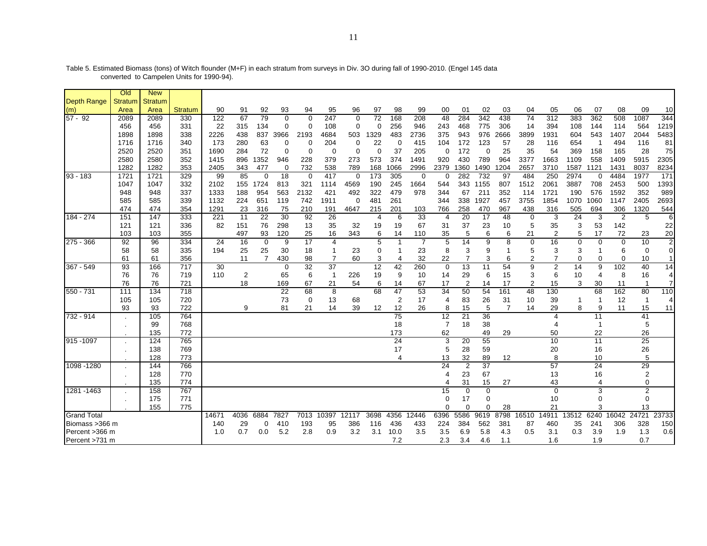|                    | Old      | <b>New</b> |            |                 |                |                 |                 |                       |                     |          |                  |                 |                       |                 |                 |                  |                |             |                     |                  |                 |                |                |                                  |
|--------------------|----------|------------|------------|-----------------|----------------|-----------------|-----------------|-----------------------|---------------------|----------|------------------|-----------------|-----------------------|-----------------|-----------------|------------------|----------------|-------------|---------------------|------------------|-----------------|----------------|----------------|----------------------------------|
| <b>Depth Range</b> | Stratum  | Stratum    |            |                 |                |                 |                 |                       |                     |          |                  |                 |                       |                 |                 |                  |                |             |                     |                  |                 |                |                |                                  |
| (m)                | Area     | Area       | Stratum    | 90              | 91             | 92              | 93              | 94                    | 95                  | 96       | 97               | 98              | 99                    | 00              | 01              | 02               | 03             | 04          | 05                  | 06               | 07              | 08             | 09             | 10                               |
| $57 - 92$          | 2089     | 2089       | 330        | 122             | 67             | 79              | $\Omega$        | $\mathbf 0$           | 247                 | 0        | $\overline{72}$  | 168             | 208                   | $\overline{48}$ | 284             | $\overline{342}$ | 438            | 74          | $\overline{312}$    | 383              | 362             | 508            | 1087           | 344                              |
|                    | 456      | 456        | 331        | 22              | 315            | 134             | 0               | $\Omega$              | 108                 | 0        | $\Omega$         | 256             | 946                   | 243             | 468             | 775              | 306            | 14          | 394                 | 108              | 144             | 114            | 564            | 1219                             |
|                    | 1898     | 1898       | 338        | 2226            | 438            | 837             | 3966            | 2193                  | 4684                | 503      | 1329             | 483             | 2736                  | 375             | 943             | 976              | 2666           | 3899        | 1931                | 604              | 543             | 1407           | 2044           | 5483                             |
|                    | 1716     | 1716       | 340        | 173             | 280            | 63              | $\Omega$        | $\Omega$              | 204                 | 0        | 22               | $\Omega$        | 415                   | 104             | 172             | 123              | 57             | 28          | 116                 | 654              | -1              | 494            | 116            | 81                               |
|                    | 2520     | 2520       | 351        | 1690            | 284            | 72              | 0               | $\Omega$              | $\Omega$            | $\Omega$ | $\Omega$         | 37              | 205                   | $\Omega$        | 172             | 0                | 25             | 35          | 54                  | 369              | 158             | 165            | 28             | 75                               |
|                    | 2580     | 2580       | 352        | 1415            | 896            | 1352            | 946             | 228                   | 379                 | 273      | 573              | 374             | 1491                  | 920             | 430             | 789              | 964            | 3377        | 1663                | 1109             | 558             | 1409           | 5915           | 2305                             |
|                    | 1282     | 1282       | 353        | 2405            | 343            | 477             | $\mathbf 0$     | 732                   | 538                 | 789      | 168              | 1066            | 2996                  | 2379            | 1360            | 1490             | 1204           | 2657        | 3710                | 1587             | 1121            | 1431           | 8037           | 8234                             |
| $93 - 183$         | 1721     | 1721       | 329        | 99              | 85             | 0               | 18              | $\mathbf 0$           | 417                 | $\Omega$ | $\overline{173}$ | 305             | 0                     | 0               | 282             | 732              | 97             | 484         | 250                 | 2974             | $\Omega$        | 4484           | 1977           | 171                              |
|                    | 1047     | 1047       | 332        | 2102            | 155            | 1724            | 813             | 321                   | 1114                | 4569     | 190              | 245             | 1664                  | 544             | 343             | 1155             | 807            | 1512        | 2061                | 3887             | 708             | 2453           | 500            | 1393                             |
|                    | 948      | 948        | 337        | 1333            | 188            | 954             | 563             | 2132                  | 421                 | 492      | 322              | 479             | 978                   | 344             | 67              | 211              | 352            | 114         | 1721                | 190              | 576             | 1592           | 352            | 989                              |
|                    | 585      | 585        | 339        | 1132            | 224            | 651             | 119             | 742                   | 1911                | $\Omega$ | 481              | 261             |                       | 344             | 338             | 1927             | 457            | 3755        | 1854                | 1070             | 1060            | 1147           | 2405           | 2693                             |
|                    | 474      | 474        | 354        | 1291            | 23             | 316             | 75              | 210                   | 191                 | 4647     | 215              | 201             | 103                   | 766             | 258             | 470              | 967            | 438         | 316                 | 505              | 694             | 306            | 1320           | 544                              |
| 184 - 274          | 151      | 147        | 333        | 221             | 11             | $\overline{22}$ | 30              | 92                    | 26                  |          | $\overline{4}$   | 6               | 33                    | $\overline{4}$  | 20              | 17               | 48             | $\mathbf 0$ | 3                   | 24               | 3               | $\overline{2}$ | 5              | 6                                |
|                    | 121      | 121        | 336        | 82              | 151            | 76              | 298             | 13                    | 35                  | 32       | 19               | 19              | 67                    | 31              | 37              | 23               | 10             | 5           | 35                  | 3                | 53              | 142            |                | 22                               |
|                    | 103      | 103        | 355        |                 | 497            | 93              | 120             | 25                    | 16                  | 343      | 6                | 14              | 110<br>$\overline{7}$ | 35              | 5               | 6                | 6              | 21          | $\overline{c}$      | 5                | 17              | 72             | 23             | 20                               |
| 275 - 366          | 92<br>58 | 96<br>58   | 334<br>335 | 24<br>194       | 16             | $\Omega$<br>25  | 9<br>30         | $\overline{17}$<br>18 | $\overline{4}$      | 23       | 5                |                 | 23                    | 5<br>8          | 14              | 9<br>9           | 8              | $\mathbf 0$ | 16                  | $\mathbf 0$      | $\mathbf 0$     | $\mathbf 0$    | 10             | $\overline{2}$<br>$\overline{0}$ |
|                    | 61       | 61         | 356        |                 | 25<br>11       | $\overline{7}$  | 430             | 98                    | 1<br>$\overline{7}$ | 60       | 0<br>3           | 4               | 32                    | 22              | 3               | 3                | 6              | 5           | 3<br>$\overline{7}$ | 3<br>$\mathbf 0$ | 0               | 6<br>0         | 0              | $\overline{1}$                   |
| 367 - 549          | 93       | 166        | 717        | $\overline{30}$ |                |                 | 0               | 32                    | 37                  |          | $\overline{12}$  | 42              | 260                   | 0               | 13              | 11               | 54             | 9           | 2                   | 14               | 9               | 102            | 10<br>40       | 14                               |
|                    | 76       | 76         | 719        | 110             | $\overline{c}$ |                 | 65              | 6                     | -1                  | 226      | 19               | 9               | 10                    | 14              | 29              | 6                | 15             | 3           | 6                   | 10               | 4               | 8              | 16             | $\overline{4}$                   |
|                    | 76       | 76         | 721        |                 | 18             |                 | 169             | 67                    | 21                  | 54       | 6                | 14              | 67                    | 17              | $\overline{2}$  | 14               | 17             | 2           | 15                  | 3                | 30              | 11             | $\mathbf 1$    | $\overline{7}$                   |
| 550 - 731          | 111      | 134        | 718        |                 |                |                 | $\overline{22}$ | 68                    | 8                   |          | 68               | $\overline{47}$ | 53                    | 34              | 50              | 54               | 161            | 48          | 130                 |                  | 68              | 162            | 80             | 110                              |
|                    | 105      | 105        | 720        |                 |                |                 | 73              | $\mathbf 0$           | 13                  | 68       |                  | $\overline{2}$  | 17                    | 4               | 83              | 26               | 31             | 10          | 39                  | -1               | -1              | 12             | $\mathbf 1$    | 4                                |
|                    | 93       | 93         | 722        |                 | 9              |                 | 81              | 21                    | 14                  | 39       | 12               | 12              | 26                    | 8               | 15              | 5                | $\overline{7}$ | 14          | 29                  | 8                | 9               | 11             | 15             | 11                               |
| $732 - 914$        |          | 105        | 764        |                 |                |                 |                 |                       |                     |          |                  | 75              |                       | 12              | 21              | 36               |                |             | 4                   |                  | 11              |                | 41             |                                  |
|                    |          | 99         | 768        |                 |                |                 |                 |                       |                     |          |                  | 18              |                       | $\overline{7}$  | 18              | 38               |                |             | 4                   |                  | $\overline{1}$  |                | 5              |                                  |
|                    |          | 135        | 772        |                 |                |                 |                 |                       |                     |          |                  | 173             |                       | 62              |                 | 49               | 29             |             | 50                  |                  | 22              |                | 26             |                                  |
| $915 - 1097$       |          | 124        | 765        |                 |                |                 |                 |                       |                     |          |                  | 24              |                       | 3               | $\overline{20}$ | 55               |                |             | 10                  |                  | $\overline{11}$ |                | 25             |                                  |
|                    |          | 138        | 769        |                 |                |                 |                 |                       |                     |          |                  | 17              |                       | 5               | 28              | 59               |                |             | 20                  |                  | 16              |                | 26             |                                  |
|                    |          | 128        | 773        |                 |                |                 |                 |                       |                     |          |                  | 4               |                       | 13              | 32              | 89               | 12             |             | 8                   |                  | 10              |                | 5              |                                  |
| 1098 - 1280        |          | 144        | 766        |                 |                |                 |                 |                       |                     |          |                  |                 |                       | 24              | 2               | 37               |                |             | $\overline{57}$     |                  | 24              |                | 29             |                                  |
|                    |          | 128        | 770        |                 |                |                 |                 |                       |                     |          |                  |                 |                       | 4               | 23              | 67               |                |             | 13                  |                  | 16              |                | $\overline{2}$ |                                  |
|                    |          | 135        | 774        |                 |                |                 |                 |                       |                     |          |                  |                 |                       |                 | 31              | 15               | 27             |             | 43                  |                  | $\overline{4}$  |                | $\mathbf 0$    |                                  |
| 1281-1463          |          | 158        | 767        |                 |                |                 |                 |                       |                     |          |                  |                 |                       | 15              | $\mathbf 0$     | $\mathbf 0$      |                |             | $\mathbf 0$         |                  | 3               |                | $\overline{2}$ |                                  |
|                    |          | 175        | 771        |                 |                |                 |                 |                       |                     |          |                  |                 |                       | 0               | 17              | 0                |                |             | 10                  |                  | $\Omega$        |                | 0              |                                  |
|                    |          | 155        | 775        |                 |                |                 |                 |                       |                     |          |                  |                 |                       | 0               | $\Omega$        | U                | 28             |             | 21                  |                  | 3               |                | 13             |                                  |
| <b>Grand Total</b> |          |            |            | 14671           | 4036           | 6884            | 7827            | 7013                  | 10397               | 12117    | 3698             | 4356            | 12446                 | 6396            | 5586            | 9619             | 8798           | 16510       | 4911                | 13512            | 6240            | 6042           | 24721          | 23733                            |
| Biomass > 366 m    |          |            |            | 140             | 29             | 0               | 410             | 193                   | 95                  | 386      | 116              | 436             | 433                   | 224             | 384             | 562              | 381            | 87          | 460                 | 35               | 241             | 306            | 328            | 150                              |
| Percent >366 m     |          |            |            | 1.0             | 0.7            | 0.0             | 5.2             | 2.8                   | 0.9                 | 3.2      | 3.1              | 10.0            | 3.5                   | 3.5             | 6.9             | 5.8              | 4.3            | 0.5         | 3.1                 | 0.3              | 3.9             | 1.9            | 1.3            | 0.6                              |
| Percent >731 m     |          |            |            |                 |                |                 |                 |                       |                     |          | 7.2              |                 | 2.3                   | 3.4             | 4.6             | 1.1              |                | 1.6         |                     | 1.9              |                 | 0.7            |                |                                  |

Table 5. Estimated Biomass (tons) of Witch flounder (M+F) in each stratum from surveys in Div. 3O during fall of 1990-2010. (Engel 145 data converted to Campelen Units for 1990-94).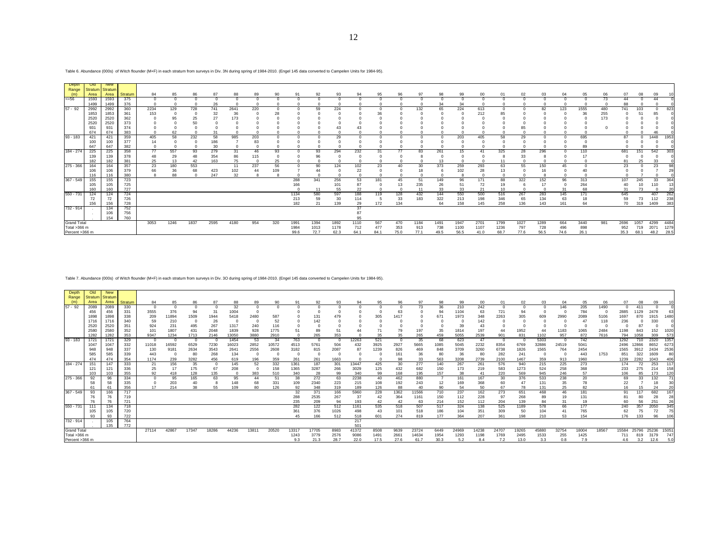| <b>Depth</b>       | Old I | <b>New</b>      |         |      |      |      |      |      |     |     |      |      |      |      |      |      |      |          |      |             |      |      |      |      |      |     |      |      |          |      |
|--------------------|-------|-----------------|---------|------|------|------|------|------|-----|-----|------|------|------|------|------|------|------|----------|------|-------------|------|------|------|------|------|-----|------|------|----------|------|
| Range              |       | Stratum Stratum |         |      |      |      |      |      |     |     |      |      |      |      |      |      |      |          |      |             |      |      |      |      |      |     |      |      |          |      |
|                    | Area  | Area            | Stratum | 84   | 85   | 86   | 87   | 88   | 89  | 90  | 91   | 92   | 93   | 94   | 95   | 96   | 97   | 98       | 99   | $00\degree$ | 01   | 02   | 03   | 04   | 05   | 06  | 07   | 08   | 09       |      |
| $=<=56$            | 1593  | 1593            | 375     |      |      |      |      |      |     |     |      |      |      |      |      |      |      | $\Omega$ |      |             |      |      |      |      |      | 73  | 44   |      | $\Delta$ |      |
|                    | 1499  | 1499            | 376     |      |      |      | 26   |      |     |     |      |      |      |      |      |      |      | 34       | 34   |             |      |      |      |      |      |     |      |      |          |      |
| $57 - 92$          | 2992  | 2992            | 360     | 2234 | 129  | 728  | 741  | 2641 | 220 |     |      | 59   | 224  |      |      |      | 132  | 65       | 224  | 613         |      |      | 82   | 123  | 1555 | 480 | 741  | 103  |          | 823  |
|                    | 1853  | 1853            | 361     | 153  |      |      | 32   | 36   |     | 28  |      |      |      |      | 36   |      |      |          |      | 212         | 85   |      |      |      | 36   | 255 |      |      |          |      |
|                    | 2520  | 2520            | 362     |      |      | 25   | 27   | 173  |     |     |      |      |      |      |      |      |      |          |      |             |      |      |      |      |      | 173 |      |      |          |      |
|                    | 2520  | 2520            | 373     |      |      |      |      |      |     |     |      |      |      |      |      |      |      |          |      |             |      |      |      |      |      |     |      |      |          |      |
|                    | 931   | 931             | 374     |      |      |      |      |      |     |     |      |      |      |      |      |      |      |          |      |             |      | 85   |      |      |      |     |      |      |          |      |
|                    | 674   | 674             | 383     |      | 62   |      | 31   |      |     |     |      |      |      |      |      |      |      |          |      |             |      |      |      |      |      |     |      |      |          |      |
| $93 - 183$         | 421   | 421             | 359     | 405  | 58   | 232  | 58   | 985  | 203 |     |      |      | 29   |      |      |      |      |          | 203  | 405         | 58   | 29   |      |      | 695  |     | 87   |      | 1448     | 1953 |
|                    | 100   | 100             | 377     |      |      |      | 186  |      | 83  |     |      |      |      |      |      |      |      |          |      |             |      |      |      |      |      |     |      |      |          |      |
|                    |       | 647             | 382     |      |      |      | 30   |      |     |     |      |      |      |      |      |      |      |          |      |             |      |      |      |      | 89   |     |      |      |          |      |
| $184 - 274$        | 225   | 225             | 358     |      | 557  | 93   | 279  |      |     |     |      | 93   | 294  | 232  |      |      |      | 261      | 15.  |             | 325  | 28   | 296  |      | 110  |     | 68   |      | 542      |      |
|                    | 139   | 139             | 378     |      | 29   |      | 354  | 86   | 115 |     |      | 96   |      |      |      |      |      |          |      |             |      | 33   |      |      |      |     |      |      |          |      |
|                    | 182   | 182             | 381     | 25   | 13   | 42   | 163  | 75   |     | 25  |      |      |      |      |      |      |      | 13       |      |             | 11   |      |      |      |      |     |      | 25   | 33       |      |
| 275 - 366          | 164   | 164             | 357     | 23   | 180  | 553  |      | 11   | 237 | 56  |      | 90   | 124  | 102  | 23   | 40   | 30   | 373      | 259  | 293         | 63   | 55   | 150  | 45   |      |     | 23   |      | 23       | 98   |
|                    | 106   | 106             | 379     | 66   | 36   | 68   | 423  | 102  | 44  | 109 |      |      |      | 22   |      |      | 18   |          | 102  | 28          | 13   |      | 16   |      |      |     |      |      |          | 29   |
|                    | 116   | 16              | 380     |      | 88   |      | 247  | 32   |     |     |      |      |      |      |      |      |      |          |      |             |      |      |      |      |      |     |      |      |          |      |
| $367 - 549$        | 155   | 155             | 723     |      |      |      |      |      |     |     | 288  | 341  | 256  | 53   | 181  | 45   | 51   | 149      | 96   | 171         | 88   | 322  | 152  | 96   | 313  |     | 107  | 245  | 33       | 364  |
|                    |       | 105             | 725     |      |      |      |      |      |     |     | 166  |      | 101  | 87   |      | 13   | 235  | 26       | 51   | 72          | 19   |      |      |      | 264  |     |      |      |          |      |
|                    | 160   | 160             | 727     |      |      |      |      |      |     |     |      | 11   | 55   | 22   |      |      | 11   | 33       | 33   | 21          | 10   |      |      | 31   | 68   |     | 31   | 73   |          | 20   |
| 550 - 731          | 124   | 124             | 724     |      |      |      |      |      |     |     | 1134 | 580  | 597  | 188  | 119  | 128  | 432  | 144      | 550  | 500         | 516  | 267  | 283  | 145  | 171  |     | 645  |      | 407      | 262  |
|                    |       | 72              | 726     |      |      |      |      |      |     |     | 213  | 59   | 30   | 114  |      | 33   | 183  | 322      | 213  | 198         | 346  | 65   | 134  | 63   | 18   |     | 59   |      | 112      | 238  |
|                    | 156   | 156             | 728     |      |      |      |      |      |     |     | 182  | 21   | 139  | 29   | 172  | 134  |      | 64       | 158  | 145         | 258  | 136  | 143  | 161  |      |     | 70   | 319  | 1409     | 383  |
| 732 - 91           |       | 134             | 752     |      |      |      |      |      |     |     |      |      |      | 37   |      |      |      |          |      |             |      |      |      |      |      |     |      |      |          |      |
|                    |       | 106             | 756     |      |      |      |      |      |     |     |      |      |      | 87   |      |      |      |          |      |             |      |      |      |      |      |     |      |      |          |      |
|                    |       | 154             | 760     |      |      |      |      |      |     |     |      |      |      | 95   |      |      |      |          |      |             |      |      |      |      |      |     |      |      |          |      |
| <b>Grand Total</b> |       |                 |         | 3053 | 1246 | 1837 | 2595 | 4180 | 954 | 320 | 1991 | 1394 | 1892 | 1110 | 567  | 470  | 184  | 1491     | 1947 | 2701        | 1799 | 1027 | 1289 | 664  | 3440 | 981 | 2696 |      | 4299     | 4484 |
| Total >366 m       |       |                 |         |      |      |      |      |      |     |     | 1984 | 1013 | 1178 | 712  | 477  | 353  | 913  | 738      | 1100 | 1107        | 1236 | 797  | 728  | 496  | 898  |     | 952  |      | 2071     | 1279 |
| Percent >366 m     |       |                 |         |      |      |      |      |      |     |     | 99.6 | 72.7 | 62.3 | 64.1 | 84.7 | 75.0 | 77.1 | 49.5     | 56.5 | 41.0        | 68.7 | 77.6 | 56.5 | 74.6 | 26.  |     | 35.3 | 68.1 | 48.2     | 28.5 |

Table 6. Abundance (000s) of Witch flounder (M+F) in each stratum from surveys in Div. 3N during spring of 1984-2010. (Engel 145 data converted to Campelen Units for 1984-95).

Table 7. Abundance (000s) of Witch flounder (M+F) in each stratum from surveys in Div. 3O during spring of 1984-2010. (Engel 145 data converted to Campelen Units for 1984-95).

| Depth              | Old             | <b>New</b> |         |          |          |       |       |       |       |       |       |          |      |       |      |          |       |      |       |       |          |          |       |                |                       |       |       |      |       |      |
|--------------------|-----------------|------------|---------|----------|----------|-------|-------|-------|-------|-------|-------|----------|------|-------|------|----------|-------|------|-------|-------|----------|----------|-------|----------------|-----------------------|-------|-------|------|-------|------|
| Range              | Stratum Stratun |            |         |          |          |       |       |       |       |       |       |          |      |       |      |          |       |      |       |       |          |          |       |                |                       |       |       |      |       |      |
| (m)                | Area            | Area       | Stratum | 84       | 85       | 86    | 87    | 88    | 89    | 90    | 91    | 92       | 93   | 94    | 95   | 96       | 97    | 98   | 99    | 00    | 01       | 02       | 03    | 04             | 05                    | 06    | 07    | 08   | 09    |      |
| $57 - 92$          | 2089            | 2089       | 330     |          |          |       |       | 32    |       |       |       |          |      |       |      |          |       |      | 210   | 242   |          | $\Omega$ |       | 146            | 205                   | 1490  |       | 411  |       |      |
|                    |                 |            | 331     | 3555     | 376      | 94    | 31    | 1004  |       |       |       |          |      |       |      | 63       |       |      | 1104  | 63    | 721      | 94       |       |                | 784                   |       | 2885  | 129  | 2478  |      |
|                    |                 | 1898       | 338     | 209      | 11894    | 1509  | 1944  | 5418  | 2480  | 587   |       | 131      |      |       | 305  | 1417     |       | 67   | 1973  | 348   | 2263     | 305      | 609   | 2990           | 2089                  | 5106  | 1697  | 870  | 1915  | 480  |
|                    | 1716            | 1716       | 340     | 59       | 210      | - 0   | 26    |       |       | 52    |       |          |      |       |      |          |       |      |       | 142   |          |          |       |                | $\Delta$ <sup>7</sup> | 118   | 236   |      | 330   |      |
|                    | 2520            | 2520       | 35'     | 924      | 231      | 495   | 267   | 1317  | 240   | 116   |       |          |      |       |      |          |       |      | 39    |       |          |          |       |                |                       |       |       | 87   |       |      |
|                    | 2580            | 2580       | 352     | 101      | 1807     | 431   | 2048  | 1839  | 928   | 1775  |       | 89       | 51   |       |      | 79       | 197   | 35   | 1814  | 197   | 44       | 1952     | 44    | 1183           | 1065                  | 2484  | 1198  | 843  | 152   |      |
|                    | 1282            | 1282       | 353     | 9347     | 1234     | 1713  | 2146  | 13050 | 3880  | 2910  |       | 265      | 353  |       | 35   | 35       | 265   | 459  | 5055  | 2539  | 901      | 831      | 1102  | 957            | 872                   | 7616  | 794   | 058  | 309   | 57   |
| $93 - 183$         | 1721            | 172        | 329     | $\Omega$ | $\Omega$ |       |       | 1454  | 53    | 34    | 763   | $\Omega$ |      | 12263 | 521  | $\Omega$ | 35    | 68   | 623   | 47    | $\Omega$ | $\Omega$ | 5303  | $\Omega$       | 742                   |       | 1292  | 710  | 2320  | 1357 |
|                    | 1047            | 1047       | 332     | 11018    | 16592    | 6529  | 7230  | 16023 | 2852  | 10572 | 4513  | 5761     | 504  | 432   | 3925 | 2927     | 5665  | 1085 | 5045  | 2232  | 8354     | 6769     | 32886 | 24519          | 5041                  |       | 2496  | 2866 | 8652  | 6273 |
|                    |                 | 948        | 337     | 130      | 9181     | 2634  | 3543  | 2641  | 2556  | 2608  | 3182  | 815      | 2087 |       | 1239 | 826      | 469   | 848  | 3709  | 3260  | 6738     | 1826     | 1565  | 764            | 2454                  |       | 1565  | 3912 | 2434  | 2536 |
|                    |                 | 585        |         | 443      |          | 80    | 268   | 134   |       |       |       |          |      |       |      | 161      |       | 8ſ   | 36    | 80    | 282      | 241      |       |                | 443                   | 1753  | 851   | 322  |       |      |
|                    | 474             | 474        | 354     | 1174     | 239      | 3282  | 456   | 619   | 196   | 359   | 261   | 261      | 1663 |       |      | 98       | 33    | 563  | 3208  | 2739  | 2100     | 1467     | 359   | 913            | 1960                  |       | 1239  | 2282 | 1043  | 406  |
| 184 - 274          | 151             | 147        | 333     |          | 156      | 35    |       | 145   | 52    | 332   | 1361  | 187      | 301  | 13447 | 425  | 30       | 277   | 140  | 267   | 261   | 576      | 940      | 215   | 225            | 273                   |       | 174   | 72   | 253   | 117  |
|                    |                 |            | 336     | 25       | 17       | 175   | 67    | 208   |       | 158   | 1365  | 3287     | 266  | 3029  | 125  | 432      | 682   | 150  | 173   | 219   | 583      | 1273     | 524   | 258            | 368                   |       | 233   | 275  |       | 158  |
|                    | 03              | 103        | 355     | 92       | 418      | 128   | 135   |       | 383   | 510   | 340   | 28       | 99   | 340   | 99   | 168      | 195   | 157  | 38    | 41    | 220      | 569      | 945   | 246            | 57                    |       | 106   | 85   | 173   | 120  |
| $275 - 366$        | 92              | 96         | 334     |          | 95       | 165   | 63    | 95    | 44    | 51    | 38    | 272      | 63   | 2238  | 40   | 462      | 880   |      | 161   | 167   | 30       | 376      | 533   | 238            | 20                    |       | 69    | 33   | 132   |      |
|                    | 58              |            | 335     |          | 203      | 40    |       | 148   | 68    | 331   | 109   | 2340     | 223  | 215   | 108  | 192      | 243   | 12   | 169   | 368   | 60       | 47       | 131   | 35             | 78                    |       |       |      | 18    |      |
|                    |                 |            | 356     |          | 214      | 38    | 55    | 109   |       | 126   | 92    | 348      | 319  | 189   | 126  | 88       | 40    | 90   | 54    | 50    | 67       | 78       | 131   | 25             | 82                    |       | 16    | 15   | 24    |      |
| $367 - 549$        | 93              |            |         |          |          |       |       |       |       |       | 32    | 371      | 166  | 5960  | 228  | 1362     | 1566  | 710  | 237   | 162   | 273      | 651      | 468   | 46             | 181                   |       |       | 117  | 682   | 167  |
|                    | 76              |            | 719     |          |          |       |       |       |       |       | 288   | 2535     | 267  | 37    | 42   | 364      | 1161  | 150  | 112   | 228   | 97       | 268      | 89    | 19             | 131                   |       |       | 80   | 28    | 28   |
|                    | 76              | 76         | 721     |          |          |       |       |       |       |       | 235   | 209      | 94   | 193   | 42   | 42       | 63    | 214  | 152   | 112   | 204      | 139      | 84    | 31             | 19                    |       | 60    | 56   | 25'   | 26   |
| 550 - 731          |                 | 134        | 718     |          |          |       |       |       |       |       | 282   | 122      | 512  | 1161  | 535  | 518      | 507   | 517  | 324   | 138   | 525      | 1189     | 578   | 66             | 177                   |       | 240   | 357  | 2050  | 345  |
|                    | 105             |            | 720     |          |          |       |       |       |       |       | 361   | 376      | 1026 | 498   | 43   | 101      | 518   | 186  | 104   | 351   | 309      | 50       | 104   | 4 <sup>1</sup> | 765                   |       | 62    | 75   | 72    |      |
|                    | 93              | 93         | 722     |          |          |       |       |       |       |       | 45    | 166      | 512  | 518   | 601  | 274      | 819   | 177  | 364   | 207   | 361      | 198      | 210   | 53             | 154                   |       | 176   | 133  | 96    | 106  |
| 732 - 914          |                 | 105        | 764     |          |          |       |       |       |       |       |       |          |      | 217   |      |          |       |      |       |       |          |          |       |                |                       |       |       |      |       |      |
|                    |                 | 135        | 772     |          |          |       |       |       |       |       |       |          |      | 501   |      |          |       |      |       |       |          |          |       |                |                       |       |       |      |       |      |
| <b>Grand Total</b> |                 |            |         | 27114    | 42867    | 17347 | 18286 | 44236 | 1381' | 20520 | 13317 | 17705    | 8983 | 41372 | 8508 | 9639     | 23724 | 6449 | 24969 | 14238 | 24707    | 19265    | 45880 | 32754          | 18004                 | 18567 | 15584 |      | 25236 | 1505 |
| Total >366 m       |                 |            |         |          |          |       |       |       |       |       | 1243  | 3779     | 2576 | 9086  | 1491 | 2661     | 14634 | 1954 | 1293  | 1198  | 1769     | 2495     | 1533  | 255            | 1425                  |       | 711   | 819  | 3179  | 747  |
| Percent >366 m     |                 |            |         |          |          |       |       |       |       |       | 9.3   | 21.3     | 28.7 | 22.0  | 17.5 | 27.6     | 61.7  | 30.3 | 5.2   |       | 7.2      | 13.0     | 3.3   |                | 7 <sub>q</sub>        |       |       | 3.2  | 12.6  | 5.0  |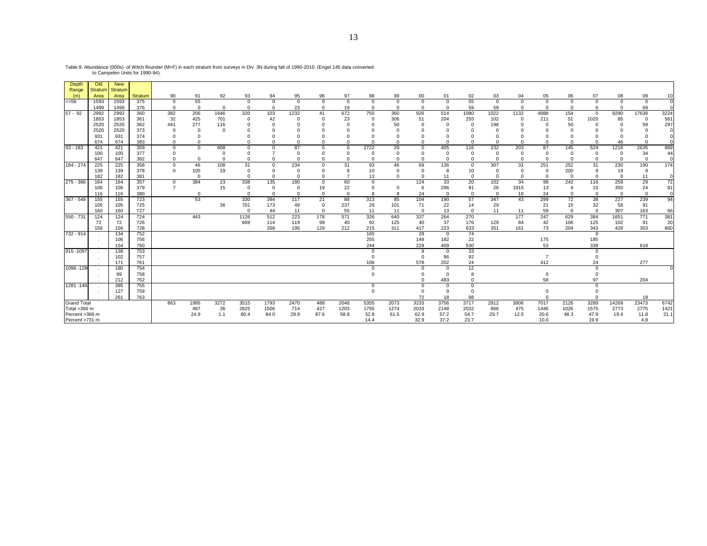| Depth              | Old        | <b>New</b> |            |                               |                |            |                 |                 |                 |                   |           |             |             |           |              |             |                 |            |             |             |            |            |             |          |
|--------------------|------------|------------|------------|-------------------------------|----------------|------------|-----------------|-----------------|-----------------|-------------------|-----------|-------------|-------------|-----------|--------------|-------------|-----------------|------------|-------------|-------------|------------|------------|-------------|----------|
| Range              | Stratum    | Stratum    |            |                               |                |            |                 |                 |                 |                   |           |             |             |           |              |             |                 |            |             |             |            |            |             |          |
| (m)                | Area       | Area       | Stratum    | 90                            | 91             | 92         | 93              | 94              | 95              | 96                | 97        | 98          | 99          | 00        | 01           | 02          | 03              | 04         | 05          | 06          | 07         | 08         | 09          | 10       |
| $= 56$             | 1593       | 1593       | 375        | $\mathbf 0$                   | 55             |            | $\mathbf{0}$    | $\Omega$        | $\mathbf 0$     | $\Omega$          | $\Omega$  | $\Omega$    | $\mathbf 0$ | $\Omega$  | $^{\circ}$   | 55          | $^{\circ}$      | $^{\circ}$ | $\mathbf 0$ | $\mathbf 0$ | $^{\circ}$ | $^{\circ}$ | $\mathbf 0$ | $\Omega$ |
|                    | 1499       | 1499       | 376        |                               | $\Omega$       | $\Omega$   | 0               | $\Omega$        | 23              |                   | 19        | $\Omega$    | $\Omega$    |           | $\Omega$     | 59          | 59              | $\Omega$   | $\Omega$    | $^{\circ}$  | $\Omega$   | $\Omega$   | 69          |          |
| $57 - 92$          | 2992       | 2992       | 360        | 382                           | 206            | 1646       | 320             | 103             | 1232            | 41                | 672       | 755         | 360         | 926       | 514          | 1080        | 1022            | 1132       | 4888        | 154         | $^{\circ}$ | 9290       | 17639       | 3224     |
|                    | 1853       | 1853       | 361        | 32                            | 425            | 701        | 0               | 42              | 0               |                   | 23        | 0           | 306         | 51        | 204          | 255         | 102             | 0          | 211         | 51          | 1020       | 85         | $^{\circ}$  | 561      |
|                    | 2520       | 2520       | 362        | 441                           | 277            | 116        | $^{\circ}$      |                 | $\Omega$        |                   |           |             | 50          |           |              | $\Omega$    | 198             |            | $\Omega$    | 50          |            |            | 58          | 297      |
|                    | 2520       | 2520       | 373        | $\Omega$                      | $\Omega$       | $\Omega$   |                 |                 | $\Omega$        |                   |           |             |             |           |              | $\Omega$    |                 |            |             |             |            |            |             |          |
|                    | 931        | 931        | 374        |                               | $\Omega$       |            |                 |                 |                 |                   |           |             |             |           |              | $\Omega$    |                 |            |             |             |            |            |             |          |
|                    | 674        | 674        | 383        |                               | $\Omega$       |            |                 |                 | $\Omega$        |                   |           | O           | $\Omega$    |           | $\Omega$     | $\Omega$    |                 | $\Omega$   | $\Omega$    |             | $\Omega$   | 46         |             |          |
| $93 - 183$         | 421        | 421        | 359        | $\Omega$                      | $\mathbf 0$    | 608        | $\Omega$        | $\Omega$        | 87              | $\Omega$          | $\Omega$  | 2722        | 29          |           | 405          | 116         | 232             | 203        | 87          | 145         | 524        | 1216       | 2635        | 869      |
|                    | 100        | 100        | 377        | $\Omega$                      |                | $\Omega$   | 0               |                 | $\Omega$        | $\Omega$          | $\Omega$  | 0           | $\Omega$    |           | $\Omega$     | 0           | $\Omega$        | $\Omega$   | $^{\circ}$  | 0           | 0          | 0          | 34          | 44       |
|                    | 647        | 647        | 382        | $\Omega$                      | $\mathbf 0$    | $^{\circ}$ | $\mathbf 0$     | $\Omega$        | $\Omega$        | $\Omega$          | $\Omega$  | $\Omega$    | $\Omega$    | $\Omega$  | $\Omega$     | $\mathbf 0$ | $\Omega$        | $^{\circ}$ | $\mathbf 0$ | $\mathbf 0$ | $\Omega$   | $^{\circ}$ | $\mathbf 0$ | $\Omega$ |
| 184 - 274          | 225        | 225        | 358        | 0                             | 46             | 108        | 31              | $\Omega$        | 234             | $\Omega$          | 31        | 93          | 46          | 69        | 136          | $\mathbf 0$ | 307             | 31         | 251         | 252         | 31         | 230        | 190         | 174      |
|                    | 139        | 139        | 378        | $\Omega$                      | 105            | 19         | $\overline{0}$  | $\Omega$        | $\Omega$        | $\Omega$          |           | 10          | $\Omega$    |           | 8            | 10          | $\Omega$        | $\Omega$   | $\mathbf 0$ | 200         | 9          | 19         | 8           |          |
|                    | 182        | 182        | 381        |                               | $\Omega$       |            | $\Omega$        | $\Omega$        | $\Omega$        | $\Omega$          |           | 13          | $\Omega$    |           | 11           | $\Omega$    |                 | $\Omega$   | $\Omega$    | $\Omega$    | $\Omega$   | $^{\circ}$ | 11          |          |
| $275 - 366$        | 164        | 164        | 357        | $\mathbf 0$<br>$\overline{7}$ | 384            | 23         | 338             | 135             | 180             | $\mathbf{0}$      | 60        | 0           |             | 124       | 33           | 20          | 102             | 34         | 98          | 242         | 116        | 259        | 29          | 72       |
|                    | 106        | 106        | 379        |                               |                | 15         | $\mathbf{0}$    | $^{\circ}$      | $\mathbf 0$     | 19                | 22        | $\mathbf 0$ | $\mathbf 0$ | 6         | 296          | 91          | 26              | 1915       | 13          | 6           | 15         | 350        | 24          | 81       |
|                    | 116        | 116        | 380        |                               | $\Omega$<br>53 |            | $\Omega$<br>330 | $\Omega$<br>394 | $\Omega$<br>117 | $\Omega$          | $\Omega$  | 8<br>313    | 8           | 24        | $\Omega$     | $\Omega$    | $\Omega$<br>347 | 16         | 24<br>299   | $\mathbf 0$ | $\Omega$   | $^{\circ}$ | $\Omega$    | $\Omega$ |
| 367 - 549          | 155<br>105 | 155<br>105 | 723<br>725 |                               |                | 36         | 701             | 173             | 49              | 21<br>$\mathbf 0$ | 88<br>237 | 29          | 85<br>101   | 104<br>71 | 190<br>22    | 57<br>14    | 29              | 43         | 21          | 72<br>15    | 38<br>32   | 227<br>58  | 239<br>91   | 94       |
|                    | 160        | 160        | 727        |                               |                |            | $\Omega$        | 44              | 11              | $\Omega$          | 55        | 11          | 11          | $\Omega$  | 13           | $\mathbf 0$ | 11              | 11         | 59          | $\mathbf 0$ | $^{\circ}$ | 307        | 163         | 66       |
| 550 - 731          | 124        | 124        | 724        |                               | 443            |            | 1126            | 512             | 223             | 178               | 571       | 326         | 640         | 337       | 264          | 270         |                 | 177        | 247         | 629         | 384        | 1651       | 771         | 381      |
|                    | 72         | 72         | 726        |                               |                |            | 669             | 114             | 119             | 99                | 40        | 92          | 125         | 40        | 37           | 176         | 129             | 84         | 42          | 106         | 125        | 102        | 91          | 20       |
|                    | 156        | 156        | 728        |                               |                |            |                 | 268             | 195             | 129               | 212       | 215         | 311         | 417       | 223          | 633         | 351             | 161        | 73          | 204         | 343        | 428        | 303         | 860      |
| 732 - 914          |            | 134        | 752        |                               |                |            |                 |                 |                 |                   |           | 165         |             | 28        | $\mathbf{0}$ | 74          |                 |            |             |             | 9          |            |             |          |
|                    |            | 106        | 756        |                               |                |            |                 |                 |                 |                   |           | 255         |             | 149       | 182          | 22          |                 |            | 175         |             | 185        |            |             |          |
|                    |            | 154        | 760        |                               |                |            |                 |                 |                 |                   |           | 244         |             | 229       | 409          | 530         |                 |            | 53          |             | 339        |            | 618         |          |
| 915-1097           |            | 138        | 753        |                               |                |            |                 |                 |                 |                   |           | 0           |             | 9         | $^{\circ}$   | 33          |                 |            |             |             | $^{\circ}$ |            |             |          |
|                    |            | 102        | 757        |                               |                |            |                 |                 |                 |                   |           | 0           |             |           | 96           | 92          |                 |            |             |             | 0          |            |             |          |
|                    |            | 171        | 761        |                               |                |            |                 |                 |                 |                   |           | 106         |             | 578       | 202          | 24          |                 |            | 412         |             | 24         |            | 277         |          |
| 1098 - 128         |            | 180        | 754        |                               |                |            |                 |                 |                 |                   |           | $\Omega$    |             | $\Omega$  | 0            | 12          |                 |            |             |             | $\Omega$   |            |             |          |
|                    |            | 99         | 758        |                               |                |            |                 |                 |                 |                   |           | $\Omega$    |             |           | $^{\circ}$   | 8           |                 |            | $\mathbf 0$ |             | $\Omega$   |            |             |          |
|                    |            | 212        | 762        |                               |                |            |                 |                 |                 |                   |           |             |             |           | 483          | $\Omega$    |                 |            | 58          |             | 97         |            | 204         |          |
| 1281-146           |            | 385        | 755        |                               |                |            |                 |                 |                 |                   |           | 0           |             |           | $^{\circ}$   | $\mathbf 0$ |                 |            |             |             | $\Omega$   |            |             |          |
|                    |            | 127        | 759        |                               |                |            |                 |                 |                 |                   |           | $\Omega$    |             |           | 9            | $\Omega$    |                 |            | $\Omega$    |             |            |            |             |          |
|                    |            | 261        | 763        |                               |                |            |                 |                 |                 |                   |           |             |             | 72        | 18           | 88          |                 |            | $\Omega$    |             | $\Omega$   |            | 18          |          |
| <b>Grand Total</b> |            |            |            | 863                           | 1995           | 3272       | 3515            | 1793            | 2470            | 488               | 2046      | 5355        | 2073        | 3233      | 3756         | 3717        | 2912            | 3806       | 7017        | 2126        | 3289       | 14269      | 23473       | 6742     |
| Total >366 m       |            |            |            |                               | 497            | 36         | 2825            | 1506            | 714             | 427               | 1203      | 1755        | 1274        | 2033      | 2148         | 2032        | 866             | 475        | 1446        | 1026        | 1575       | 2773       | 2775        | 1421     |
| Percent >366 m     |            |            |            |                               | 24.9           | 1.1        | 80.4            | 84.0            | 28.9            | 87.6              | 58.8      | 32.8        | 61.5        | 62.9      | 57.2         | 54.7        | 29.7            | 12.5       | 20.6        | 48.3        | 47.9       | 19.4       | 11.8        | 21.1     |
| Percent >731 m     |            |            |            |                               |                |            |                 |                 |                 |                   |           | 14.4        |             | 32.9      | 37.2         | 23.7        |                 |            | 10.0        |             | 19.9       |            | 4.8         |          |

## Table 8. Abundance (000s) of Witch flounder (M+F) in each stratum from surveys in Div. 3N during fall of 1990-2010. (Engel 145 data converted to Campelen Units for 1990-94).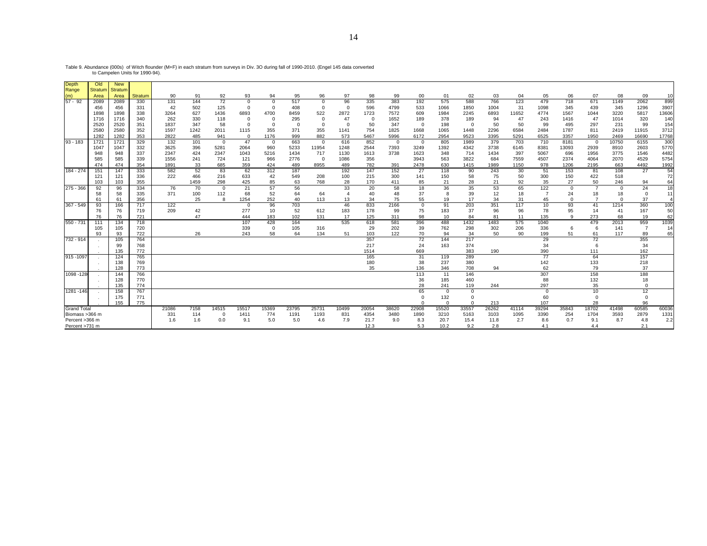| Table 9. Abundance (000s) of Witch flounder (M+F) in each stratum from surveys in Div. 3O during fall of 1990-2010. (Engel 145 data converted |                                |  |  |  |
|-----------------------------------------------------------------------------------------------------------------------------------------------|--------------------------------|--|--|--|
|                                                                                                                                               | to Compolen Unite for 1000 04) |  |  |  |

to Campelen Units for 1990-94).

| <b>Depth</b>       | Old     | <b>New</b> |                |       |      |                |                |              |          |                |                  |          |       |          |          |             |       |       |                |             |                |             |             |       |
|--------------------|---------|------------|----------------|-------|------|----------------|----------------|--------------|----------|----------------|------------------|----------|-------|----------|----------|-------------|-------|-------|----------------|-------------|----------------|-------------|-------------|-------|
| Range              | Stratum | Stratum    |                |       |      |                |                |              |          |                |                  |          |       |          |          |             |       |       |                |             |                |             |             |       |
| (m)                | Area    | Area       | <b>Stratum</b> | 90    | 91   | 92             | 93             | 94           | 95       | 96             | 97               | 98       | 99    | 00       | 01       | 02          | 03    | 04    | 05             | 06          | 07             | 08          | 09          | 10    |
| $57 - 92$          | 2089    | 2089       | 330            | 131   | 144  | 72             | $\mathbf 0$    | 0            | 517      | $\mathbf{0}$   | 96               | 335      | 383   | 192      | 575      | 588         | 766   | 123   | 479            | 718         | 671            | 1149        | 2062        | 899   |
|                    | 456     | 456        | 331            | 42    | 502  | 125            | $\overline{0}$ | $\Omega$     | 408      | $\Omega$       | $\mathbf 0$      | 596      | 4799  | 533      | 1066     | 1850        | 1004  | 31    | 1098           | 345         | 439            | 345         | 1296        | 3907  |
|                    | 1898    | 1898       | 338            | 3264  | 627  | 1436           | 6893           | 4700         | 8459     | 522            | 2872             | 1723     | 7572  | 609      | 1984     | 2245        | 6893  | 11652 | 4774           | 1567        | 1044           | 3220        | 5817        | 13606 |
|                    | 1716    | 1716       | 340            | 262   | 330  | 118            | $\overline{0}$ | $\Omega$     | 295      | $\mathbf 0$    | 47               | $\Omega$ | 1652  | 189      | 378      | 189         | 94    | 47    | 243            | 1416        | 47             | 1014        | 320         | 140   |
|                    | 2520    | 2520       | 351            | 1837  | 347  | 58             | $\Omega$       | $\Omega$     | $\Omega$ | $\Omega$       | $\Omega$         | 50       | 347   | 0        | 198      | $\mathbf 0$ | 50    | 50    | 99             | 495         | 297            | 231         | 99          | 154   |
|                    | 2580    | 2580       | 352            | 1597  | 1242 | 2011           | 1115           | 355          | 371      | 355            | 1141             | 754      | 1825  | 1668     | 1065     | 1448        | 2296  | 6584  | 2484           | 1787        | 811            | 2419        | 11915       | 3712  |
|                    | 1282    | 1282       | 353            | 2822  | 485  | 941            | $^{\circ}$     | 1176         | 999      | 882            | 573              | 5467     | 5996  | 6172     | 2954     | 9523        | 3395  | 5291  | 6525           | 3357        | 1950           | 2469        | 16690       | 17768 |
| $93 - 183$         | 1721    | 1721       | 329            | 132   | 101  | $\overline{0}$ | 47             | $\mathbf{0}$ | 663      | $\overline{0}$ | 616              | 852      | 0     | 0        | 805      | 1989        | 379   | 703   | 710            | 8181        | 0              | 10750       | 6155        | 300   |
|                    | 1047    | 1047       | 332            | 3625  | 396  | 5281           | 2064           | 960          | 5233     | 11954          | 1248             | 2544     | 7393  | 3249     | 1392     | 4342        | 3738  | 6145  | 8381           | 13093       | 2939           | 8910        | 2603        | 5770  |
|                    | 948     | 948        | 337            | 2347  | 424  | 2347           | 1043           | 5216         | 1434     | 717            | 1130             | 1613     | 3738  | 1623     | 348      | 714         | 1434  | 397   | 5067           | 696         | 1956           | 3775        | 1546        | 4482  |
|                    | 585     | 585        | 339            | 1556  | 241  | 724            | 121            | 966          | 2776     | $\mathbf{0}$   | 1086             | 356      |       | 3943     | 563      | 3822        | 684   | 7559  | 4507           | 2374        | 4064           | 2070        | 4529        | 5754  |
|                    | 474     | 474        | 354            | 1891  | 33   | 685            | 359            | 424          | 489      | 8955           | 489              | 782      | 391   | 2478     | 630      | 1415        | 1989  | 1150  | 978            | 1206        | 2195           | 663         | 4492        | 1992  |
| $184 - 274$        | 151     | 147        | 333            | 582   | 52   | 83             | 62             | 312          | 187      |                | 192              | 147      | 152   | 27       | 118      | 90          | 243   | 30    | 51             | 153         | 81             | 108         | 27          | 54    |
|                    | 121     | 121        | 336            | 222   | 466  | 216            | 633            | 42           | 549      | 208            | 100              | 215      | 300   | 141      | 150      | 58          | 75    | 50    | 300            | 150         | 422            | 518         |             | 72    |
|                    | 103     | 103        | 355            |       | 1459 | 298            | 425            | 85           | 63       | 768            | 28               | 170      | 411   | 85       | 21       | 28          | 21    | 92    | 35             | 27          | 50             | 246         | 94          | 64    |
| 275 - 366          | 92      | 96         | 334            | 76    | 70   | $\overline{0}$ | 21             | 57           | 56       |                | 33               | 20       | 58    | 18       | 36       | 35          | 53    | 65    | 122            | $\mathbf 0$ | $\overline{7}$ | $\mathbf 0$ | 24          | 18    |
|                    | 58      | 58         | 335            | 371   | 100  | 112            | 68             | 52           | 64       | 64             | $\boldsymbol{A}$ | 40       | 48    | 37       | 8        | 39          | 12    | 18    | $\overline{7}$ | 24          | 18             | 18          | $\mathbf 0$ | 11    |
|                    | 61      | 61         | 356            |       | 25   | 8              | 1254           | 252          | 40       | 113            | 13               | 34       | 75    | 55       | 19       | 17          | 34    | 31    | 45             | $\Omega$    | $\overline{7}$ | $\Omega$    | 37          | 4     |
| $367 - 549$        | 93      | 166        | 717            | 122   |      |                | $\overline{0}$ | 96           | 703      |                | 46               | 833      | 2166  | 0        | 91       | 203         | 351   | 117   | 10             | 93          | 41             | 1214        | 360         | 100   |
|                    | 76      | 76         | 719            | 209   | 42   |                | 277            | 10           | 52       | 612            | 183              | 178      | 99    | 75       | 183      | 37          | 96    | 96    | 78             | 95          | 14             | 41          | 167         | 50    |
|                    | 76      | 76         | 721            |       | 47   |                | 444            | 183          | 102      | 131            | 17               | 125      | 311   | 98       | 10       | 84          | 81    | 11    | 135            | 9           | 273            | 68          | 19          | 62    |
| 550 - 731          | 111     | 134        | 718            |       |      |                | 107            | 428          | 164      |                | 535              | 618      | 581   | 396      | 488      | 1432        | 1483  | 575   | 1040           |             | 479            | 2013        | 959         | 1039  |
|                    | 105     | 105        | 720            |       |      |                | 339            | $\mathbf 0$  | 105      | 316            |                  | 29       | 202   | 39       | 762      | 298         | 302   | 206   | 336            | 6           | 6              | 141         | -7          | 14    |
|                    | 93      | 93         | 722            |       | 26   |                | 243            | 58           | 64       | 134            | 51               | 103      | 122   | 70       | 94       | 34          | 50    | 90    | 199            | 51          | 61             | 117         | 89          | 65    |
| 732 - 914          |         | 105        | 764            |       |      |                |                |              |          |                |                  | 357      |       | 72       | 144      | 217         |       |       | 29             |             | 72             |             | 355         |       |
|                    | $\sim$  | 99         | 768            |       |      |                |                |              |          |                |                  | 217      |       | 24       | 163      | 374         |       |       | 34             |             | 6              |             | 34          |       |
|                    |         | 135        | 772            |       |      |                |                |              |          |                |                  | 1514     |       | 669      |          | 383         | 190   |       | 390            |             | 111            |             | 162         |       |
| 915-1097           |         | 124        | 765            |       |      |                |                |              |          |                |                  | 165      |       | 31       | 119      | 289         |       |       | 77             |             | 64             |             | 157         |       |
|                    |         | 138        | 769            |       |      |                |                |              |          |                |                  | 180      |       | 38       | 237      | 380         |       |       | 142            |             | 133            |             | 218         |       |
|                    |         | 128        | 773            |       |      |                |                |              |          |                |                  | 35       |       | 136      | 346      | 708         | 94    |       | 62             |             | 79             |             | 37          |       |
| 1098-128           |         | 144        | 766            |       |      |                |                |              |          |                |                  |          |       | 113      | 11       | 146         |       |       | 307            |             | 158            |             | 188         |       |
|                    |         | 128        | 770            |       |      |                |                |              |          |                |                  |          |       | 36       | 185      | 460         |       |       | 88             |             | 132            |             | 18          |       |
|                    |         | 135        | 774            |       |      |                |                |              |          |                |                  |          |       | 28       | 241      | 119         | 244   |       | 297            |             | 35             |             | $\Omega$    |       |
| 1281 - 146         |         | 158        | 767            |       |      |                |                |              |          |                |                  |          |       | 65       | $\Omega$ | 0           |       |       | $\Omega$       |             | 10             |             | 12          |       |
|                    | $\sim$  | 175        | 771            |       |      |                |                |              |          |                |                  |          |       | 0        | 132      | $\Omega$    |       |       | 60             |             | $^{\circ}$     |             | $\Omega$    |       |
|                    |         | 155        | 775            |       |      |                |                |              |          |                |                  |          |       | $\Omega$ | $\Omega$ | $\Omega$    | 213   |       | 107            |             | 28             |             | 96          |       |
| <b>Grand Total</b> |         |            |                | 21086 | 7158 | 14515          | 15517          | 15369        | 23795    | 25731          | 10499            | 20054    | 38620 | 22908    | 15520    | 33557       | 26262 | 41114 | 39294          | 35843       | 18702          | 41498       | 60585       | 60036 |
| Biomass >366 m     |         |            |                | 331   | 114  | $\overline{0}$ | 1411           | 774          | 1191     | 1193           | 831              | 4354     | 3480  | 1890     | 3210     | 5163        | 3103  | 1095  | 3390           | 254         | 1704           | 3593        | 2879        | 1331  |
| Percent >366 m     |         |            |                | 1.6   | 1.6  | 0.0            | 9.1            | 5.0          | 5.0      | 4.6            | 7.9              | 21.7     | 9.0   | 8.3      | 20.7     | 15.4        | 11.8  | 2.7   | 8.6            | 0.7         | 9.1            | 8.7         | 4.8         | 2.2   |
| Percent >731 m     |         |            |                |       |      |                |                |              |          |                |                  | 12.3     |       | 5.3      | 10.2     | 9.2         | 2.8   |       | 4.1            |             | 4.4            |             | 2.1         |       |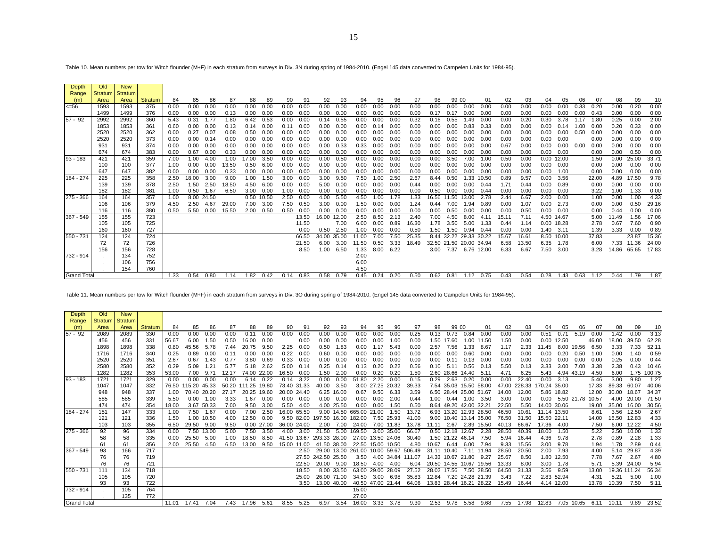| 0.00<br>1.50<br>0.00<br>0.00<br>$0.00\,$<br>1.33<br>182<br>182<br>381<br>1.00<br>0.50<br>1.67<br>6.50<br>3.00<br>0.00<br>1.00<br>0.00<br>0.00<br>0.00<br>0.00<br>0.00<br>0.00<br>0.00<br>0.50<br>0.00<br>0.00<br>0.44<br>0.00<br>0.00<br>0.00<br>0.00<br>3.22<br>1.00<br>275 - 366<br>8.00 24.50<br>2.50<br>1.00<br>164<br>357<br>0.50<br>10.50<br>0.00<br>4.00<br>5.50<br>4.50<br>1.00<br>1.33<br>2.78<br>2.44<br>6.67<br>2.00<br>0.00<br>0.00<br>4.33<br>164<br>1.00<br>1.78<br>16.56 11.50 13.00<br>1.00<br>0.00<br>0.50<br>106<br>106<br>379<br>4.50<br>2.50<br>4.67<br>29.00<br>7.00<br>3.00<br>7.50 0.50<br>$3.00$ $0.00$<br>1.50<br>0.00<br>0.00<br>1.24<br>0.44<br>7.00 1.94 0.89<br>0.00<br>1.07<br>2.73<br>0.00<br>0.00<br>29.16<br>380<br>0.00<br>15.50<br>2.00<br>0.50 0.00<br>0.00<br>0.00<br>0.50<br>0.00<br>0.00<br>0.00<br>0.00<br>116<br>116<br>0.50<br>5.50<br>0.50<br>$0.00 \quad 0.00$<br>0.00<br>0.00<br>0.00<br>0.00<br>0.50<br>0.00<br>0.00<br>0.44<br>0.00<br>367 - 549<br>723<br>155<br>155<br>16.00 12.00<br>2.40<br>1.56<br>17.06<br>13.50<br>2.50<br>8.50<br>2.13<br>7.00<br>4.50<br>8.00<br>4.11<br>15.11<br>7.11<br>4.50 14.67<br>5.00<br>11.49<br>0.00<br>0.89<br>7.60<br>105<br>105<br>725<br>11.50<br>7.00<br>6.00<br>16.30<br>1.78 3.50 5.00 1.33<br>0.44<br>0.00 18.28<br>2.78<br>0.67<br>0.90<br>1.14<br>160<br>160<br>727<br>$0.50$ 2.50<br>0.00<br>0.00<br>0.00<br>1.40<br>3.33<br>0.00<br>0.00<br>1.00<br>0.50<br>1.50<br>1.50<br>$0.94$ 0.44<br>0.00<br>3.11<br>1.39<br>550 - 731<br>25.35<br>124<br>124<br>724<br>66.50<br>34.00 35.00<br>11.00<br>7.00<br>7.50<br>8.44 32.22 29.33 30.22<br>15.67<br>16.61<br>8.50 10.00<br>37.83<br>23.87<br>72<br>72<br>726<br>6.00 3.00<br>11.50<br>0.50<br>3.33<br>18.49<br>32.50 21.50 20.00 34.94<br>6.58<br>13.50<br>6.35 1.78<br>6.00<br>7.33 11.36<br>24.00<br>21.50<br>8.00 6.22<br>156<br>156<br>728<br>1.33<br>6.33<br>6.67<br>7.50 3.00<br>3.28<br>14.86 65.65<br>8.50<br>1.00 6.50<br>3.00 7.37 6.76 12.00<br>17.83<br>732 - 914<br>134<br>752<br>2.00<br>6.00<br>106<br>756<br>760<br>4.50<br>154<br><b>Grand Total</b><br>0.54<br>0.80<br>1.82<br>0.58<br>$0.45$ 0.24 0.20<br>0.50<br>0.62<br>1.12 0.75<br>0.43<br>0.54<br>0.28<br>1.33<br>1.14<br>0.42<br>0.14<br>0.83<br>0.79<br>0.81<br>1.43<br>0.63<br>1.12<br>0.44<br>1.79<br>Table 11. Mean numbers per tow for Witch flounder (M+F) in each stratum from surveys in Div. 3O during spring of 1984-2010. (Engel 145 data converted to Campelen Units for 1984-95).<br>Depth<br>Old<br><b>New</b><br><b>Stratum</b><br>Range<br>Stratum<br><b>Stratum</b><br>87<br>99 00<br>01<br>09<br>Area<br>Area<br>84<br>85<br>86<br>88<br>89<br>90<br>91<br>92<br>93<br>95<br>96<br>97<br>98<br>02<br>03<br>04<br>05<br>06<br>07<br>08<br>(m)<br>94<br>0.00<br>0.00<br>2089<br>330<br>0.00<br>0.00<br>0.00<br>0.11<br>0.00<br>0.00<br>0.00<br>0.00<br>0.00<br>0.00<br>0.00<br>0.00<br>0.25<br>0.13<br>0.73<br>0.00<br>0.00<br>0.51<br>0.71<br>5.19<br>0.00<br>1.42<br>0.00<br>2089<br>0.84<br>18.00<br>39.50<br>456<br>456<br>331<br>56.67<br>6.00<br>1.50<br>0.50<br>16.00<br>0.00<br>0.00<br>$0.00 \quad 0.00$<br>0.00<br>0.00<br>1.00<br>0.00<br>1.50 17.60 1.00 11.50<br>1.50<br>0.00<br>0.00 12.50<br>46.00<br>1898<br>1898<br>338<br>45.56<br>20.75<br>9.50<br>2.25<br>0.00<br>$0.50$ 1.83<br>0.00<br>5.43<br>7.56<br>1.33 8.67<br>1.17<br>2.33<br>8.00 19.56 6.50<br>3.33<br>7.33<br>0.80<br>5.78<br>7.44<br>1.17<br>0.00<br>2.57<br>11.45<br>0.00<br>1716<br>340<br>0.89<br>0.00<br>0.11<br>0.00<br>0.00<br>0.22<br>0.00<br>$0.60$ 0.00<br>0.00<br>0.00<br>0.00<br>0.00<br>0.00<br>0.00<br>$0.60$ 0.00<br>0.00<br>0.00<br>0.20<br>$0.50$ 1.00<br>0.00<br>1.40<br>1716<br>0.25<br>0.00<br>2520<br>351<br>2.67<br>1.43<br>0.77<br>3.80<br>0.69<br>$0.00 \quad 0.00$<br>0.00<br>0.00<br>0.00<br>0.11 0.13 0.00<br>0.00<br>0.00<br>0.00<br>0.00<br>0.00<br>0.25<br>0.00<br>2520<br>0.67<br>0.33<br>0.00<br>0.00<br>$0.00\,$<br>2580<br>352<br>0.20<br>5.50<br>3.33<br>2.38<br>2580<br>0.29<br>5.09<br>1.21<br>5.77<br>5.18<br>2.62<br>5.00 0.14<br>$0.25$ 0.14<br>0.13<br>0.22<br>0.56<br>0.10 5.11 0.56 0.13<br>0.13<br>3.00 7.00<br>3.38<br>0.43<br>1282<br>1.75<br>1282<br>353<br>53.00<br>7.00<br>9.71<br>12.17<br>74.00 22.00<br>16.50<br>0.00<br>1.50<br>2.00<br>0.00<br>0.20<br>0.20<br>1.50<br>2.60 28.66 14.40 5.11<br>4.71<br>6.25<br>5.43<br>4.94 43.19<br>4.50<br>6.00<br>329<br>$93 - 183$<br>1721<br>0.00<br>0.00<br>3.22<br>0.00<br>22.40<br>5.46<br>3.00<br>9.80<br>1721<br>0.00<br>0.00<br>6.14<br>0.22<br>0.14<br>0.00<br>0.00<br>51.80<br>2.20<br>0.00<br>0.15<br>0.29<br>2.63<br>0.20<br>0.00<br>0.00<br>3.13<br>76.50 115.20 45.33<br>50.20 111.25 19.80<br>73.40 31.33<br>3.00 27.25 20.32<br>7.54 35.03 15.50 58.00<br>47.00 228.33 170.24 35.00<br>89.33<br>60.07<br>1047<br>332<br>40.00 3.50<br>39.33<br>17.33<br>1047<br>948<br>948<br>337<br>70.40 20.20<br>27.17<br>20.25 19.60<br>20.00 24.40<br>6.25 16.00<br>0.67<br>9.50<br>6.33<br>3.59<br>6.50 28.44 25.00 51.67<br>14.00<br>12.00<br>5.86 18.82<br>12.00<br>30.00<br>18.67<br>1.00<br>585<br>585<br>339<br>5.50<br>$0.00$ 1.00<br>3.33<br>1.67 0.00<br>$0.00 \quad 0.00$<br>$0.00 \quad 0.00$<br>0.00<br>$0.00$ 2.00<br>0.44<br>1.00  0.44  1.00  3.50<br>3.00<br>0.00<br>0.00 5.50 21.78 10.57<br>4.00<br>20.00<br>474<br>474<br>354<br>3.67 50.33<br>4.00 25.50<br>0.00<br>8.64 49.20 42.00 32.21<br>5.50<br>14.00 30.06<br>30.56<br>18.00<br>7.00<br>9.50<br>3.00<br>5.50 4.00<br>0.00<br>1.50<br>0.50<br>22.50<br>19.00<br>35.00<br>16.00<br>147<br>7.50<br>1.67<br>0.00<br>7.00<br>2.50<br>16.00 65.50<br>9.00 14.50 665.00 21.00<br>1.50<br>13.72<br>6.93 13.20 12.93 28.50<br>46.50<br>10.61<br>3.56<br>12.50<br>184 - 274<br>151<br>333<br>1.00<br>11.14 13.50<br>8.61<br>1.00 10.50<br>4.00<br>12.50<br>9.50 82.00 197.50 16.00 182.00 7.50 25.93<br>9.00 10.40 13.14 35.00<br>76.50<br>15.50 22.11<br>16.50<br>12.83<br>4.33<br>121<br>121<br>336<br>1.50<br>0.00<br>41.00<br>31.50<br>14.00<br>103<br>29.50<br>9.00<br>0.00 27.00<br>36.00 24.00<br>2.00 7.00<br>24.00<br>7.00 11.83<br>11.11 2.67 2.89 15.50<br>40.13<br>17.36<br>6.00<br>12.22<br>4.50<br>103<br>355<br>6.50<br>9.50<br>13.78<br>66.67<br>4.00<br>7.50<br>$275 - 366$<br>5.22<br>96<br>334<br>7.50 13.00<br>5.00<br>7.50<br>3.50<br>4.00 3.00<br>21.50 5.00 169.50<br>3.00 35.00<br>66.67<br>0.50 12.18 12.67 2.28<br>28.50<br>40.39<br>18.00<br>1.50<br>2.50<br>10.00<br>92<br>0.00<br>58<br>335<br>25.50<br>5.00<br>1.00<br>18.50<br>8.50<br>41.50 13.67 293.33 28.00 27.00 13.50 24.06<br>30.40<br>1.50 21.22 46.14 7.50<br>5.94<br>16.44<br>4.36<br>9.78<br>2.78<br>0.89<br>2.28<br>58<br>0.00<br>61<br>356<br>2.00<br>25.50 4.50<br>6.50 13.00<br>9.50 15.00 11.00<br>41.50 38.00 22.50 15.00 10.50<br>10.67 6.44 6.00<br>7.94<br>9.33<br>3.00<br>9.78<br>1.78<br>2.89<br>61<br>4.80<br>15.56<br>1.94<br>$367 - 549$<br>93<br>166<br>717<br>5.14<br>29.00 13.00 261.00 10.00 59.67 506.49<br>31.11 10.40<br>7.11 11.94<br>28.50<br>20.50<br>2.00<br>7.93<br>4.00<br>29.87<br>2.50<br>76<br>1.80 12.50<br>2.67<br>76<br>719<br>27.50 242.50 25.50<br>3.50 4.00 34.84 111.07<br>14.33 10.67 21.80 9.27<br>25.67<br>8.50<br>7.78<br>7.67<br>76<br>76<br>721<br>3.00<br>5.39<br>24.00<br>20.00 9.00<br>18.50<br>4.00 4.00<br>20.50 14.55 10.67 19.56<br>13.33<br>8.00<br>1.78<br>5.71<br>22.50<br>6.04<br>$550 - 731$<br>134<br>718<br>8.00 33.50<br>63.00 29.00 28.09<br>27.52<br>28.02 17.56<br>7.50 28.50<br>31.33<br>3.56<br>9.59<br>19.36 111.24<br>111<br>18.50<br>64.50<br>13.00<br>12.84 7.20 24.28 21.39<br>720<br>26.00 71.00<br>34.50 3.00 6.98<br>35.83<br>3.43<br>7.22<br>2.83 52.94<br>4.31<br>5.21<br>5.00<br>105<br>105<br>25.00<br>722<br>93<br>93<br>10.39<br>13.00 40.00<br>40.50 47.00 21.44<br>64.06<br>13.83 28.44 16.21 28.22<br>16.44<br>4.14 12.00<br>13.78<br>7.50<br>3.50<br>15.49<br>732 - 914<br>105<br>764<br>15.00<br>772<br>135<br>27.00<br><b>Grand Total</b><br>3.33<br>7.04<br>7.43<br>17.96<br>5.61<br>8.55<br>6.97<br>3.54<br>16.00<br>3.78<br>9.30<br>2.53<br>9.78 5.58<br>9.68<br>7.55<br>17.98<br>12.83<br>7.05 10.65<br>6.11<br>11.01<br>17.41<br>5.25<br>10.11<br>9.89 | 184 - 274 | 225 | 225 | 358 | 2.50 | 18.00 | 3.00 | 9.00  | 1.00 | 1.50 | 3.00 | 0.00 | 3.00 | 9.50 | 7.50 | 1.00 | 2.50 | 2.67 | 8.44 | 0.50 | 1.33 10.50 | 0.89 | 9.57 | 0.00 | 3.56 | 22.00 | 4.89 | 17.50 | 9.78   |
|-----------------------------------------------------------------------------------------------------------------------------------------------------------------------------------------------------------------------------------------------------------------------------------------------------------------------------------------------------------------------------------------------------------------------------------------------------------------------------------------------------------------------------------------------------------------------------------------------------------------------------------------------------------------------------------------------------------------------------------------------------------------------------------------------------------------------------------------------------------------------------------------------------------------------------------------------------------------------------------------------------------------------------------------------------------------------------------------------------------------------------------------------------------------------------------------------------------------------------------------------------------------------------------------------------------------------------------------------------------------------------------------------------------------------------------------------------------------------------------------------------------------------------------------------------------------------------------------------------------------------------------------------------------------------------------------------------------------------------------------------------------------------------------------------------------------------------------------------------------------------------------------------------------------------------------------------------------------------------------------------------------------------------------------------------------------------------------------------------------------------------------------------------------------------------------------------------------------------------------------------------------------------------------------------------------------------------------------------------------------------------------------------------------------------------------------------------------------------------------------------------------------------------------------------------------------------------------------------------------------------------------------------------------------------------------------------------------------------------------------------------------------------------------------------------------------------------------------------------------------------------------------------------------------------------------------------------------------------------------------------------------------------------------------------------------------------------------------------------------------------------------------------------------------------------------------------------------------------------------------------------------------------------------------------------------------------------------------------------------------------------------------------------------------------------------------------------------------------------------------------------------------------------------------------------------------------------------------------------------------------------------------------------------------------------------------------------------------------------------------------------------------------------------------------------------------------------------------------------------------------------------------------------------------------------------------------------------------------------------------------------------------------------------------------------------------------------------------------------------------------------------------------------------------------------------------------------------------------------------------------------------------------------------------------------------------------------------------------------------------------------------------------------------------------------------------------------------------------------------------------------------------------------------------------------------------------------------------------------------------------------------------------------------------------------------------------------------------------------------------------------------------------------------------------------------------------------------------------------------------------------------------------------------------------------------------------------------------------------------------------------------------------------------------------------------------------------------------------------------------------------------------------------------------------------------------------------------------------------------------------------------------------------------------------------------------------------------------------------------------------------------------------------------------------------------------------------------------------------------------------------------------------------------------------------------------------------------------------------------------------------------------------------------------------------------------------------------------------------------------------------------------------------------------------------------------------------------------------------------------------------------------------------------------------------------------------------------------------------------------------------------------------------------------------------------------------------------------------------------------------------------------------------------------------------------------------------------------------------------------------------------------------------------------------------------------------------------------------------------------------------------------------------------------------------------------------------------------------------------------------------------------------------------------------------------------------------------------------------------------------------------------------------------------------------------------------------------------------------------------------------------------------------------------------------------------------------------------------------------------------------------------------------------------------------------------------------------------------------------------------------------------------------------------------------------------------------------------------------------------------------------------------------------------------------------------------------------------------------------------------------------------------------------------------------------------------------------------------------------------------------------------------------------------------------------------------------------------------------------------------------------------------------------------------------------------------------------------------------------------------------------------------------------------------------------------------------------------------------------------------------------------------------------------------------------------------------------------------------------------------------------------------------------------------------------------------------------------------------------------------------------------------------------------------------------------------------------------------------------------------------------------------------------------------------------------------------------------------------|-----------|-----|-----|-----|------|-------|------|-------|------|------|------|------|------|------|------|------|------|------|------|------|------------|------|------|------|------|-------|------|-------|--------|
|                                                                                                                                                                                                                                                                                                                                                                                                                                                                                                                                                                                                                                                                                                                                                                                                                                                                                                                                                                                                                                                                                                                                                                                                                                                                                                                                                                                                                                                                                                                                                                                                                                                                                                                                                                                                                                                                                                                                                                                                                                                                                                                                                                                                                                                                                                                                                                                                                                                                                                                                                                                                                                                                                                                                                                                                                                                                                                                                                                                                                                                                                                                                                                                                                                                                                                                                                                                                                                                                                                                                                                                                                                                                                                                                                                                                                                                                                                                                                                                                                                                                                                                                                                                                                                                                                                                                                                                                                                                                                                                                                                                                                                                                                                                                                                                                                                                                                                                                                                                                                                                                                                                                                                                                                                                                                                                                                                                                                                                                                                                                                                                                                                                                                                                                                                                                                                                                                                                                                                                                                                                                                                                                                                                                                                                                                                                                                                                                                                                                                                                                                                                                                                                                                                                                                                                                                                                                                                                                                                                                                                                                                                                                                                                                                                                                                                                                                                                                                                                                                                                                                                                                                                                                                                                                                                                                                                                                                                                                                                                                                                                                                                                                                                                                                             |           | 139 | 139 | 378 | 2.50 |       | 2.50 | 18.50 | 4.50 | 6.00 | 0.00 |      | 5.00 | 0.00 | 0.00 | 0.00 | 0.00 | 0.44 |      |      | 0.44       | 1.71 | 0.44 | 0.00 | 0.89 | 0.00  | 0.00 | 0.00  | 0.00   |
|                                                                                                                                                                                                                                                                                                                                                                                                                                                                                                                                                                                                                                                                                                                                                                                                                                                                                                                                                                                                                                                                                                                                                                                                                                                                                                                                                                                                                                                                                                                                                                                                                                                                                                                                                                                                                                                                                                                                                                                                                                                                                                                                                                                                                                                                                                                                                                                                                                                                                                                                                                                                                                                                                                                                                                                                                                                                                                                                                                                                                                                                                                                                                                                                                                                                                                                                                                                                                                                                                                                                                                                                                                                                                                                                                                                                                                                                                                                                                                                                                                                                                                                                                                                                                                                                                                                                                                                                                                                                                                                                                                                                                                                                                                                                                                                                                                                                                                                                                                                                                                                                                                                                                                                                                                                                                                                                                                                                                                                                                                                                                                                                                                                                                                                                                                                                                                                                                                                                                                                                                                                                                                                                                                                                                                                                                                                                                                                                                                                                                                                                                                                                                                                                                                                                                                                                                                                                                                                                                                                                                                                                                                                                                                                                                                                                                                                                                                                                                                                                                                                                                                                                                                                                                                                                                                                                                                                                                                                                                                                                                                                                                                                                                                                                                             |           |     |     |     |      |       |      |       |      |      |      |      |      |      |      |      |      |      |      |      |            |      |      |      |      |       |      |       | 0.00   |
|                                                                                                                                                                                                                                                                                                                                                                                                                                                                                                                                                                                                                                                                                                                                                                                                                                                                                                                                                                                                                                                                                                                                                                                                                                                                                                                                                                                                                                                                                                                                                                                                                                                                                                                                                                                                                                                                                                                                                                                                                                                                                                                                                                                                                                                                                                                                                                                                                                                                                                                                                                                                                                                                                                                                                                                                                                                                                                                                                                                                                                                                                                                                                                                                                                                                                                                                                                                                                                                                                                                                                                                                                                                                                                                                                                                                                                                                                                                                                                                                                                                                                                                                                                                                                                                                                                                                                                                                                                                                                                                                                                                                                                                                                                                                                                                                                                                                                                                                                                                                                                                                                                                                                                                                                                                                                                                                                                                                                                                                                                                                                                                                                                                                                                                                                                                                                                                                                                                                                                                                                                                                                                                                                                                                                                                                                                                                                                                                                                                                                                                                                                                                                                                                                                                                                                                                                                                                                                                                                                                                                                                                                                                                                                                                                                                                                                                                                                                                                                                                                                                                                                                                                                                                                                                                                                                                                                                                                                                                                                                                                                                                                                                                                                                                                             |           |     |     |     |      |       |      |       |      |      |      |      |      |      |      |      |      |      |      |      |            |      |      |      |      |       |      |       |        |
|                                                                                                                                                                                                                                                                                                                                                                                                                                                                                                                                                                                                                                                                                                                                                                                                                                                                                                                                                                                                                                                                                                                                                                                                                                                                                                                                                                                                                                                                                                                                                                                                                                                                                                                                                                                                                                                                                                                                                                                                                                                                                                                                                                                                                                                                                                                                                                                                                                                                                                                                                                                                                                                                                                                                                                                                                                                                                                                                                                                                                                                                                                                                                                                                                                                                                                                                                                                                                                                                                                                                                                                                                                                                                                                                                                                                                                                                                                                                                                                                                                                                                                                                                                                                                                                                                                                                                                                                                                                                                                                                                                                                                                                                                                                                                                                                                                                                                                                                                                                                                                                                                                                                                                                                                                                                                                                                                                                                                                                                                                                                                                                                                                                                                                                                                                                                                                                                                                                                                                                                                                                                                                                                                                                                                                                                                                                                                                                                                                                                                                                                                                                                                                                                                                                                                                                                                                                                                                                                                                                                                                                                                                                                                                                                                                                                                                                                                                                                                                                                                                                                                                                                                                                                                                                                                                                                                                                                                                                                                                                                                                                                                                                                                                                                                             |           |     |     |     |      |       |      |       |      |      |      |      |      |      |      |      |      |      |      |      |            |      |      |      |      |       |      |       |        |
|                                                                                                                                                                                                                                                                                                                                                                                                                                                                                                                                                                                                                                                                                                                                                                                                                                                                                                                                                                                                                                                                                                                                                                                                                                                                                                                                                                                                                                                                                                                                                                                                                                                                                                                                                                                                                                                                                                                                                                                                                                                                                                                                                                                                                                                                                                                                                                                                                                                                                                                                                                                                                                                                                                                                                                                                                                                                                                                                                                                                                                                                                                                                                                                                                                                                                                                                                                                                                                                                                                                                                                                                                                                                                                                                                                                                                                                                                                                                                                                                                                                                                                                                                                                                                                                                                                                                                                                                                                                                                                                                                                                                                                                                                                                                                                                                                                                                                                                                                                                                                                                                                                                                                                                                                                                                                                                                                                                                                                                                                                                                                                                                                                                                                                                                                                                                                                                                                                                                                                                                                                                                                                                                                                                                                                                                                                                                                                                                                                                                                                                                                                                                                                                                                                                                                                                                                                                                                                                                                                                                                                                                                                                                                                                                                                                                                                                                                                                                                                                                                                                                                                                                                                                                                                                                                                                                                                                                                                                                                                                                                                                                                                                                                                                                                             |           |     |     |     |      |       |      |       |      |      |      |      |      |      |      |      |      |      |      |      |            |      |      |      |      |       |      |       |        |
|                                                                                                                                                                                                                                                                                                                                                                                                                                                                                                                                                                                                                                                                                                                                                                                                                                                                                                                                                                                                                                                                                                                                                                                                                                                                                                                                                                                                                                                                                                                                                                                                                                                                                                                                                                                                                                                                                                                                                                                                                                                                                                                                                                                                                                                                                                                                                                                                                                                                                                                                                                                                                                                                                                                                                                                                                                                                                                                                                                                                                                                                                                                                                                                                                                                                                                                                                                                                                                                                                                                                                                                                                                                                                                                                                                                                                                                                                                                                                                                                                                                                                                                                                                                                                                                                                                                                                                                                                                                                                                                                                                                                                                                                                                                                                                                                                                                                                                                                                                                                                                                                                                                                                                                                                                                                                                                                                                                                                                                                                                                                                                                                                                                                                                                                                                                                                                                                                                                                                                                                                                                                                                                                                                                                                                                                                                                                                                                                                                                                                                                                                                                                                                                                                                                                                                                                                                                                                                                                                                                                                                                                                                                                                                                                                                                                                                                                                                                                                                                                                                                                                                                                                                                                                                                                                                                                                                                                                                                                                                                                                                                                                                                                                                                                                             |           |     |     |     |      |       |      |       |      |      |      |      |      |      |      |      |      |      |      |      |            |      |      |      |      |       |      |       |        |
|                                                                                                                                                                                                                                                                                                                                                                                                                                                                                                                                                                                                                                                                                                                                                                                                                                                                                                                                                                                                                                                                                                                                                                                                                                                                                                                                                                                                                                                                                                                                                                                                                                                                                                                                                                                                                                                                                                                                                                                                                                                                                                                                                                                                                                                                                                                                                                                                                                                                                                                                                                                                                                                                                                                                                                                                                                                                                                                                                                                                                                                                                                                                                                                                                                                                                                                                                                                                                                                                                                                                                                                                                                                                                                                                                                                                                                                                                                                                                                                                                                                                                                                                                                                                                                                                                                                                                                                                                                                                                                                                                                                                                                                                                                                                                                                                                                                                                                                                                                                                                                                                                                                                                                                                                                                                                                                                                                                                                                                                                                                                                                                                                                                                                                                                                                                                                                                                                                                                                                                                                                                                                                                                                                                                                                                                                                                                                                                                                                                                                                                                                                                                                                                                                                                                                                                                                                                                                                                                                                                                                                                                                                                                                                                                                                                                                                                                                                                                                                                                                                                                                                                                                                                                                                                                                                                                                                                                                                                                                                                                                                                                                                                                                                                                                             |           |     |     |     |      |       |      |       |      |      |      |      |      |      |      |      |      |      |      |      |            |      |      |      |      |       |      |       | 0.89   |
|                                                                                                                                                                                                                                                                                                                                                                                                                                                                                                                                                                                                                                                                                                                                                                                                                                                                                                                                                                                                                                                                                                                                                                                                                                                                                                                                                                                                                                                                                                                                                                                                                                                                                                                                                                                                                                                                                                                                                                                                                                                                                                                                                                                                                                                                                                                                                                                                                                                                                                                                                                                                                                                                                                                                                                                                                                                                                                                                                                                                                                                                                                                                                                                                                                                                                                                                                                                                                                                                                                                                                                                                                                                                                                                                                                                                                                                                                                                                                                                                                                                                                                                                                                                                                                                                                                                                                                                                                                                                                                                                                                                                                                                                                                                                                                                                                                                                                                                                                                                                                                                                                                                                                                                                                                                                                                                                                                                                                                                                                                                                                                                                                                                                                                                                                                                                                                                                                                                                                                                                                                                                                                                                                                                                                                                                                                                                                                                                                                                                                                                                                                                                                                                                                                                                                                                                                                                                                                                                                                                                                                                                                                                                                                                                                                                                                                                                                                                                                                                                                                                                                                                                                                                                                                                                                                                                                                                                                                                                                                                                                                                                                                                                                                                                                             |           |     |     |     |      |       |      |       |      |      |      |      |      |      |      |      |      |      |      |      |            |      |      |      |      |       |      |       | 15.36  |
|                                                                                                                                                                                                                                                                                                                                                                                                                                                                                                                                                                                                                                                                                                                                                                                                                                                                                                                                                                                                                                                                                                                                                                                                                                                                                                                                                                                                                                                                                                                                                                                                                                                                                                                                                                                                                                                                                                                                                                                                                                                                                                                                                                                                                                                                                                                                                                                                                                                                                                                                                                                                                                                                                                                                                                                                                                                                                                                                                                                                                                                                                                                                                                                                                                                                                                                                                                                                                                                                                                                                                                                                                                                                                                                                                                                                                                                                                                                                                                                                                                                                                                                                                                                                                                                                                                                                                                                                                                                                                                                                                                                                                                                                                                                                                                                                                                                                                                                                                                                                                                                                                                                                                                                                                                                                                                                                                                                                                                                                                                                                                                                                                                                                                                                                                                                                                                                                                                                                                                                                                                                                                                                                                                                                                                                                                                                                                                                                                                                                                                                                                                                                                                                                                                                                                                                                                                                                                                                                                                                                                                                                                                                                                                                                                                                                                                                                                                                                                                                                                                                                                                                                                                                                                                                                                                                                                                                                                                                                                                                                                                                                                                                                                                                                                             |           |     |     |     |      |       |      |       |      |      |      |      |      |      |      |      |      |      |      |      |            |      |      |      |      |       |      |       |        |
|                                                                                                                                                                                                                                                                                                                                                                                                                                                                                                                                                                                                                                                                                                                                                                                                                                                                                                                                                                                                                                                                                                                                                                                                                                                                                                                                                                                                                                                                                                                                                                                                                                                                                                                                                                                                                                                                                                                                                                                                                                                                                                                                                                                                                                                                                                                                                                                                                                                                                                                                                                                                                                                                                                                                                                                                                                                                                                                                                                                                                                                                                                                                                                                                                                                                                                                                                                                                                                                                                                                                                                                                                                                                                                                                                                                                                                                                                                                                                                                                                                                                                                                                                                                                                                                                                                                                                                                                                                                                                                                                                                                                                                                                                                                                                                                                                                                                                                                                                                                                                                                                                                                                                                                                                                                                                                                                                                                                                                                                                                                                                                                                                                                                                                                                                                                                                                                                                                                                                                                                                                                                                                                                                                                                                                                                                                                                                                                                                                                                                                                                                                                                                                                                                                                                                                                                                                                                                                                                                                                                                                                                                                                                                                                                                                                                                                                                                                                                                                                                                                                                                                                                                                                                                                                                                                                                                                                                                                                                                                                                                                                                                                                                                                                                                             |           |     |     |     |      |       |      |       |      |      |      |      |      |      |      |      |      |      |      |      |            |      |      |      |      |       |      |       |        |
|                                                                                                                                                                                                                                                                                                                                                                                                                                                                                                                                                                                                                                                                                                                                                                                                                                                                                                                                                                                                                                                                                                                                                                                                                                                                                                                                                                                                                                                                                                                                                                                                                                                                                                                                                                                                                                                                                                                                                                                                                                                                                                                                                                                                                                                                                                                                                                                                                                                                                                                                                                                                                                                                                                                                                                                                                                                                                                                                                                                                                                                                                                                                                                                                                                                                                                                                                                                                                                                                                                                                                                                                                                                                                                                                                                                                                                                                                                                                                                                                                                                                                                                                                                                                                                                                                                                                                                                                                                                                                                                                                                                                                                                                                                                                                                                                                                                                                                                                                                                                                                                                                                                                                                                                                                                                                                                                                                                                                                                                                                                                                                                                                                                                                                                                                                                                                                                                                                                                                                                                                                                                                                                                                                                                                                                                                                                                                                                                                                                                                                                                                                                                                                                                                                                                                                                                                                                                                                                                                                                                                                                                                                                                                                                                                                                                                                                                                                                                                                                                                                                                                                                                                                                                                                                                                                                                                                                                                                                                                                                                                                                                                                                                                                                                                             |           |     |     |     |      |       |      |       |      |      |      |      |      |      |      |      |      |      |      |      |            |      |      |      |      |       |      |       |        |
|                                                                                                                                                                                                                                                                                                                                                                                                                                                                                                                                                                                                                                                                                                                                                                                                                                                                                                                                                                                                                                                                                                                                                                                                                                                                                                                                                                                                                                                                                                                                                                                                                                                                                                                                                                                                                                                                                                                                                                                                                                                                                                                                                                                                                                                                                                                                                                                                                                                                                                                                                                                                                                                                                                                                                                                                                                                                                                                                                                                                                                                                                                                                                                                                                                                                                                                                                                                                                                                                                                                                                                                                                                                                                                                                                                                                                                                                                                                                                                                                                                                                                                                                                                                                                                                                                                                                                                                                                                                                                                                                                                                                                                                                                                                                                                                                                                                                                                                                                                                                                                                                                                                                                                                                                                                                                                                                                                                                                                                                                                                                                                                                                                                                                                                                                                                                                                                                                                                                                                                                                                                                                                                                                                                                                                                                                                                                                                                                                                                                                                                                                                                                                                                                                                                                                                                                                                                                                                                                                                                                                                                                                                                                                                                                                                                                                                                                                                                                                                                                                                                                                                                                                                                                                                                                                                                                                                                                                                                                                                                                                                                                                                                                                                                                                             |           |     |     |     |      |       |      |       |      |      |      |      |      |      |      |      |      |      |      |      |            |      |      |      |      |       |      |       |        |
|                                                                                                                                                                                                                                                                                                                                                                                                                                                                                                                                                                                                                                                                                                                                                                                                                                                                                                                                                                                                                                                                                                                                                                                                                                                                                                                                                                                                                                                                                                                                                                                                                                                                                                                                                                                                                                                                                                                                                                                                                                                                                                                                                                                                                                                                                                                                                                                                                                                                                                                                                                                                                                                                                                                                                                                                                                                                                                                                                                                                                                                                                                                                                                                                                                                                                                                                                                                                                                                                                                                                                                                                                                                                                                                                                                                                                                                                                                                                                                                                                                                                                                                                                                                                                                                                                                                                                                                                                                                                                                                                                                                                                                                                                                                                                                                                                                                                                                                                                                                                                                                                                                                                                                                                                                                                                                                                                                                                                                                                                                                                                                                                                                                                                                                                                                                                                                                                                                                                                                                                                                                                                                                                                                                                                                                                                                                                                                                                                                                                                                                                                                                                                                                                                                                                                                                                                                                                                                                                                                                                                                                                                                                                                                                                                                                                                                                                                                                                                                                                                                                                                                                                                                                                                                                                                                                                                                                                                                                                                                                                                                                                                                                                                                                                                             |           |     |     |     |      |       |      |       |      |      |      |      |      |      |      |      |      |      |      |      |            |      |      |      |      |       |      |       |        |
|                                                                                                                                                                                                                                                                                                                                                                                                                                                                                                                                                                                                                                                                                                                                                                                                                                                                                                                                                                                                                                                                                                                                                                                                                                                                                                                                                                                                                                                                                                                                                                                                                                                                                                                                                                                                                                                                                                                                                                                                                                                                                                                                                                                                                                                                                                                                                                                                                                                                                                                                                                                                                                                                                                                                                                                                                                                                                                                                                                                                                                                                                                                                                                                                                                                                                                                                                                                                                                                                                                                                                                                                                                                                                                                                                                                                                                                                                                                                                                                                                                                                                                                                                                                                                                                                                                                                                                                                                                                                                                                                                                                                                                                                                                                                                                                                                                                                                                                                                                                                                                                                                                                                                                                                                                                                                                                                                                                                                                                                                                                                                                                                                                                                                                                                                                                                                                                                                                                                                                                                                                                                                                                                                                                                                                                                                                                                                                                                                                                                                                                                                                                                                                                                                                                                                                                                                                                                                                                                                                                                                                                                                                                                                                                                                                                                                                                                                                                                                                                                                                                                                                                                                                                                                                                                                                                                                                                                                                                                                                                                                                                                                                                                                                                                                             |           |     |     |     |      |       |      |       |      |      |      |      |      |      |      |      |      |      |      |      |            |      |      |      |      |       |      |       | 1.87   |
|                                                                                                                                                                                                                                                                                                                                                                                                                                                                                                                                                                                                                                                                                                                                                                                                                                                                                                                                                                                                                                                                                                                                                                                                                                                                                                                                                                                                                                                                                                                                                                                                                                                                                                                                                                                                                                                                                                                                                                                                                                                                                                                                                                                                                                                                                                                                                                                                                                                                                                                                                                                                                                                                                                                                                                                                                                                                                                                                                                                                                                                                                                                                                                                                                                                                                                                                                                                                                                                                                                                                                                                                                                                                                                                                                                                                                                                                                                                                                                                                                                                                                                                                                                                                                                                                                                                                                                                                                                                                                                                                                                                                                                                                                                                                                                                                                                                                                                                                                                                                                                                                                                                                                                                                                                                                                                                                                                                                                                                                                                                                                                                                                                                                                                                                                                                                                                                                                                                                                                                                                                                                                                                                                                                                                                                                                                                                                                                                                                                                                                                                                                                                                                                                                                                                                                                                                                                                                                                                                                                                                                                                                                                                                                                                                                                                                                                                                                                                                                                                                                                                                                                                                                                                                                                                                                                                                                                                                                                                                                                                                                                                                                                                                                                                                             |           |     |     |     |      |       |      |       |      |      |      |      |      |      |      |      |      |      |      |      |            |      |      |      |      |       |      |       |        |
|                                                                                                                                                                                                                                                                                                                                                                                                                                                                                                                                                                                                                                                                                                                                                                                                                                                                                                                                                                                                                                                                                                                                                                                                                                                                                                                                                                                                                                                                                                                                                                                                                                                                                                                                                                                                                                                                                                                                                                                                                                                                                                                                                                                                                                                                                                                                                                                                                                                                                                                                                                                                                                                                                                                                                                                                                                                                                                                                                                                                                                                                                                                                                                                                                                                                                                                                                                                                                                                                                                                                                                                                                                                                                                                                                                                                                                                                                                                                                                                                                                                                                                                                                                                                                                                                                                                                                                                                                                                                                                                                                                                                                                                                                                                                                                                                                                                                                                                                                                                                                                                                                                                                                                                                                                                                                                                                                                                                                                                                                                                                                                                                                                                                                                                                                                                                                                                                                                                                                                                                                                                                                                                                                                                                                                                                                                                                                                                                                                                                                                                                                                                                                                                                                                                                                                                                                                                                                                                                                                                                                                                                                                                                                                                                                                                                                                                                                                                                                                                                                                                                                                                                                                                                                                                                                                                                                                                                                                                                                                                                                                                                                                                                                                                                                             |           |     |     |     |      |       |      |       |      |      |      |      |      |      |      |      |      |      |      |      |            |      |      |      |      |       |      |       |        |
|                                                                                                                                                                                                                                                                                                                                                                                                                                                                                                                                                                                                                                                                                                                                                                                                                                                                                                                                                                                                                                                                                                                                                                                                                                                                                                                                                                                                                                                                                                                                                                                                                                                                                                                                                                                                                                                                                                                                                                                                                                                                                                                                                                                                                                                                                                                                                                                                                                                                                                                                                                                                                                                                                                                                                                                                                                                                                                                                                                                                                                                                                                                                                                                                                                                                                                                                                                                                                                                                                                                                                                                                                                                                                                                                                                                                                                                                                                                                                                                                                                                                                                                                                                                                                                                                                                                                                                                                                                                                                                                                                                                                                                                                                                                                                                                                                                                                                                                                                                                                                                                                                                                                                                                                                                                                                                                                                                                                                                                                                                                                                                                                                                                                                                                                                                                                                                                                                                                                                                                                                                                                                                                                                                                                                                                                                                                                                                                                                                                                                                                                                                                                                                                                                                                                                                                                                                                                                                                                                                                                                                                                                                                                                                                                                                                                                                                                                                                                                                                                                                                                                                                                                                                                                                                                                                                                                                                                                                                                                                                                                                                                                                                                                                                                                             |           |     |     |     |      |       |      |       |      |      |      |      |      |      |      |      |      |      |      |      |            |      |      |      |      |       |      |       |        |
|                                                                                                                                                                                                                                                                                                                                                                                                                                                                                                                                                                                                                                                                                                                                                                                                                                                                                                                                                                                                                                                                                                                                                                                                                                                                                                                                                                                                                                                                                                                                                                                                                                                                                                                                                                                                                                                                                                                                                                                                                                                                                                                                                                                                                                                                                                                                                                                                                                                                                                                                                                                                                                                                                                                                                                                                                                                                                                                                                                                                                                                                                                                                                                                                                                                                                                                                                                                                                                                                                                                                                                                                                                                                                                                                                                                                                                                                                                                                                                                                                                                                                                                                                                                                                                                                                                                                                                                                                                                                                                                                                                                                                                                                                                                                                                                                                                                                                                                                                                                                                                                                                                                                                                                                                                                                                                                                                                                                                                                                                                                                                                                                                                                                                                                                                                                                                                                                                                                                                                                                                                                                                                                                                                                                                                                                                                                                                                                                                                                                                                                                                                                                                                                                                                                                                                                                                                                                                                                                                                                                                                                                                                                                                                                                                                                                                                                                                                                                                                                                                                                                                                                                                                                                                                                                                                                                                                                                                                                                                                                                                                                                                                                                                                                                                             |           |     |     |     |      |       |      |       |      |      |      |      |      |      |      |      |      |      |      |      |            |      |      |      |      |       |      |       | 10     |
|                                                                                                                                                                                                                                                                                                                                                                                                                                                                                                                                                                                                                                                                                                                                                                                                                                                                                                                                                                                                                                                                                                                                                                                                                                                                                                                                                                                                                                                                                                                                                                                                                                                                                                                                                                                                                                                                                                                                                                                                                                                                                                                                                                                                                                                                                                                                                                                                                                                                                                                                                                                                                                                                                                                                                                                                                                                                                                                                                                                                                                                                                                                                                                                                                                                                                                                                                                                                                                                                                                                                                                                                                                                                                                                                                                                                                                                                                                                                                                                                                                                                                                                                                                                                                                                                                                                                                                                                                                                                                                                                                                                                                                                                                                                                                                                                                                                                                                                                                                                                                                                                                                                                                                                                                                                                                                                                                                                                                                                                                                                                                                                                                                                                                                                                                                                                                                                                                                                                                                                                                                                                                                                                                                                                                                                                                                                                                                                                                                                                                                                                                                                                                                                                                                                                                                                                                                                                                                                                                                                                                                                                                                                                                                                                                                                                                                                                                                                                                                                                                                                                                                                                                                                                                                                                                                                                                                                                                                                                                                                                                                                                                                                                                                                                                             | $57 - 92$ |     |     |     |      |       |      |       |      |      |      |      |      |      |      |      |      |      |      |      |            |      |      |      |      |       |      |       | 3.13   |
|                                                                                                                                                                                                                                                                                                                                                                                                                                                                                                                                                                                                                                                                                                                                                                                                                                                                                                                                                                                                                                                                                                                                                                                                                                                                                                                                                                                                                                                                                                                                                                                                                                                                                                                                                                                                                                                                                                                                                                                                                                                                                                                                                                                                                                                                                                                                                                                                                                                                                                                                                                                                                                                                                                                                                                                                                                                                                                                                                                                                                                                                                                                                                                                                                                                                                                                                                                                                                                                                                                                                                                                                                                                                                                                                                                                                                                                                                                                                                                                                                                                                                                                                                                                                                                                                                                                                                                                                                                                                                                                                                                                                                                                                                                                                                                                                                                                                                                                                                                                                                                                                                                                                                                                                                                                                                                                                                                                                                                                                                                                                                                                                                                                                                                                                                                                                                                                                                                                                                                                                                                                                                                                                                                                                                                                                                                                                                                                                                                                                                                                                                                                                                                                                                                                                                                                                                                                                                                                                                                                                                                                                                                                                                                                                                                                                                                                                                                                                                                                                                                                                                                                                                                                                                                                                                                                                                                                                                                                                                                                                                                                                                                                                                                                                                             |           |     |     |     |      |       |      |       |      |      |      |      |      |      |      |      |      |      |      |      |            |      |      |      |      |       |      |       | 62.28  |
|                                                                                                                                                                                                                                                                                                                                                                                                                                                                                                                                                                                                                                                                                                                                                                                                                                                                                                                                                                                                                                                                                                                                                                                                                                                                                                                                                                                                                                                                                                                                                                                                                                                                                                                                                                                                                                                                                                                                                                                                                                                                                                                                                                                                                                                                                                                                                                                                                                                                                                                                                                                                                                                                                                                                                                                                                                                                                                                                                                                                                                                                                                                                                                                                                                                                                                                                                                                                                                                                                                                                                                                                                                                                                                                                                                                                                                                                                                                                                                                                                                                                                                                                                                                                                                                                                                                                                                                                                                                                                                                                                                                                                                                                                                                                                                                                                                                                                                                                                                                                                                                                                                                                                                                                                                                                                                                                                                                                                                                                                                                                                                                                                                                                                                                                                                                                                                                                                                                                                                                                                                                                                                                                                                                                                                                                                                                                                                                                                                                                                                                                                                                                                                                                                                                                                                                                                                                                                                                                                                                                                                                                                                                                                                                                                                                                                                                                                                                                                                                                                                                                                                                                                                                                                                                                                                                                                                                                                                                                                                                                                                                                                                                                                                                                                             |           |     |     |     |      |       |      |       |      |      |      |      |      |      |      |      |      |      |      |      |            |      |      |      |      |       |      |       | 52.11  |
|                                                                                                                                                                                                                                                                                                                                                                                                                                                                                                                                                                                                                                                                                                                                                                                                                                                                                                                                                                                                                                                                                                                                                                                                                                                                                                                                                                                                                                                                                                                                                                                                                                                                                                                                                                                                                                                                                                                                                                                                                                                                                                                                                                                                                                                                                                                                                                                                                                                                                                                                                                                                                                                                                                                                                                                                                                                                                                                                                                                                                                                                                                                                                                                                                                                                                                                                                                                                                                                                                                                                                                                                                                                                                                                                                                                                                                                                                                                                                                                                                                                                                                                                                                                                                                                                                                                                                                                                                                                                                                                                                                                                                                                                                                                                                                                                                                                                                                                                                                                                                                                                                                                                                                                                                                                                                                                                                                                                                                                                                                                                                                                                                                                                                                                                                                                                                                                                                                                                                                                                                                                                                                                                                                                                                                                                                                                                                                                                                                                                                                                                                                                                                                                                                                                                                                                                                                                                                                                                                                                                                                                                                                                                                                                                                                                                                                                                                                                                                                                                                                                                                                                                                                                                                                                                                                                                                                                                                                                                                                                                                                                                                                                                                                                                                             |           |     |     |     |      |       |      |       |      |      |      |      |      |      |      |      |      |      |      |      |            |      |      |      |      |       |      |       | 0.59   |
|                                                                                                                                                                                                                                                                                                                                                                                                                                                                                                                                                                                                                                                                                                                                                                                                                                                                                                                                                                                                                                                                                                                                                                                                                                                                                                                                                                                                                                                                                                                                                                                                                                                                                                                                                                                                                                                                                                                                                                                                                                                                                                                                                                                                                                                                                                                                                                                                                                                                                                                                                                                                                                                                                                                                                                                                                                                                                                                                                                                                                                                                                                                                                                                                                                                                                                                                                                                                                                                                                                                                                                                                                                                                                                                                                                                                                                                                                                                                                                                                                                                                                                                                                                                                                                                                                                                                                                                                                                                                                                                                                                                                                                                                                                                                                                                                                                                                                                                                                                                                                                                                                                                                                                                                                                                                                                                                                                                                                                                                                                                                                                                                                                                                                                                                                                                                                                                                                                                                                                                                                                                                                                                                                                                                                                                                                                                                                                                                                                                                                                                                                                                                                                                                                                                                                                                                                                                                                                                                                                                                                                                                                                                                                                                                                                                                                                                                                                                                                                                                                                                                                                                                                                                                                                                                                                                                                                                                                                                                                                                                                                                                                                                                                                                                                             |           |     |     |     |      |       |      |       |      |      |      |      |      |      |      |      |      |      |      |      |            |      |      |      |      |       |      |       | 0.44   |
|                                                                                                                                                                                                                                                                                                                                                                                                                                                                                                                                                                                                                                                                                                                                                                                                                                                                                                                                                                                                                                                                                                                                                                                                                                                                                                                                                                                                                                                                                                                                                                                                                                                                                                                                                                                                                                                                                                                                                                                                                                                                                                                                                                                                                                                                                                                                                                                                                                                                                                                                                                                                                                                                                                                                                                                                                                                                                                                                                                                                                                                                                                                                                                                                                                                                                                                                                                                                                                                                                                                                                                                                                                                                                                                                                                                                                                                                                                                                                                                                                                                                                                                                                                                                                                                                                                                                                                                                                                                                                                                                                                                                                                                                                                                                                                                                                                                                                                                                                                                                                                                                                                                                                                                                                                                                                                                                                                                                                                                                                                                                                                                                                                                                                                                                                                                                                                                                                                                                                                                                                                                                                                                                                                                                                                                                                                                                                                                                                                                                                                                                                                                                                                                                                                                                                                                                                                                                                                                                                                                                                                                                                                                                                                                                                                                                                                                                                                                                                                                                                                                                                                                                                                                                                                                                                                                                                                                                                                                                                                                                                                                                                                                                                                                                                             |           |     |     |     |      |       |      |       |      |      |      |      |      |      |      |      |      |      |      |      |            |      |      |      |      |       |      |       | 10.46  |
|                                                                                                                                                                                                                                                                                                                                                                                                                                                                                                                                                                                                                                                                                                                                                                                                                                                                                                                                                                                                                                                                                                                                                                                                                                                                                                                                                                                                                                                                                                                                                                                                                                                                                                                                                                                                                                                                                                                                                                                                                                                                                                                                                                                                                                                                                                                                                                                                                                                                                                                                                                                                                                                                                                                                                                                                                                                                                                                                                                                                                                                                                                                                                                                                                                                                                                                                                                                                                                                                                                                                                                                                                                                                                                                                                                                                                                                                                                                                                                                                                                                                                                                                                                                                                                                                                                                                                                                                                                                                                                                                                                                                                                                                                                                                                                                                                                                                                                                                                                                                                                                                                                                                                                                                                                                                                                                                                                                                                                                                                                                                                                                                                                                                                                                                                                                                                                                                                                                                                                                                                                                                                                                                                                                                                                                                                                                                                                                                                                                                                                                                                                                                                                                                                                                                                                                                                                                                                                                                                                                                                                                                                                                                                                                                                                                                                                                                                                                                                                                                                                                                                                                                                                                                                                                                                                                                                                                                                                                                                                                                                                                                                                                                                                                                                             |           |     |     |     |      |       |      |       |      |      |      |      |      |      |      |      |      |      |      |      |            |      |      |      |      |       |      |       | 100.75 |
|                                                                                                                                                                                                                                                                                                                                                                                                                                                                                                                                                                                                                                                                                                                                                                                                                                                                                                                                                                                                                                                                                                                                                                                                                                                                                                                                                                                                                                                                                                                                                                                                                                                                                                                                                                                                                                                                                                                                                                                                                                                                                                                                                                                                                                                                                                                                                                                                                                                                                                                                                                                                                                                                                                                                                                                                                                                                                                                                                                                                                                                                                                                                                                                                                                                                                                                                                                                                                                                                                                                                                                                                                                                                                                                                                                                                                                                                                                                                                                                                                                                                                                                                                                                                                                                                                                                                                                                                                                                                                                                                                                                                                                                                                                                                                                                                                                                                                                                                                                                                                                                                                                                                                                                                                                                                                                                                                                                                                                                                                                                                                                                                                                                                                                                                                                                                                                                                                                                                                                                                                                                                                                                                                                                                                                                                                                                                                                                                                                                                                                                                                                                                                                                                                                                                                                                                                                                                                                                                                                                                                                                                                                                                                                                                                                                                                                                                                                                                                                                                                                                                                                                                                                                                                                                                                                                                                                                                                                                                                                                                                                                                                                                                                                                                                             |           |     |     |     |      |       |      |       |      |      |      |      |      |      |      |      |      |      |      |      |            |      |      |      |      |       |      |       | 1.27   |
|                                                                                                                                                                                                                                                                                                                                                                                                                                                                                                                                                                                                                                                                                                                                                                                                                                                                                                                                                                                                                                                                                                                                                                                                                                                                                                                                                                                                                                                                                                                                                                                                                                                                                                                                                                                                                                                                                                                                                                                                                                                                                                                                                                                                                                                                                                                                                                                                                                                                                                                                                                                                                                                                                                                                                                                                                                                                                                                                                                                                                                                                                                                                                                                                                                                                                                                                                                                                                                                                                                                                                                                                                                                                                                                                                                                                                                                                                                                                                                                                                                                                                                                                                                                                                                                                                                                                                                                                                                                                                                                                                                                                                                                                                                                                                                                                                                                                                                                                                                                                                                                                                                                                                                                                                                                                                                                                                                                                                                                                                                                                                                                                                                                                                                                                                                                                                                                                                                                                                                                                                                                                                                                                                                                                                                                                                                                                                                                                                                                                                                                                                                                                                                                                                                                                                                                                                                                                                                                                                                                                                                                                                                                                                                                                                                                                                                                                                                                                                                                                                                                                                                                                                                                                                                                                                                                                                                                                                                                                                                                                                                                                                                                                                                                                                             |           |     |     |     |      |       |      |       |      |      |      |      |      |      |      |      |      |      |      |      |            |      |      |      |      |       |      |       | 40.06  |
|                                                                                                                                                                                                                                                                                                                                                                                                                                                                                                                                                                                                                                                                                                                                                                                                                                                                                                                                                                                                                                                                                                                                                                                                                                                                                                                                                                                                                                                                                                                                                                                                                                                                                                                                                                                                                                                                                                                                                                                                                                                                                                                                                                                                                                                                                                                                                                                                                                                                                                                                                                                                                                                                                                                                                                                                                                                                                                                                                                                                                                                                                                                                                                                                                                                                                                                                                                                                                                                                                                                                                                                                                                                                                                                                                                                                                                                                                                                                                                                                                                                                                                                                                                                                                                                                                                                                                                                                                                                                                                                                                                                                                                                                                                                                                                                                                                                                                                                                                                                                                                                                                                                                                                                                                                                                                                                                                                                                                                                                                                                                                                                                                                                                                                                                                                                                                                                                                                                                                                                                                                                                                                                                                                                                                                                                                                                                                                                                                                                                                                                                                                                                                                                                                                                                                                                                                                                                                                                                                                                                                                                                                                                                                                                                                                                                                                                                                                                                                                                                                                                                                                                                                                                                                                                                                                                                                                                                                                                                                                                                                                                                                                                                                                                                                             |           |     |     |     |      |       |      |       |      |      |      |      |      |      |      |      |      |      |      |      |            |      |      |      |      |       |      |       | 34.37  |
|                                                                                                                                                                                                                                                                                                                                                                                                                                                                                                                                                                                                                                                                                                                                                                                                                                                                                                                                                                                                                                                                                                                                                                                                                                                                                                                                                                                                                                                                                                                                                                                                                                                                                                                                                                                                                                                                                                                                                                                                                                                                                                                                                                                                                                                                                                                                                                                                                                                                                                                                                                                                                                                                                                                                                                                                                                                                                                                                                                                                                                                                                                                                                                                                                                                                                                                                                                                                                                                                                                                                                                                                                                                                                                                                                                                                                                                                                                                                                                                                                                                                                                                                                                                                                                                                                                                                                                                                                                                                                                                                                                                                                                                                                                                                                                                                                                                                                                                                                                                                                                                                                                                                                                                                                                                                                                                                                                                                                                                                                                                                                                                                                                                                                                                                                                                                                                                                                                                                                                                                                                                                                                                                                                                                                                                                                                                                                                                                                                                                                                                                                                                                                                                                                                                                                                                                                                                                                                                                                                                                                                                                                                                                                                                                                                                                                                                                                                                                                                                                                                                                                                                                                                                                                                                                                                                                                                                                                                                                                                                                                                                                                                                                                                                                                             |           |     |     |     |      |       |      |       |      |      |      |      |      |      |      |      |      |      |      |      |            |      |      |      |      |       |      |       | 71.50  |
|                                                                                                                                                                                                                                                                                                                                                                                                                                                                                                                                                                                                                                                                                                                                                                                                                                                                                                                                                                                                                                                                                                                                                                                                                                                                                                                                                                                                                                                                                                                                                                                                                                                                                                                                                                                                                                                                                                                                                                                                                                                                                                                                                                                                                                                                                                                                                                                                                                                                                                                                                                                                                                                                                                                                                                                                                                                                                                                                                                                                                                                                                                                                                                                                                                                                                                                                                                                                                                                                                                                                                                                                                                                                                                                                                                                                                                                                                                                                                                                                                                                                                                                                                                                                                                                                                                                                                                                                                                                                                                                                                                                                                                                                                                                                                                                                                                                                                                                                                                                                                                                                                                                                                                                                                                                                                                                                                                                                                                                                                                                                                                                                                                                                                                                                                                                                                                                                                                                                                                                                                                                                                                                                                                                                                                                                                                                                                                                                                                                                                                                                                                                                                                                                                                                                                                                                                                                                                                                                                                                                                                                                                                                                                                                                                                                                                                                                                                                                                                                                                                                                                                                                                                                                                                                                                                                                                                                                                                                                                                                                                                                                                                                                                                                                                             |           |     |     |     |      |       |      |       |      |      |      |      |      |      |      |      |      |      |      |      |            |      |      |      |      |       |      |       |        |
|                                                                                                                                                                                                                                                                                                                                                                                                                                                                                                                                                                                                                                                                                                                                                                                                                                                                                                                                                                                                                                                                                                                                                                                                                                                                                                                                                                                                                                                                                                                                                                                                                                                                                                                                                                                                                                                                                                                                                                                                                                                                                                                                                                                                                                                                                                                                                                                                                                                                                                                                                                                                                                                                                                                                                                                                                                                                                                                                                                                                                                                                                                                                                                                                                                                                                                                                                                                                                                                                                                                                                                                                                                                                                                                                                                                                                                                                                                                                                                                                                                                                                                                                                                                                                                                                                                                                                                                                                                                                                                                                                                                                                                                                                                                                                                                                                                                                                                                                                                                                                                                                                                                                                                                                                                                                                                                                                                                                                                                                                                                                                                                                                                                                                                                                                                                                                                                                                                                                                                                                                                                                                                                                                                                                                                                                                                                                                                                                                                                                                                                                                                                                                                                                                                                                                                                                                                                                                                                                                                                                                                                                                                                                                                                                                                                                                                                                                                                                                                                                                                                                                                                                                                                                                                                                                                                                                                                                                                                                                                                                                                                                                                                                                                                                                             |           |     |     |     |      |       |      |       |      |      |      |      |      |      |      |      |      |      |      |      |            |      |      |      |      |       |      |       | 2.67   |
|                                                                                                                                                                                                                                                                                                                                                                                                                                                                                                                                                                                                                                                                                                                                                                                                                                                                                                                                                                                                                                                                                                                                                                                                                                                                                                                                                                                                                                                                                                                                                                                                                                                                                                                                                                                                                                                                                                                                                                                                                                                                                                                                                                                                                                                                                                                                                                                                                                                                                                                                                                                                                                                                                                                                                                                                                                                                                                                                                                                                                                                                                                                                                                                                                                                                                                                                                                                                                                                                                                                                                                                                                                                                                                                                                                                                                                                                                                                                                                                                                                                                                                                                                                                                                                                                                                                                                                                                                                                                                                                                                                                                                                                                                                                                                                                                                                                                                                                                                                                                                                                                                                                                                                                                                                                                                                                                                                                                                                                                                                                                                                                                                                                                                                                                                                                                                                                                                                                                                                                                                                                                                                                                                                                                                                                                                                                                                                                                                                                                                                                                                                                                                                                                                                                                                                                                                                                                                                                                                                                                                                                                                                                                                                                                                                                                                                                                                                                                                                                                                                                                                                                                                                                                                                                                                                                                                                                                                                                                                                                                                                                                                                                                                                                                                             |           |     |     |     |      |       |      |       |      |      |      |      |      |      |      |      |      |      |      |      |            |      |      |      |      |       |      |       |        |
|                                                                                                                                                                                                                                                                                                                                                                                                                                                                                                                                                                                                                                                                                                                                                                                                                                                                                                                                                                                                                                                                                                                                                                                                                                                                                                                                                                                                                                                                                                                                                                                                                                                                                                                                                                                                                                                                                                                                                                                                                                                                                                                                                                                                                                                                                                                                                                                                                                                                                                                                                                                                                                                                                                                                                                                                                                                                                                                                                                                                                                                                                                                                                                                                                                                                                                                                                                                                                                                                                                                                                                                                                                                                                                                                                                                                                                                                                                                                                                                                                                                                                                                                                                                                                                                                                                                                                                                                                                                                                                                                                                                                                                                                                                                                                                                                                                                                                                                                                                                                                                                                                                                                                                                                                                                                                                                                                                                                                                                                                                                                                                                                                                                                                                                                                                                                                                                                                                                                                                                                                                                                                                                                                                                                                                                                                                                                                                                                                                                                                                                                                                                                                                                                                                                                                                                                                                                                                                                                                                                                                                                                                                                                                                                                                                                                                                                                                                                                                                                                                                                                                                                                                                                                                                                                                                                                                                                                                                                                                                                                                                                                                                                                                                                                                             |           |     |     |     |      |       |      |       |      |      |      |      |      |      |      |      |      |      |      |      |            |      |      |      |      |       |      |       | 1.33   |
|                                                                                                                                                                                                                                                                                                                                                                                                                                                                                                                                                                                                                                                                                                                                                                                                                                                                                                                                                                                                                                                                                                                                                                                                                                                                                                                                                                                                                                                                                                                                                                                                                                                                                                                                                                                                                                                                                                                                                                                                                                                                                                                                                                                                                                                                                                                                                                                                                                                                                                                                                                                                                                                                                                                                                                                                                                                                                                                                                                                                                                                                                                                                                                                                                                                                                                                                                                                                                                                                                                                                                                                                                                                                                                                                                                                                                                                                                                                                                                                                                                                                                                                                                                                                                                                                                                                                                                                                                                                                                                                                                                                                                                                                                                                                                                                                                                                                                                                                                                                                                                                                                                                                                                                                                                                                                                                                                                                                                                                                                                                                                                                                                                                                                                                                                                                                                                                                                                                                                                                                                                                                                                                                                                                                                                                                                                                                                                                                                                                                                                                                                                                                                                                                                                                                                                                                                                                                                                                                                                                                                                                                                                                                                                                                                                                                                                                                                                                                                                                                                                                                                                                                                                                                                                                                                                                                                                                                                                                                                                                                                                                                                                                                                                                                                             |           |     |     |     |      |       |      |       |      |      |      |      |      |      |      |      |      |      |      |      |            |      |      |      |      |       |      |       | 1.33   |
|                                                                                                                                                                                                                                                                                                                                                                                                                                                                                                                                                                                                                                                                                                                                                                                                                                                                                                                                                                                                                                                                                                                                                                                                                                                                                                                                                                                                                                                                                                                                                                                                                                                                                                                                                                                                                                                                                                                                                                                                                                                                                                                                                                                                                                                                                                                                                                                                                                                                                                                                                                                                                                                                                                                                                                                                                                                                                                                                                                                                                                                                                                                                                                                                                                                                                                                                                                                                                                                                                                                                                                                                                                                                                                                                                                                                                                                                                                                                                                                                                                                                                                                                                                                                                                                                                                                                                                                                                                                                                                                                                                                                                                                                                                                                                                                                                                                                                                                                                                                                                                                                                                                                                                                                                                                                                                                                                                                                                                                                                                                                                                                                                                                                                                                                                                                                                                                                                                                                                                                                                                                                                                                                                                                                                                                                                                                                                                                                                                                                                                                                                                                                                                                                                                                                                                                                                                                                                                                                                                                                                                                                                                                                                                                                                                                                                                                                                                                                                                                                                                                                                                                                                                                                                                                                                                                                                                                                                                                                                                                                                                                                                                                                                                                                                             |           |     |     |     |      |       |      |       |      |      |      |      |      |      |      |      |      |      |      |      |            |      |      |      |      |       |      |       | 0.44   |
|                                                                                                                                                                                                                                                                                                                                                                                                                                                                                                                                                                                                                                                                                                                                                                                                                                                                                                                                                                                                                                                                                                                                                                                                                                                                                                                                                                                                                                                                                                                                                                                                                                                                                                                                                                                                                                                                                                                                                                                                                                                                                                                                                                                                                                                                                                                                                                                                                                                                                                                                                                                                                                                                                                                                                                                                                                                                                                                                                                                                                                                                                                                                                                                                                                                                                                                                                                                                                                                                                                                                                                                                                                                                                                                                                                                                                                                                                                                                                                                                                                                                                                                                                                                                                                                                                                                                                                                                                                                                                                                                                                                                                                                                                                                                                                                                                                                                                                                                                                                                                                                                                                                                                                                                                                                                                                                                                                                                                                                                                                                                                                                                                                                                                                                                                                                                                                                                                                                                                                                                                                                                                                                                                                                                                                                                                                                                                                                                                                                                                                                                                                                                                                                                                                                                                                                                                                                                                                                                                                                                                                                                                                                                                                                                                                                                                                                                                                                                                                                                                                                                                                                                                                                                                                                                                                                                                                                                                                                                                                                                                                                                                                                                                                                                                             |           |     |     |     |      |       |      |       |      |      |      |      |      |      |      |      |      |      |      |      |            |      |      |      |      |       |      |       | 4.39   |
|                                                                                                                                                                                                                                                                                                                                                                                                                                                                                                                                                                                                                                                                                                                                                                                                                                                                                                                                                                                                                                                                                                                                                                                                                                                                                                                                                                                                                                                                                                                                                                                                                                                                                                                                                                                                                                                                                                                                                                                                                                                                                                                                                                                                                                                                                                                                                                                                                                                                                                                                                                                                                                                                                                                                                                                                                                                                                                                                                                                                                                                                                                                                                                                                                                                                                                                                                                                                                                                                                                                                                                                                                                                                                                                                                                                                                                                                                                                                                                                                                                                                                                                                                                                                                                                                                                                                                                                                                                                                                                                                                                                                                                                                                                                                                                                                                                                                                                                                                                                                                                                                                                                                                                                                                                                                                                                                                                                                                                                                                                                                                                                                                                                                                                                                                                                                                                                                                                                                                                                                                                                                                                                                                                                                                                                                                                                                                                                                                                                                                                                                                                                                                                                                                                                                                                                                                                                                                                                                                                                                                                                                                                                                                                                                                                                                                                                                                                                                                                                                                                                                                                                                                                                                                                                                                                                                                                                                                                                                                                                                                                                                                                                                                                                                                             |           |     |     |     |      |       |      |       |      |      |      |      |      |      |      |      |      |      |      |      |            |      |      |      |      |       |      |       | 4.80   |
|                                                                                                                                                                                                                                                                                                                                                                                                                                                                                                                                                                                                                                                                                                                                                                                                                                                                                                                                                                                                                                                                                                                                                                                                                                                                                                                                                                                                                                                                                                                                                                                                                                                                                                                                                                                                                                                                                                                                                                                                                                                                                                                                                                                                                                                                                                                                                                                                                                                                                                                                                                                                                                                                                                                                                                                                                                                                                                                                                                                                                                                                                                                                                                                                                                                                                                                                                                                                                                                                                                                                                                                                                                                                                                                                                                                                                                                                                                                                                                                                                                                                                                                                                                                                                                                                                                                                                                                                                                                                                                                                                                                                                                                                                                                                                                                                                                                                                                                                                                                                                                                                                                                                                                                                                                                                                                                                                                                                                                                                                                                                                                                                                                                                                                                                                                                                                                                                                                                                                                                                                                                                                                                                                                                                                                                                                                                                                                                                                                                                                                                                                                                                                                                                                                                                                                                                                                                                                                                                                                                                                                                                                                                                                                                                                                                                                                                                                                                                                                                                                                                                                                                                                                                                                                                                                                                                                                                                                                                                                                                                                                                                                                                                                                                                                             |           |     |     |     |      |       |      |       |      |      |      |      |      |      |      |      |      |      |      |      |            |      |      |      |      |       |      |       | 5.94   |
|                                                                                                                                                                                                                                                                                                                                                                                                                                                                                                                                                                                                                                                                                                                                                                                                                                                                                                                                                                                                                                                                                                                                                                                                                                                                                                                                                                                                                                                                                                                                                                                                                                                                                                                                                                                                                                                                                                                                                                                                                                                                                                                                                                                                                                                                                                                                                                                                                                                                                                                                                                                                                                                                                                                                                                                                                                                                                                                                                                                                                                                                                                                                                                                                                                                                                                                                                                                                                                                                                                                                                                                                                                                                                                                                                                                                                                                                                                                                                                                                                                                                                                                                                                                                                                                                                                                                                                                                                                                                                                                                                                                                                                                                                                                                                                                                                                                                                                                                                                                                                                                                                                                                                                                                                                                                                                                                                                                                                                                                                                                                                                                                                                                                                                                                                                                                                                                                                                                                                                                                                                                                                                                                                                                                                                                                                                                                                                                                                                                                                                                                                                                                                                                                                                                                                                                                                                                                                                                                                                                                                                                                                                                                                                                                                                                                                                                                                                                                                                                                                                                                                                                                                                                                                                                                                                                                                                                                                                                                                                                                                                                                                                                                                                                                                             |           |     |     |     |      |       |      |       |      |      |      |      |      |      |      |      |      |      |      |      |            |      |      |      |      |       |      |       | 56.34  |
|                                                                                                                                                                                                                                                                                                                                                                                                                                                                                                                                                                                                                                                                                                                                                                                                                                                                                                                                                                                                                                                                                                                                                                                                                                                                                                                                                                                                                                                                                                                                                                                                                                                                                                                                                                                                                                                                                                                                                                                                                                                                                                                                                                                                                                                                                                                                                                                                                                                                                                                                                                                                                                                                                                                                                                                                                                                                                                                                                                                                                                                                                                                                                                                                                                                                                                                                                                                                                                                                                                                                                                                                                                                                                                                                                                                                                                                                                                                                                                                                                                                                                                                                                                                                                                                                                                                                                                                                                                                                                                                                                                                                                                                                                                                                                                                                                                                                                                                                                                                                                                                                                                                                                                                                                                                                                                                                                                                                                                                                                                                                                                                                                                                                                                                                                                                                                                                                                                                                                                                                                                                                                                                                                                                                                                                                                                                                                                                                                                                                                                                                                                                                                                                                                                                                                                                                                                                                                                                                                                                                                                                                                                                                                                                                                                                                                                                                                                                                                                                                                                                                                                                                                                                                                                                                                                                                                                                                                                                                                                                                                                                                                                                                                                                                                             |           |     |     |     |      |       |      |       |      |      |      |      |      |      |      |      |      |      |      |      |            |      |      |      |      |       |      |       | 1.00   |
|                                                                                                                                                                                                                                                                                                                                                                                                                                                                                                                                                                                                                                                                                                                                                                                                                                                                                                                                                                                                                                                                                                                                                                                                                                                                                                                                                                                                                                                                                                                                                                                                                                                                                                                                                                                                                                                                                                                                                                                                                                                                                                                                                                                                                                                                                                                                                                                                                                                                                                                                                                                                                                                                                                                                                                                                                                                                                                                                                                                                                                                                                                                                                                                                                                                                                                                                                                                                                                                                                                                                                                                                                                                                                                                                                                                                                                                                                                                                                                                                                                                                                                                                                                                                                                                                                                                                                                                                                                                                                                                                                                                                                                                                                                                                                                                                                                                                                                                                                                                                                                                                                                                                                                                                                                                                                                                                                                                                                                                                                                                                                                                                                                                                                                                                                                                                                                                                                                                                                                                                                                                                                                                                                                                                                                                                                                                                                                                                                                                                                                                                                                                                                                                                                                                                                                                                                                                                                                                                                                                                                                                                                                                                                                                                                                                                                                                                                                                                                                                                                                                                                                                                                                                                                                                                                                                                                                                                                                                                                                                                                                                                                                                                                                                                                             |           |     |     |     |      |       |      |       |      |      |      |      |      |      |      |      |      |      |      |      |            |      |      |      |      |       |      |       | 5.11   |
|                                                                                                                                                                                                                                                                                                                                                                                                                                                                                                                                                                                                                                                                                                                                                                                                                                                                                                                                                                                                                                                                                                                                                                                                                                                                                                                                                                                                                                                                                                                                                                                                                                                                                                                                                                                                                                                                                                                                                                                                                                                                                                                                                                                                                                                                                                                                                                                                                                                                                                                                                                                                                                                                                                                                                                                                                                                                                                                                                                                                                                                                                                                                                                                                                                                                                                                                                                                                                                                                                                                                                                                                                                                                                                                                                                                                                                                                                                                                                                                                                                                                                                                                                                                                                                                                                                                                                                                                                                                                                                                                                                                                                                                                                                                                                                                                                                                                                                                                                                                                                                                                                                                                                                                                                                                                                                                                                                                                                                                                                                                                                                                                                                                                                                                                                                                                                                                                                                                                                                                                                                                                                                                                                                                                                                                                                                                                                                                                                                                                                                                                                                                                                                                                                                                                                                                                                                                                                                                                                                                                                                                                                                                                                                                                                                                                                                                                                                                                                                                                                                                                                                                                                                                                                                                                                                                                                                                                                                                                                                                                                                                                                                                                                                                                                             |           |     |     |     |      |       |      |       |      |      |      |      |      |      |      |      |      |      |      |      |            |      |      |      |      |       |      |       |        |
|                                                                                                                                                                                                                                                                                                                                                                                                                                                                                                                                                                                                                                                                                                                                                                                                                                                                                                                                                                                                                                                                                                                                                                                                                                                                                                                                                                                                                                                                                                                                                                                                                                                                                                                                                                                                                                                                                                                                                                                                                                                                                                                                                                                                                                                                                                                                                                                                                                                                                                                                                                                                                                                                                                                                                                                                                                                                                                                                                                                                                                                                                                                                                                                                                                                                                                                                                                                                                                                                                                                                                                                                                                                                                                                                                                                                                                                                                                                                                                                                                                                                                                                                                                                                                                                                                                                                                                                                                                                                                                                                                                                                                                                                                                                                                                                                                                                                                                                                                                                                                                                                                                                                                                                                                                                                                                                                                                                                                                                                                                                                                                                                                                                                                                                                                                                                                                                                                                                                                                                                                                                                                                                                                                                                                                                                                                                                                                                                                                                                                                                                                                                                                                                                                                                                                                                                                                                                                                                                                                                                                                                                                                                                                                                                                                                                                                                                                                                                                                                                                                                                                                                                                                                                                                                                                                                                                                                                                                                                                                                                                                                                                                                                                                                                                             |           |     |     |     |      |       |      |       |      |      |      |      |      |      |      |      |      |      |      |      |            |      |      |      |      |       |      |       |        |
|                                                                                                                                                                                                                                                                                                                                                                                                                                                                                                                                                                                                                                                                                                                                                                                                                                                                                                                                                                                                                                                                                                                                                                                                                                                                                                                                                                                                                                                                                                                                                                                                                                                                                                                                                                                                                                                                                                                                                                                                                                                                                                                                                                                                                                                                                                                                                                                                                                                                                                                                                                                                                                                                                                                                                                                                                                                                                                                                                                                                                                                                                                                                                                                                                                                                                                                                                                                                                                                                                                                                                                                                                                                                                                                                                                                                                                                                                                                                                                                                                                                                                                                                                                                                                                                                                                                                                                                                                                                                                                                                                                                                                                                                                                                                                                                                                                                                                                                                                                                                                                                                                                                                                                                                                                                                                                                                                                                                                                                                                                                                                                                                                                                                                                                                                                                                                                                                                                                                                                                                                                                                                                                                                                                                                                                                                                                                                                                                                                                                                                                                                                                                                                                                                                                                                                                                                                                                                                                                                                                                                                                                                                                                                                                                                                                                                                                                                                                                                                                                                                                                                                                                                                                                                                                                                                                                                                                                                                                                                                                                                                                                                                                                                                                                                             |           |     |     |     |      |       |      |       |      |      |      |      |      |      |      |      |      |      |      |      |            |      |      |      |      |       |      |       | 23.52  |
|                                                                                                                                                                                                                                                                                                                                                                                                                                                                                                                                                                                                                                                                                                                                                                                                                                                                                                                                                                                                                                                                                                                                                                                                                                                                                                                                                                                                                                                                                                                                                                                                                                                                                                                                                                                                                                                                                                                                                                                                                                                                                                                                                                                                                                                                                                                                                                                                                                                                                                                                                                                                                                                                                                                                                                                                                                                                                                                                                                                                                                                                                                                                                                                                                                                                                                                                                                                                                                                                                                                                                                                                                                                                                                                                                                                                                                                                                                                                                                                                                                                                                                                                                                                                                                                                                                                                                                                                                                                                                                                                                                                                                                                                                                                                                                                                                                                                                                                                                                                                                                                                                                                                                                                                                                                                                                                                                                                                                                                                                                                                                                                                                                                                                                                                                                                                                                                                                                                                                                                                                                                                                                                                                                                                                                                                                                                                                                                                                                                                                                                                                                                                                                                                                                                                                                                                                                                                                                                                                                                                                                                                                                                                                                                                                                                                                                                                                                                                                                                                                                                                                                                                                                                                                                                                                                                                                                                                                                                                                                                                                                                                                                                                                                                                                             |           |     |     |     |      |       |      |       |      |      |      |      |      |      |      |      |      |      |      |      |            |      |      |      |      |       |      |       |        |

Table 10. Mean numbers per tow for Witch flounder (M+F) in each stratum from surveys in Div. 3N during spring of 1984-2010. (Engel 145 data converted to Campelen Units for 1984-95).

Depth Range  $\frac{m}{m}$ 

Old Stratum Area1593

New **Stratum** Area

<mark>a | Stratum |</mark> 84 85 86 87 88 89 90 91 92 93 94 95 96 97 98 99 00 01 02 03 04 05 06 07 08 09 10

<=56 1593 1593 375 0.00 0.00 0.00 0.00 0.00 0.00 0.00 0.00 0.00 0.00 0.00 0.00 0.00 0.00 0.00 0.00 0.00 0.00 0.00 0.00 0.00 0.00 0.33 0.20 0.00 0.20 0.00

2520 2520 373 0.00 0.00 0.14 0.00 0.00 0.00 0.00 0.00 0.00 0.00 0.00 0.00 0.00 0.00 0.00 0.00 0.00 0.00 0.00 0.00 0.00 0.00 0.00 0.00 0.00 0.00

674 674 383 0.00 0.67 0.00 0.33 0.00 0.00 0.00 0.00 0.00 0.00 0.00 0.00 0.00 0.00 0.00 0.00 0.00 0.00 0.00 0.00 0.00 0.00 0.00 0.00 0.50 0.00

1499 1499 376 0.00 0.00 0.00 0.13 0.00 0.00 0.00 0.00 0.00 0.00 0.00 0.00 0.00 0.00 0.17 0.17 0.00 0.00 0.00 0.00 0.00 0.00 0.00 0.43 0.00 0.00 0.00

1853 1853 361 0.60 0.00 0.00 0.13 0.14 0.00 0.11 0.00 0.00 0.00 0.00 0.14 0.00 0.00 0.00 0.00 0.83 0.33 0.00 0.00 0.00 0.14 1.00 0.00 0.20 0.33 0.00

2520 2520 362 0.00 0.27 0.07 0.08 0.50 0.00 0.00 0.00 0.00 0.00 0.00 0.00 0.00 0.00 0.00 0.00 0.00 0.00 0.00 0.00 0.00 0.00 0.50 0.00 0.00 0.00 0.00

931 931 374 0.00 0.00 0.00 0.00 0.00 0.00 0.00 0.00 0.00 0.33 0.33 0.00 0.00 0.00 0.00 0.00 0.00 0.00 0.67 0.00 0.00 0.00 0.00 0.00 0.00 0.00 0.00

100 100 377 1.00 0.00 0.00 13.50 0.50 6.00 0.00 0.00 0.00 0.00 0.00 0.00 0.00 0.00 0.00 0.00 0.00 0.00 0.00 0.00 0.00 0.00 0.00 0.00 0.00 0.00

57 92 | 2992 | 2992 | 360 | 5.43 0.31 1.77 1.80 6.42 0.53 0.00 0.00 0.14 0.55 0.00 0.00 0.30 0.35 1.49 0.00 0.00 0.00 0.20 0.30 3.78 1.17 1.80 0.25 0.00 2.00

93 - 183 421 421 359 7.00 1.00 4.00 1.00 17.00 3.50 0.00 0.00 0.00 0.50 0.00 0.00 0.00 0.00 0.00 3.50 7.00 1.00 0.50 0.00 0.00 12.00 1.50 0.00 25.00 33.71

647 647 382 0.00 0.00 0.00 0.33 0.00 0.00 0.00 0.00 0.00 0.00 0.00 0.00 0.00 0.00 0.00 0.00 0.00 0.00 0.00 0.00 0.00 1.00 0.00 0.00 0.00 0.00

 $000$ 

 $0.00$ 

2.00

 $0.00$ 

 $0.00$ 

 $0.00$ 

 $0.00$ 

 $0.00$ 

 $0.00$ 

 $0.00$ 

 $0.79$ 

33.71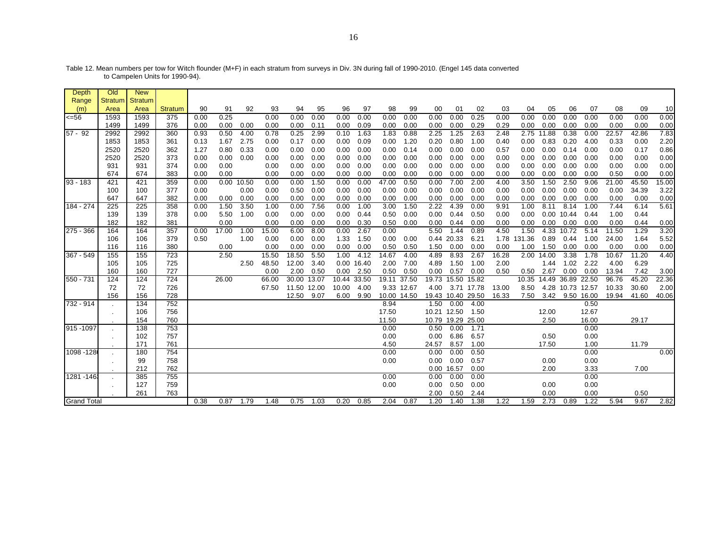| Depth              | Old            | <b>New</b>     |                |      |       |            |       |             |      |       |       |       |             |       |                   |            |       |        |            |                  |       |       |       |       |
|--------------------|----------------|----------------|----------------|------|-------|------------|-------|-------------|------|-------|-------|-------|-------------|-------|-------------------|------------|-------|--------|------------|------------------|-------|-------|-------|-------|
| Range              | <b>Stratum</b> | <b>Stratum</b> |                |      |       |            |       |             |      |       |       |       |             |       |                   |            |       |        |            |                  |       |       |       |       |
| (m)                | Area           | Area           | <b>Stratum</b> | 90   | 91    | 92         | 93    | 94          | 95   | 96    | 97    | 98    | 99          | 00    | 01                | 02         | 03    | 04     | 05         | 06               | 07    | 08    | 09    | 10    |
| $\leq$ =56         | 1593           | 1593           | 375            | 0.00 | 0.25  |            | 0.00  | 0.00        | 0.00 | 0.00  | 0.00  | 0.00  | 0.00        | 0.00  | 0.00              | 0.25       | 0.00  | 0.00   | 0.00       | 0.00             | 0.00  | 0.00  | 0.00  | 0.00  |
|                    | 1499           | 1499           | 376            | 0.00 | 0.00  | 0.00       | 0.00  | 0.00        | 0.11 | 0.00  | 0.09  | 0.00  | 0.00        | 0.00  | 0.00              | 0.29       | 0.29  | 0.00   | 0.00       | 0.00             | 0.00  | 0.00  | 0.00  | 0.00  |
| $57 - 92$          | 2992           | 2992           | 360            | 0.93 | 0.50  | 4.00       | 0.78  | 0.25        | 2.99 | 0.10  | 1.63  | 1.83  | 0.88        | 2.25  | 1.25              | 2.63       | 2.48  |        | 2.75 11.88 | 0.38             | 0.00  | 22.57 | 42.86 | 7.83  |
|                    | 1853           | 1853           | 361            | 0.13 | 1.67  | 2.75       | 0.00  | 0.17        | 0.00 | 0.00  | 0.09  | 0.00  | 1.20        | 0.20  | 0.80              | 1.00       | 0.40  | 0.00   | 0.83       | 0.20             | 4.00  | 0.33  | 0.00  | 2.20  |
|                    | 2520           | 2520           | 362            | 1.27 | 0.80  | 0.33       | 0.00  | 0.00        | 0.00 | 0.00  | 0.00  | 0.00  | 0.14        | 0.00  | 0.00              | 0.00       | 0.57  | 0.00   | 0.00       | 0.14             | 0.00  | 0.00  | 0.17  | 0.86  |
|                    | 2520           | 2520           | 373            | 0.00 | 0.00  | 0.00       | 0.00  | 0.00        | 0.00 | 0.00  | 0.00  | 0.00  | 0.00        | 0.00  | 0.00              | 0.00       | 0.00  | 0.00   | 0.00       | 0.00             | 0.00  | 0.00  | 0.00  | 0.00  |
|                    | 931            | 931            | 374            | 0.00 | 0.00  |            | 0.00  | 0.00        | 0.00 | 0.00  | 0.00  | 0.00  | 0.00        | 0.00  | 0.00              | 0.00       | 0.00  | 0.00   | 0.00       | 0.00             | 0.00  | 0.00  | 0.00  | 0.00  |
|                    | 674            | 674            | 383            | 0.00 | 0.00  |            | 0.00  | 0.00        | 0.00 | 0.00  | 0.00  | 0.00  | 0.00        | 0.00  | 0.00              | 0.00       | 0.00  | 0.00   | 0.00       | 0.00             | 0.00  | 0.50  | 0.00  | 0.00  |
| $93 - 183$         | 421            | 421            | 359            | 0.00 |       | 0.00 10.50 | 0.00  | 0.00        | 1.50 | 0.00  | 0.00  | 47.00 | 0.50        | 0.00  | 7.00              | 2.00       | 4.00  | 3.50   | 1.50       | 2.50             | 9.06  | 21.00 | 45.50 | 15.00 |
|                    | 100            | 100            | 377            | 0.00 |       | 0.00       | 0.00  | 0.50        | 0.00 | 0.00  | 0.00  | 0.00  | 0.00        | 0.00  | 0.00              | 0.00       | 0.00  | 0.00   | 0.00       | 0.00             | 0.00  | 0.00  | 34.39 | 3.22  |
|                    | 647            | 647            | 382            | 0.00 | 0.00  | 0.00       | 0.00  | 0.00        | 0.00 | 0.00  | 0.00  | 0.00  | 0.00        | 0.00  | 0.00              | 0.00       | 0.00  | 0.00   | 0.00       | 0.00             | 0.00  | 0.00  | 0.00  | 0.00  |
| $184 - 274$        | 225            | 225            | 358            | 0.00 | 1.50  | 3.50       | 1.00  | 0.00        | 7.56 | 0.00  | 1.00  | 3.00  | 1.50        | 2.22  | 4.39              | 0.00       | 9.91  | 1.00   | 8.11       | 8.14             | 1.00  | 7.44  | 6.14  | 5.61  |
|                    | 139            | 139            | 378            | 0.00 | 5.50  | 1.00       | 0.00  | 0.00        | 0.00 | 0.00  | 0.44  | 0.50  | 0.00        | 0.00  | 0.44              | 0.50       | 0.00  | 0.00   |            | 0.00 10.44       | 0.44  | 1.00  | 0.44  |       |
|                    | 182            | 182            | 381            |      | 0.00  |            | 0.00  | 0.00        | 0.00 | 0.00  | 0.30  | 0.50  | 0.00        | 0.00  | 0.44              | 0.00       | 0.00  | 0.00   | 0.00       | 0.00             | 0.00  | 0.00  | 0.44  | 0.00  |
| 275 - 366          | 164            | 164            | 357            | 0.00 | 17.00 | 1.00       | 15.00 | 6.00        | 8.00 | 0.00  | 2.67  | 0.00  |             | 5.50  | 1.44              | 0.89       | 4.50  | 1.50   |            | 4.33 10.72       | 5.14  | 11.50 | 1.29  | 3.20  |
|                    | 106            | 106            | 379            | 0.50 |       | 1.00       | 0.00  | 0.00        | 0.00 | 1.33  | 1.50  | 0.00  | 0.00        |       | 0.44 20.33        | 6.21       | 1.78  | 131.36 | 0.89       | 0.44             | 1.00  | 24.00 | 1.64  | 5.52  |
|                    | 116            | 116            | 380            |      | 0.00  |            | 0.00  | 0.00        | 0.00 | 0.00  | 0.00  | 0.50  | 0.50        | 1.50  | 0.00              | 0.00       | 0.00  | 1.00   | 1.50       | 0.00             | 0.00  | 0.00  | 0.00  | 0.00  |
| $367 - 549$        | 155            | 155            | 723            |      | 2.50  |            | 15.50 | 18.50       | 5.50 | 1.00  | 4.12  | 14.67 | 4.00        | 4.89  | 8.93              | 2.67       | 16.28 | 2.00   | 14.00      | 3.38             | 1.78  | 10.67 | 11.20 | 4.40  |
|                    | 105            | 105            | 725            |      |       | 2.50       | 48.50 | 12.00       | 3.40 | 0.00  | 16.40 | 2.00  | 7.00        | 4.89  | 1.50              | 1.00       | 2.00  |        | 1.44       | 1.02             | 2.22  | 4.00  | 6.29  |       |
|                    | 160            | 160            | 727            |      |       |            | 0.00  | 2.00        | 0.50 | 0.00  | 2.50  | 0.50  | 0.50        | 0.00  | 0.57              | 0.00       | 0.50  | 0.50   | 2.67       | 0.00             | 0.00  | 13.94 | 7.42  | 3.00  |
| 550 - 731          | 124            | 124            | 724            |      | 26.00 |            | 66.00 | 30.00 13.07 |      | 10.44 | 33.50 | 19.11 | 37.50       | 19.73 | 15.50             | 15.82      |       | 10.35  |            | 14.49 36.89      | 22.50 | 96.76 | 45.20 | 22.36 |
|                    | 72             | 72             | 726            |      |       |            | 67.50 | 11.50 12.00 |      | 10.00 | 4.00  |       | 9.33 12.67  | 4.00  |                   | 3.71 17.78 | 13.00 | 8.50   |            | 4.28 10.73 12.57 |       | 10.33 | 30.60 | 2.00  |
|                    | 156            | 156            | 728            |      |       |            |       | 12.50 9.07  |      | 6.00  | 9.90  |       | 10.00 14.50 |       | 19.43 10.40 29.50 |            | 16.33 | 7.50   |            | 3.42 9.50 16.00  |       | 19.94 | 41.60 | 40.06 |
| $732 - 914$        |                | 134            | 752            |      |       |            |       |             |      |       |       | 8.94  |             | 1.50  | 0.00              | 4.00       |       |        |            |                  | 0.50  |       |       |       |
|                    | $\blacksquare$ | 106            | 756            |      |       |            |       |             |      |       |       | 17.50 |             |       | 10.21 12.50       | 1.50       |       |        | 12.00      |                  | 12.67 |       |       |       |
|                    |                | 154            | 760            |      |       |            |       |             |      |       |       | 11.50 |             |       | 10.79 19.29 25.00 |            |       |        | 2.50       |                  | 16.00 |       | 29.17 |       |
| 915 - 1097         |                | 138            | 753            |      |       |            |       |             |      |       |       | 0.00  |             | 0.50  | 0.00              | 1.71       |       |        |            |                  | 0.00  |       |       |       |
|                    | $\blacksquare$ | 102            | 757            |      |       |            |       |             |      |       |       | 0.00  |             | 0.00  | 6.86              | 6.57       |       |        | 0.50       |                  | 0.00  |       |       |       |
|                    |                | 171            | 761            |      |       |            |       |             |      |       |       | 4.50  |             | 24.57 | 8.57              | 1.00       |       |        | 17.50      |                  | 1.00  |       | 11.79 |       |
| $1098 - 128$       |                | 180            | 754            |      |       |            |       |             |      |       |       | 0.00  |             | 0.00  | 0.00              | 0.50       |       |        |            |                  | 0.00  |       |       | 0.00  |
|                    | $\blacksquare$ | 99             | 758            |      |       |            |       |             |      |       |       | 0.00  |             | 0.00  | 0.00              | 0.57       |       |        | 0.00       |                  | 0.00  |       |       |       |
|                    |                | 212            | 762            |      |       |            |       |             |      |       |       |       |             | 0.00  | 16.57             | 0.00       |       |        | 2.00       |                  | 3.33  |       | 7.00  |       |
| 1281 - 146         |                | 385            | 755            |      |       |            |       |             |      |       |       | 0.00  |             | 0.00  | 0.00              | 0.00       |       |        |            |                  | 0.00  |       |       |       |
|                    | $\blacksquare$ | 127            | 759            |      |       |            |       |             |      |       |       | 0.00  |             | 0.00  | 0.50              | 0.00       |       |        | 0.00       |                  | 0.00  |       |       |       |
|                    |                | 261            | 763            |      |       |            |       |             |      |       |       |       |             | 2.00  | 0.50              | 2.44       |       |        | 0.00       |                  | 0.00  |       | 0.50  |       |
| <b>Grand Total</b> |                |                |                | 0.38 | 0.87  | 1.79       | 1.48  | 0.75        | 1.03 | 0.20  | 0.85  | 2.04  | 0.87        | 1.20  | 1.40              | 1.38       | 1.22  | 1.59   | 2.73       | 0.89             | 1.22  | 5.94  | 9.67  | 2.82  |

Table 12. Mean numbers per tow for Witch flounder (M+F) in each stratum from surveys in Div. 3N during fall of 1990-2010. (Engel 145 data converted to Campelen Units for 1990-94).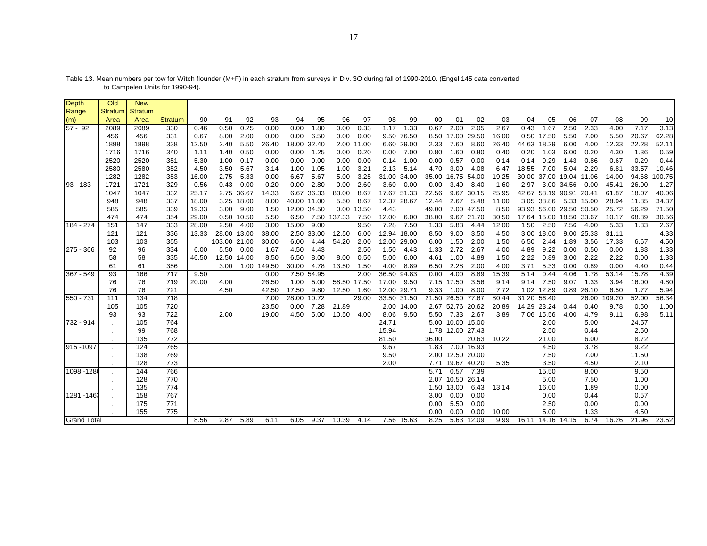| Depth                | Old            | <b>New</b> |                |       |              |             |        |             |            |                  |            |             |                   |       |                   |            |       |             |                   |                         |            |        |       |                 |
|----------------------|----------------|------------|----------------|-------|--------------|-------------|--------|-------------|------------|------------------|------------|-------------|-------------------|-------|-------------------|------------|-------|-------------|-------------------|-------------------------|------------|--------|-------|-----------------|
| Range                | <b>Stratum</b> | Stratum    |                |       |              |             |        |             |            |                  |            |             |                   |       |                   |            |       |             |                   |                         |            |        |       |                 |
| (m)                  | Area           | Area       | <b>Stratum</b> | 90    | 91           | 92          | 93     | 94          | 95         | 96               | 97         | 98          | 99                | 00    | 01                | 02         | 03    | 04          | 05                | 06                      | 07         | 08     | 09    | 10 <sup>1</sup> |
| $57 - 92$            | 2089           | 2089       | 330            | 0.46  | 0.50         | 0.25        | 0.00   | 0.00        | 1.80       | 0.00             | 0.33       | 1.17        | 1.33              | 0.67  | 2.00              | 2.05       | 2.67  | 0.43        | 1.67              | 2.50                    | 2.33       | 4.00   | 7.17  | 3.13            |
|                      | 456            | 456        | 331            | 0.67  | 8.00         | 2.00        | 0.00   | 0.00        | 6.50       | 0.00             | 0.00       |             | 9.50 76.50        |       | 8.50 17.00        | 29.50      | 16.00 |             | 0.50 17.50        | 5.50                    | 7.00       | 5.50   | 20.67 | 62.28           |
|                      | 1898           | 1898       | 338            | 12.50 | 2.40         | 5.50        | 26.40  | 18.00       | 32.40      | 2.00             | 11.00      |             | 6.60 29.00        | 2.33  | 7.60              | 8.60       | 26.40 | 44.63 18.29 |                   | 6.00                    | 4.00       | 12.33  | 22.28 | 52.11           |
|                      | 1716           | 1716       | 340            | 1.11  | 1.40         | 0.50        | 0.00   | 0.00        | 1.25       | 0.00             | 0.20       | 0.00        | 7.00              | 0.80  | 1.60              | 0.80       | 0.40  | 0.20        | 1.03              | 6.00                    | 0.20       | 4.30   | 1.36  | 0.59            |
|                      | 2520           | 2520       | 351            | 5.30  | 1.00         | 0.17        | 0.00   | 0.00        | 0.00       | 0.00             | 0.00       | 0.14        | 1.00              | 0.00  | 0.57              | 0.00       | 0.14  | 0.14        | 0.29              | 1.43                    | 0.86       | 0.67   | 0.29  | 0.44            |
|                      | 2580           | 2580       | 352            | 4.50  | 3.50         | 5.67        | 3.14   | 1.00        | 1.05       | 1.00             | 3.21       | 2.13        | 5.14              | 4.70  | 3.00              | 4.08       | 6.47  | 18.55       | 7.00              | 5.04                    | 2.29       | 6.81   | 33.57 | 10.46           |
|                      | 1282           | 1282       | 353            | 16.00 | 2.75         | 5.33        | 0.00   | 6.67        | 5.67       | 5.00             | 3.25       | 31.00 34.00 |                   | 35.00 | 16.75             | 54.00      | 19.25 |             |                   | 30.00 37.00 19.04 11.06 |            | 14.00  | 94.68 | 100.75          |
| $93 - 183$           | 1721           | 1721       | 329            | 0.56  | 0.43         | 0.00        | 0.20   | 0.00        | 2.80       | 0.00             | 2.60       | 3.60        | $\overline{0.00}$ | 0.00  | 3.40              | 8.40       | 1.60  | 2.97        |                   | 3.00 34.56              | 0.00       | 45.41  | 26.00 | 1.27            |
|                      | 1047           | 1047       | 332            | 25.17 |              | 2.75 36.67  | 14.33  |             | 6.67 36.33 | 83.00            | 8.67       | 17.67 51.33 |                   | 22.56 |                   | 9.67 30.15 | 25.95 |             |                   | 42.67 58.19 90.91 20.41 |            | 61.87  | 18.07 | 40.06           |
|                      | 948            | 948        | 337            | 18.00 |              | 3.25 18.00  | 8.00   | 40.00 11.00 |            | 5.50             | 8.67       | 12.37 28.67 |                   | 12.44 | 2.67              | 5.48       | 11.00 |             | 3.05 38.86        |                         | 5.33 15.00 | 28.94  | 11.85 | 34.37           |
|                      | 585            | 585        | 339            | 19.33 |              | 3.00 9.00   | 1.50   | 12.00 34.50 |            |                  | 0.00 13.50 | 4.43        |                   | 49.00 |                   | 7.00 47.50 | 8.50  |             |                   | 93.93 56.00 29.50 50.50 |            | 25.72  | 56.29 | 71.50           |
|                      | 474            | 474        | 354            | 29.00 |              | 0.50 10.50  | 5.50   |             |            | 6.50 7.50 137.33 | 7.50       | 12.00       | 6.00              | 38.00 |                   | 9.67 21.70 | 30.50 |             |                   | 17.64 15.00 18.50 33.67 |            | 10.17  | 68.89 | 30.56           |
| 184 - 274            | 151            | 147        | 333            | 28.00 | 2.50         | 4.00        | 3.00   | 15.00       | 9.00       |                  | 9.50       | 7.28        | 7.50              | 1.33  | 5.83              | 4.44       | 12.00 | 1.50        | 2.50              | 7.56                    | 4.00       | 5.33   | 1.33  | 2.67            |
|                      | 121            | 121        | 336            | 13.33 | 28.00 13.00  |             | 38.00  |             | 2.50 33.00 | 12.50            | 6.00       | 12.94 18.00 |                   | 8.50  | 9.00              | 3.50       | 4.50  |             | 3.00 18.00        |                         | 9.00 25.33 | 31.11  |       | 4.33            |
|                      | 103            | 103        | 355            |       | 103.00 21.00 |             | 30.00  | 6.00        | 4.44       | 54.20            | 2.00       | 12.00 29.00 |                   | 6.00  | 1.50              | 2.00       | 1.50  | 6.50        | 2.44              | 1.89                    | 3.56       | 17.33  | 6.67  | 4.50            |
| $275 - 366$          | 92             | 96         | 334            | 6.00  | 5.50         | 0.00        | 1.67   | 4.50        | 4.43       |                  | 2.50       | 1.50        | 4.43              | 1.33  | 2.72              | 2.67       | 4.00  | 4.89        | 9.22              | 0.00                    | 0.50       | 0.00   | 1.83  | 1.33            |
|                      | 58             | 58         | 335            | 46.50 |              | 12.50 14.00 | 8.50   | 6.50        | 8.00       | 8.00             | 0.50       | 5.00        | 6.00              | 4.61  | 1.00              | 4.89       | 1.50  | 2.22        | 0.89              | 3.00                    | 2.22       | 2.22   | 0.00  | 1.33            |
|                      | 61             | 61         | 356            |       | 3.00         | 1.00        | 149.50 | 30.00       | 4.78       | 13.50            | 1.50       | 4.00        | 8.89              | 6.50  | 2.28              | 2.00       | 4.00  | 3.71        | 5.33              | 0.00                    | 0.89       | 0.00   | 4.40  | 0.44            |
| 367 - 549            | 93             | 166        | 717            | 9.50  |              |             | 0.00   | 7.50        | 54.95      |                  | 2.00       | 36.50       | 94.83             | 0.00  | 4.00              | 8.89       | 15.39 | 5.14        | 0.44              | 4.06                    | 1.78       | 53.14  | 15.78 | 4.39            |
|                      | 76             | 76         | 719            | 20.00 | 4.00         |             | 26.50  | 1.00        | 5.00       | 58.50 17.50      |            | 17.00       | 9.50              |       | 7.15 17.50        | 3.56       | 9.14  | 9.14        | 7.50              | 9.07                    | 1.33       | 3.94   | 16.00 | 4.80            |
|                      | 76             | 76         | 721            |       | 4.50         |             | 42.50  | 17.50       | 9.80       | 12.50            | 1.60       | 12.00 29.71 |                   | 9.33  | 1.00              | 8.00       | 7.72  |             | 1.02 12.89        |                         | 0.89 26.10 | 6.50   | 1.77  | 5.94            |
| 550 - 731            | 111            | 134        | 718            |       |              |             | 7.00   | 28.00 10.72 |            |                  | 29.00      | 33.50 31.50 |                   |       | 21.50 26.50 77.67 |            | 80.44 | 31.20 56.40 |                   |                         | 26.00      | 109.20 | 52.00 | 56.34           |
|                      | 105            | 105        | 720            |       |              |             | 23.50  | 0.00        | 7.28       | 21.89            |            |             | 2.00 14.00        |       | 2.67 52.76 20.62  |            | 20.89 | 14.29 23.24 |                   | 0.44                    | 0.40       | 9.78   | 0.50  | 1.00            |
|                      | 93             | 93         | 722            |       | 2.00         |             | 19.00  | 4.50        | 5.00       | 10.50            | 4.00       | 8.06        | 9.50              | 5.50  | 7.33              | 2.67       | 3.89  |             | 7.06 15.56        | 4.00                    | 4.79       | 9.11   | 6.98  | 5.11            |
| 732 - 914            |                | 105        | 764            |       |              |             |        |             |            |                  |            | 24.71       |                   |       | 5.00 10.00 15.00  |            |       |             | 2.00              |                         | 5.00       |        | 24.57 |                 |
|                      | $\cdot$        | 99         | 768            |       |              |             |        |             |            |                  |            | 15.94       |                   |       | 1.78 12.00 27.43  |            |       |             | 2.50              |                         | 0.44       |        | 2.50  |                 |
|                      |                | 135        | 772            |       |              |             |        |             |            |                  |            | 81.50       |                   | 36.00 |                   | 20.63      | 10.22 |             | 21.00             |                         | 6.00       |        | 8.72  |                 |
| 915-1097             |                | 124        | 765            |       |              |             |        |             |            |                  |            | 9.67        |                   |       | 1.83 7.00 16.93   |            |       |             | 4.50              |                         | 3.78       |        | 9.22  |                 |
|                      | $\cdot$        | 138        | 769            |       |              |             |        |             |            |                  |            | 9.50        |                   |       | 2.00 12.50 20.00  |            |       |             | 7.50              |                         | 7.00       |        | 11.50 |                 |
|                      |                | 128        | 773            |       |              |             |        |             |            |                  |            | 2.00        |                   |       | 7.71 19.67 40.20  |            | 5.35  |             | 3.50              |                         | 4.50       |        | 2.10  |                 |
| 1098 - 128           |                | 144        | 766            |       |              |             |        |             |            |                  |            |             |                   | 5.71  | 0.57              | 7.39       |       |             | 15.50             |                         | 8.00       |        | 9.50  |                 |
|                      | $\cdot$        | 128        | 770            |       |              |             |        |             |            |                  |            |             |                   |       | 2.07 10.50 26.14  |            |       |             | 5.00              |                         | 7.50       |        | 1.00  |                 |
|                      |                | 135        | 774            |       |              |             |        |             |            |                  |            |             |                   |       | 1.50 13.00        | 6.43       | 13.14 |             | 16.00             |                         | 1.89       |        | 0.00  |                 |
| 1281 - 146           |                | 158        | 767            |       |              |             |        |             |            |                  |            |             |                   | 3.00  | 0.00              | 0.00       |       |             | 0.00              |                         | 0.44       |        | 0.57  |                 |
|                      | $\cdot$        | 175        | 771            |       |              |             |        |             |            |                  |            |             |                   | 0.00  | 5.50              | 0.00       |       |             | 2.50              |                         | 0.00       |        | 0.00  |                 |
|                      |                | 155        | 775            |       |              |             |        |             |            |                  |            |             |                   | 0.00  | 0.00              | 0.00       | 10.00 |             | 5.00              |                         | 1.33       |        | 4.50  |                 |
| <b>I</b> Grand Total |                |            |                | 8.56  | 2.87         | 5.89        | 6.11   | 6.05        | 9.37       | 10.39            | 4.14       |             | 7.56 15.63        | 8.25  | 5.63              | 12.09      | 9.99  |             | 16.11 14.16 14.15 |                         | 6.74       | 16.26  | 21.96 | 23.52           |

Table 13. Mean numbers per tow for Witch flounder (M+F) in each stratum from surveys in Div. 3O during fall of 1990-2010. (Engel 145 data converted to Campelen Units for 1990-94).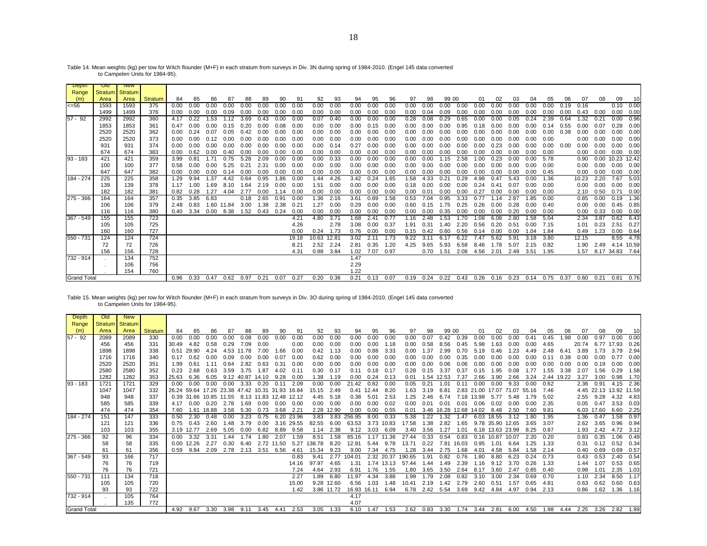Table 14. Mean weights (kg) per tow for Witch flounder (M+F) in each stratum from surveys in Div. 3N during spring of 1984-2010. (Engel 145 data converted to Campelen Units for 1984-95).

| <b>Depth</b>       | <b>UID</b> | <b>New</b>      |         |      |           |      |       |      |      |      |       |             |      |      |                      |      |      |             |               |      |                     |      |      |      |      |      |       |      |      |                 |
|--------------------|------------|-----------------|---------|------|-----------|------|-------|------|------|------|-------|-------------|------|------|----------------------|------|------|-------------|---------------|------|---------------------|------|------|------|------|------|-------|------|------|-----------------|
| Range              |            | Stratum Stratum |         |      |           |      |       |      |      |      |       |             |      |      |                      |      |      |             |               |      |                     |      |      |      |      |      |       |      |      |                 |
| (m)                | Area       | Area            | Stratum | 84   | 85        | 86   | 87    | 88   | 89   | 90   | 91    | 92          | 93   | 94   | 95                   | 96   | 97   | 98          | 99 00         |      | 01                  | 02   | 03   | 04   | 05   | 06   | 07    | 08   | 09   | 10              |
| $\leq$ = 56        | 1593       | 1593            | 375     | 0.00 | 0.00      | 0.00 | 0.00  | 0.00 | 0.00 | 0.00 | 0.00  | 0.00        | 0.00 | 0.00 | 0.00                 | 0.00 | 0.00 | 0.00        | 0.00          | 0.00 | 0.00                | 0.00 | 0.00 | 0.00 | 0.00 | 0.19 | 0.16  |      | 0.10 | 0.00            |
|                    | 1499       | 1499            | 376     | 0.00 | 0.00      | 0.00 | 0.09  | 0.00 | 0.00 | 0.00 | 0.00  | 0.00        | 0.00 | 0.00 | 0.00                 | 0.00 | 0.00 | 0.04        | 0.09          | 0.00 | 0.00                | 0.00 | 0.00 | 0.00 | 0.00 | 0.00 | 0.43  | 0.00 | 0.00 | 0.00            |
| $57 - 92$          | 2992       | 2992            | 360     | 4.17 | 0.22      | 1.53 | 1.12  | 3.69 | 0.43 | 0.00 | 0.00  | 0.07        | 0.40 | 0.00 | 0.00                 | 0.00 | 0.28 | 0.08        | 0.29          | 0.65 | 0.00                | 0.00 | 0.05 | 0.24 | 2.39 | 0.64 | 1.32  | 0.21 | 0.00 | 0.96            |
|                    | 1853       | 1853            | 361     | 0.47 | 0.00      | . വെ | በ 15  | 0.20 | 0.00 | 0.08 | 0.00  | 0.00        | 0.00 | 0.00 | 0.15                 | 0.00 | 0.00 | 0.00        | 0.00          | 0.95 |                     | 0.00 | 0.00 | 0.00 | 0.14 | 0.55 | 0.00  | 0.07 | 0.28 | 0.00            |
|                    | 2520       | 2520            | 362     | 0.00 | 0.24      | 0.07 | 0.05  | 0.42 | 0.00 | 0.00 | 0.00  | 0.00        | 0.00 | 0.00 | 0.00                 | 0.00 | 0.00 | 0.00        | 0.00          | 0.00 | 0.00                | 0.00 | 0.00 | 0.00 | 0.00 | 0.38 | 0.00  | 0.00 | 0.00 | 0.00            |
|                    | 2520       | 2520            | 373     | 0.00 | 0.00      | 0.12 | n nr  | 0.00 | 0.00 | 0.00 | 0.00  | 0.00        | 0.00 | 0.00 | 0.00                 | 0.00 | 0.00 | 0.00        | 0.00          | 0.00 | 0.00                | 0.00 | 0.00 | 0.00 | 0.00 |      | 0.00  | 0.00 | 0.00 | 0.00            |
|                    | 931        | 931             | 374     | 0.00 | 0.00      | 0.00 | 0.00  | 0.00 | 0.00 | 0.00 | 0.00  | 0.00        | 0.14 | 0.27 | 0.00                 | 0.00 | 0.00 | 0.00        | 0.00          | 0.00 | 0.00                | 0.23 | 0.00 | 0.00 | 0.00 | 0.00 | 0.00  | 0.00 | 0.00 | 0.00            |
|                    | 674        | 674             | 383     | 0.00 | 0.62      | 0.00 | 0.40  | 0.00 | 0.00 | 0.00 | 0.00  | 0.00        | 0.00 | 0.00 | 0.00                 | 0.00 | 0.00 | 0.00        | 0.00          | 0.00 | 0.00                | 0.00 | 0.00 | 0.00 | 0.00 |      | 0.00  | 0.00 | 0.00 | 0.00            |
| $93 - 183$         | 421        | 421             | 359     | 3.99 | 0.81      | 1.71 | 0.75  | 5.28 | 2.09 | 0.00 | 0.00  | 0.00        | 0.33 | 0.00 | 0.00                 | 0.00 | 0.00 | 0.00        | 1.15          | 2.58 | 1.00                | 0.23 | 0.00 | 0.00 | 5.78 |      | 0.90  | 0.00 |      | 10.23 12.42     |
|                    | 100        | 100             | 377     | 0.58 | 0.00      | 0.00 | 5.25  | 0.21 | 2.31 | 0.00 | 0.00  | 0.00        | 0.00 | 0.00 | 0.00                 | 0.00 | 0.00 | 0.00        | 0.00          | 0.00 | 0.00                | 0.00 | 0.00 | 0.00 | 0.00 |      | 0.00  | 0.00 | 0.00 | 0.00            |
|                    | 647        | 647             | 382     | 0.00 | 0.00      | 0.00 | 0.14  | 0.00 | 0.00 | 0.00 | 0.00  | 0.00        | 0.00 | 0.00 | 0.00                 | 0.00 | 0.00 | 0.00        | 0.00          | 0.00 | 0.00                | 0.00 | 0.00 | 0.00 | 0.45 |      | 0.00  | 0.00 | 0.00 | 0.00            |
| 184 - 274          | 225        | 225             | 358     | 1.29 | 9.94      | 1.37 | 4.42  | 0.64 | 0.95 | .86  | 0.00  | 1.44        | 4.26 | 3.42 | 0.24                 | 1.65 | 1.58 | 4.33        | $0.2^{\circ}$ | 0.29 | 4.98                | 0.47 | 5.43 | 0.00 | 1.36 |      | 10.23 | 2.20 | 7.67 | 5.03            |
|                    | 139        | 139             | 378     | 1.17 | 1.00      | 1.69 | 8.10  | 1.64 | 2.19 | 0.00 | 0.00  | 1.51        | 0.00 | 0.00 | 0.00                 | 0.00 | 0.18 | 0.00        | 0.00          | 0.00 | 0.24                | 0.41 | 0.07 | 0.00 | 0.00 |      | 0.00  | 0.00 | 0.00 | 0.00            |
|                    | 182        | 182             | 381     | 0.82 | 0.28      | 1.27 | 4.04  | 2.77 | 0.00 | .14  | 0.00  | 0.00        | 0.00 | 0.00 | 0.00                 | 0.00 | 0.00 | 0.01        | 0.00          | 0.00 | 0.27                | 0.00 | 0.00 | 0.00 | 0.00 |      | 2.10  | 0.50 | 0.71 | 0.00            |
| 275 - 366          | 164        | 164             | 357     | 0.35 | 3.85      | 6.83 |       | 0.18 | 2.65 | 0.91 | 0.00  | 1.36        | 2.16 | 3.61 | 0.89                 | 1.58 | 0.53 | 7.04        | 0.95          | 3.33 | 0.77                | .14  | 2.87 | 1.85 | 0.00 |      | 0.85  | 0.00 | 0.19 | 1.36            |
|                    | 106        | 106             | 379     | 2.48 | 0.83      | 1.60 | 11.84 | 3.00 | 1.38 | 2.38 | 0.21  | 1.27        | 0.00 | 0.29 | 0.00                 | 0.00 | 0.60 | 0.15        | 1.75          | 0.25 | 0.26                | 0.00 | 0.28 | 0.00 | 0.40 |      | 0.00  | 0.00 | 0.45 | 0.85            |
|                    | 116        | 116             | 380     | 0.40 | 3.34      | 0.00 | 8.38  | 1.52 | 0.43 | 0.24 | 0.00  | 0.00        | 0.00 | 0.00 | 0.00                 | 0.00 | 0.00 | 0.00        | 0.35          | 0.00 | 0.00                | 0.00 | 0.20 | 0.00 | 0.00 |      | 0.00  | 0.33 | 0.00 | 0.00            |
| 367 - 549          | 155        | 155             | 723     |      |           |      |       |      |      |      | 4.21  | 4.80        | 3.71 | 1.68 | 2.41                 | 0.77 | 1.16 | 2.48        | 1.53          | 1.70 | L.08                | 6.08 | 2.80 | 1.58 | 5.04 |      | 2.34  | 3.87 | 0.62 | 6.43            |
|                    | 105        | 105             | 725     |      |           |      |       |      |      |      | 4.26  |             | 2.78 | 3.08 | 0.00                 | 0.37 | 1.91 | 0.31        | .40           | 2.20 | 0.56                | 0.20 | 0.51 | 0.00 | 7.15 |      | 1.01  | 0.23 | 2.51 | 0.27            |
|                    | 160        | 160             | 727     |      |           |      |       |      |      |      | 0.00  | 0.24        | 1.73 | 0.76 | 0.00                 | 0.00 | 0.15 | 0.42        | 0.60          | 0.56 | 0.14                | 0.00 | 0.00 | 1.04 | 1.84 |      | 0.49  | 1.23 | 0.00 | 0.64            |
| 550 - 731          | 124        | 124             | 724     |      |           |      |       |      |      |      | 19.18 | 10.63 12.81 |      | 3.02 | 2.11                 | 1.73 | 9.22 | 3.11        | 6.17          | 6.22 | 7.47                | 5.62 | 5.91 | 3.18 | 3.80 |      | 12.15 |      | 8.55 | 4.78            |
|                    | 72         | 72              | 726     |      |           |      |       |      |      |      | 8.21  | 2.52        | 2.24 | 2.81 | 0.35                 | 1.20 | 4.25 | 9.65        | 5.93          | 6.58 | 8.46                | .78  | 5.07 | 2.15 | 0.82 |      | 1.90  | 2.49 |      | 4.14 10.59      |
|                    | 156        | 156             | 728     |      |           |      |       |      |      |      | 4.31  | 0.88        | 3.84 | 1.02 | 7.07                 | 0.97 |      | 0.70        | 1.51          | 2.08 | 4.56                | 2.01 | 2.49 | 3.51 | 1.95 |      | 1.57  |      |      | 8.17 34.83 7.64 |
| 732 - 914          |            | 134             | 752     |      |           |      |       |      |      |      |       |             |      | 1.47 |                      |      |      |             |               |      |                     |      |      |      |      |      |       |      |      |                 |
|                    | $\cdot$    | 106             | 756     |      |           |      |       |      |      |      |       |             |      | 2.29 |                      |      |      |             |               |      |                     |      |      |      |      |      |       |      |      |                 |
|                    |            | 154             | 760     |      |           |      |       |      |      |      |       |             |      | 1.22 |                      |      |      |             |               |      |                     |      |      |      |      |      |       |      |      |                 |
| <b>Grand Total</b> |            |                 |         |      | 0.96 0.33 | 0.47 | 0.62  | 0.97 | 0.21 | 0.07 | 0.27  | 0.20        | 0.36 |      | $0.21$ $0.13$ $0.07$ |      |      | $0.19$ 0.24 | 0.22          |      | 0.43 0.26 0.16 0.23 |      |      | 0.14 | 0.75 | 0.37 | 0.60  | 0.21 |      | 0.81 0.76       |

# Table 15. Mean weights (kg) per tow for Witch flounder (M+F) in each stratum from surveys in Div. 3O during spring of 1984-2010. (Engel 145 data converted to Campelen Units for 1984-95).

| Depth              | Old     | <b>New</b>     |         |       |                        |               |      |                                     |                        |       |               |        |            |        |       |            |        |      |       |            |       |             |       |       |            |      |       |                        |            |               |
|--------------------|---------|----------------|---------|-------|------------------------|---------------|------|-------------------------------------|------------------------|-------|---------------|--------|------------|--------|-------|------------|--------|------|-------|------------|-------|-------------|-------|-------|------------|------|-------|------------------------|------------|---------------|
| Range              | Stratum | <b>Stratum</b> |         |       |                        |               |      |                                     |                        |       |               |        |            |        |       |            |        |      |       |            |       |             |       |       |            |      |       |                        |            |               |
| (m)                | Area    | Area           | Stratum | 84    | 85                     | 86            | 87   |                                     | 89                     | 90    | 91            | 92     | 93         | 94     |       | 96         | 97     | 98   | 99 00 |            |       | 02          | 03    |       | 05         |      |       |                        | 09         | 10            |
| $57 - 92$          | 2089    | 2089           | 330     | 0.00  | 0.00                   | 0.00          | 0.00 | 0.08                                | 0.00                   | 0.00  | 0.00          | 0.00   | 0.00       | 0.00   | 0.00  | 0.00       | 0.00   | 0.07 | .42   | 0.39       | 0.00  | 0.00        | 0.00  | 0.41  | 0.45       | .98  | 0.00  | 0.97                   | 0.00       | 0.00          |
|                    | 456     | 456            | 331     | 30.49 | 4.82                   | 0.58          | 0.29 | 7.09                                | 0.00                   |       | 0.00          | 0.00   | 0.00       | 0.00   | 0.00  | 1.18       | 0.00   | 0.58 | 8.56  | 0.45       | 5.98  | 1.63        | 0.00  | 0.00  | 4.65       |      | 20.74 |                        | 6.77 17.93 | 0.26          |
|                    | 1898    | 1898           | 338     | 0.51  | 29.90                  | 4.24          | 4.53 |                                     | 7.00                   | 1.66  | 0.00          | 0.42   | 1.13       | 0.00   | 0.88  | 3.33       | 0.00   | 1.37 | 2.99  | 0.70       | 5.19  |             | 1.23  | 4.49  | 2.48       | 6.41 | 3.89  | 1.73                   | 3.79       | 2.94          |
|                    | 1716    | 1716           | 340     | 0.17  | 0.62                   | . വ           | 0.09 | 0.00                                | 0.00                   | 0.07  | 0.00          | 0.62   | 0.00       | 0.00   | 0.00  | 0.00       | 0.00   | 0.00 | 0.00  | 0.35       | 0.00  | n nn        | 0.00  | n nn  | 0.11       | 0.38 | 0.00  | 0.00                   | 0.77       | 0.00          |
|                    | 2520    | 2520           | 351     | 1.99  | 0.61                   | 1.11          | 0.64 | 2.82                                | 0.63                   | 0.31  | 0.00          | 0.00   | 0.00       | 0.00   | 0.00  | 0.00       | 0.00   | 0.00 | 0.06  | 0.06       | 0.00  | 0.00        | 0.00  | 0.00  | 0.00       | 0.00 | 0.00  | 0.19                   | 0.00       | 0.00          |
|                    | 2580    | 2580           | 352     | 0.23  | 2.68                   | 0.63          | 3.59 | 3.75                                | 1.87                   | 4.02  | 0.11          | 0.30   | 0.17       | 0.11   | 0.18  | 0.17       | 0.28   |      | 3.37  | 0.37       | 0.15  | 1.95        | 0.08  | 1.77  | 1.55       | 3.38 | 2.07  | 1.56                   | 0.29       | 1.58          |
|                    | 1282    | 1282           | 353     | 25.63 | 6.36                   | 6.05          |      | 9.12 40.87                          | 14.10                  | 9.28  | 0.00          | 1.38   | 1.19       | 0.00   | 0.24  | 0.13       | 0.01   | 1.54 | 12.53 | 7.37       | 2.66  | 3.90        | 2.66  | 3.24  | 2.44 19.22 |      | 3.27  | 3.00                   | 0.98       | 1.70          |
| $93 - 183$         | 1721    | 1721           | 329     | 0.00  | 0.00                   | 0.00          | 0.00 | 3.33                                | 0.20                   | 0.11  | 2.09          | 0.00   | 0.00       | 21.42  | 0.82  | 0.00       | 0.05   | 0.21 | 1.01  | 0.11       | 0.00  | 0.00        | 9.33  | 0.00  | 0.62       |      | 2.36  | 0.91                   | 4.15       | 2.36          |
|                    | 1047    | 1047           | 332     |       |                        |               |      | 26.24 59.64 17.26 23.38 47.42 10.31 |                        | 31.93 | 16.84         | 15.15  | 2.49       | 0.41   | 12.44 | 8.20       | 1.63   | 3.19 | 6.81  | 2.83 21.00 |       | 17.07       | 71.07 | 55.16 | 7.46       |      |       | 4.45 22.13 13.92 11.59 |            |               |
|                    | 948     | 948            | 337     |       | 0.39 31.66 10.85 11.55 |               |      |                                     | 8.13 11.83 12.48 12.12 |       |               | 4.45   | 5.18       | 0.38   | 5.01  | 2.53       | 1.25   | 2.46 | 6.74  | 7.18       | 13.98 | 5.77        | 5.48  | 1.79  | 5.02       |      | 2.55  | 9.28                   |            | 4.32 4.83     |
|                    | 585     | 585            | 339     | 4.17  | 0.00                   | 0.20          | 2.78 | 1.69                                | 0.00                   | 0.00  | 0.00          | 0.00   | 0.00       | 0.00   | 0.00  | 0.02       | 0.00   | 0.01 | 0.01  | 0.01       | 0.06  | 0.02        | 0.00  | 0.00  | 2.35       |      | 0.05  | 0.47                   | 3.53       | 0.03          |
|                    | 474     | 474            | 354     | 7.60  | 1.61                   | 18.88         | 3.58 | 5.30                                | 0.73                   | 3.68  | $2.2^{\circ}$ |        | 2.28 12.90 | 0.00   | 0.00  | 0.55       | 0.01   | 3.46 | 16.28 | 12.68      | 14.02 | 8.48        | 2.50  | 7.60  | 9.81       |      |       | 6.03 17.60             | 6.60       | 2.25          |
| 184 - 274          | 151     | 147            | 333     | 0.50  | 2.30                   | 0.48          | 0.00 | 3.23                                | 0.75                   | 6.20  | 23.96         | 3.83   | 3.83       | 256.95 | 8.00  | 0.33       | 5.38   | 1.22 | .32   | 1.47       | 6.03  | 18.55       | 3.12  | 1.80  | 1.95       |      | 1.36  | 0.47                   | .58        | 0.97          |
|                    | 121     | 121            | 336     | 0.75  | 0.43                   | 2.60          | .48  |                                     | 0.00                   | 3.16  | 29.55         | 82.55  | 6.00       | 63.53  | 3.73  | 10.83      | 17.58  | 1.38 | 2.82  | 1.65       |       | 9.78 35.90  | 12.65 | 3.65  | 3.07       |      | 2.62  | 3.65                   | 0.96       | 0.94          |
|                    | 103     | 103            | 355     |       | 3.19 12.77             | 2.69          | 5.05 | 0.00                                | 6.82                   | 8.89  | 9.58          | 1.14   | 2.38       | 9.12   | 3.03  | 6.09       | 3.40   | 3.56 | .27   | 1.01       | 6.18  | 13.63 23.99 |       | 8.25  | 0.87       |      | 1.93  | 2.42                   |            | 4.72 3.12     |
| $275 - 366$        | 92      | 96             | 334     | 0.00  | 3.32                   | $3.3^{\circ}$ | .44  |                                     | 1.80                   | 2.07  | .59           | 8.51   | 1.58       | 65.16  |       | 1.17 11.36 | 27.44  | 0.33 | 0.54  | 0.83       | 0.16  | 10.87       | 10.07 | 2.20  | 0.20       |      | 0.83  | 0.35                   | 1.06       | 0.49          |
|                    | 58      | 58             | 335     | 0.00  | 12.26                  | 2.27          | 0.30 | 6.40                                | 2.72                   | 11.50 | 5.27          | 138.78 | 8.20       | 12.91  | 5.44  | 9.78       | 13.71  | 0.22 | 7.81  | 16.03      | 0.95  | 1.01        | 6.64  | 1.25  | 1.33       |      | 0.31  | 0.12                   |            | 0.52 0.34     |
|                    | 61      | 61             | 356     | 0.59  | 9.84                   | 2.09          | 2.78 | 2.13                                | 3.51                   | 6.56  | 4.61          | 15.34  | 9.23       | 9.00   | 7.34  |            | .28    | 3.44 | 2.75  | .68        |       | 4.58        | 5.84  | 1.58  | 2.14       |      | 0.40  | 0.69                   | 0.69       | 0.57          |
| $367 - 549$        | 93      | 166            | 717     |       |                        |               |      |                                     |                        |       | 0.83          | 9.41   | 2.77       | 04.0   |       | 2.32 20.37 | 190.65 | 1.91 | 0.82  | 0.76       | .80   | 8.80        | 6.23  | 0.24  | 0.73       |      | 0.43  | 0.53                   | 2.40       | 0.54          |
|                    | 76      | 76             | 719     |       |                        |               |      |                                     |                        |       | 14.16         | 97.97  | 4.65       | 1.31   | 1.74  | 13.13      | 57.44  | 1.44 | .49   | 2.39       | 1.16  | 9.12        | 3.70  | 0.26  | 1.33       |      | 1.44  | 1.07                   | 0.53       | 0.65          |
|                    | 76      | 76             | 721     |       |                        |               |      |                                     |                        |       | 7.24          | 4.64   | 2.93       | 6.91   | 1.76  | 1.55       | 1.80   | 3.65 | 3.50  | 2.64       | 8.17  | 3.60        | 2.47  | 0.85  | 0.40       |      | 0.98  | 1.01                   |            | 2.35 1.03     |
| 550 - 731          | 111     | 134            | 718     |       |                        |               |      |                                     |                        |       | 2.27          | 1.89   | 6.80       | 11.97  | 4.34  | 3.88       | 1.99   | 1.79 | 2.08  | 0.82       | 3.10  | 3.00        | 2.34  | 0.69  | 0.70       |      | 1.10  | 2.34                   | 8.50       | 1.17          |
|                    | 105     | 105            | 720     |       |                        |               |      |                                     |                        |       | 15.00         |        | 9.28 12.60 | 6.56   | 1.03  | 1.48       | 10.41  | 2.19 | 1.42  | 2.79       | 2.60  | 0.51        | 1.57  | 0.65  | 4.81       |      | 0.63  | 0.62                   |            | $0.60$ $0.63$ |
|                    | 93      | 93             | 722     |       |                        |               |      |                                     |                        |       | 1.42          |        | 3.86 11.72 | 16.93  | 16.11 | 6.94       | 6.78   | 2.42 | 5.54  | 3.69       | 9.42  | 4.84        | 4.97  | 0.94  | 2.13       |      | 0.86  | 1.62                   |            | 1.36 1.16     |
| 732 - 914          |         | 105            | 764     |       |                        |               |      |                                     |                        |       |               |        |            | 4.17   |       |            |        |      |       |            |       |             |       |       |            |      |       |                        |            |               |
|                    |         | 135            | 772     |       |                        |               |      |                                     |                        |       |               |        |            | 4.07   |       |            |        |      |       |            |       |             |       |       |            |      |       |                        |            |               |
| <b>Grand Total</b> |         |                |         | 4.92  | 9.67                   | 3.30          | 3.98 | 9.11                                | 3.45                   | 4.41  | 2.53          | 3.05   | 1.33       | 6.10   | 1.47  | 1.53       | 2.62   | 0.83 | 3.30  | 1.74       | 3.44  | 2.81        | 6.00  | 4.50  | 1.98       | 4.44 | 2.25  | 3.26                   |            | 2.82 1.89     |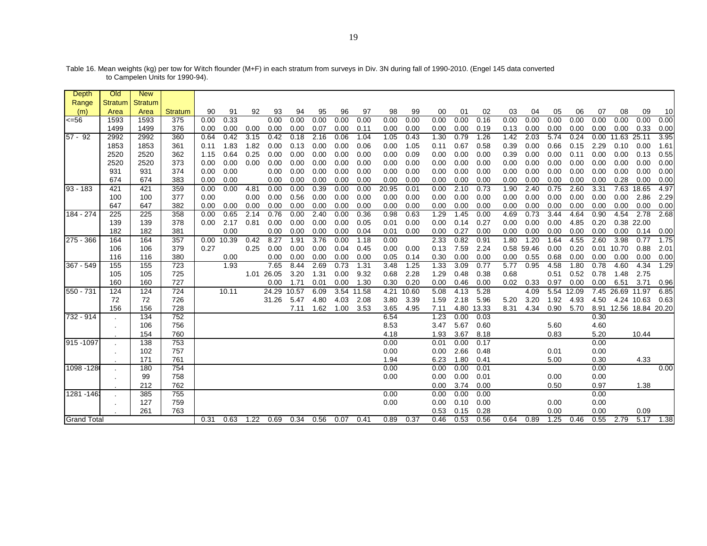| Depth              | O <sub>Id</sub> | <b>New</b>     |         |      |            |      |       |       |      |      |       |       |       |      |                   |            |      |            |      |       |      |       |                   |      |
|--------------------|-----------------|----------------|---------|------|------------|------|-------|-------|------|------|-------|-------|-------|------|-------------------|------------|------|------------|------|-------|------|-------|-------------------|------|
| Range              | <b>Stratum</b>  | <b>Stratum</b> |         |      |            |      |       |       |      |      |       |       |       |      |                   |            |      |            |      |       |      |       |                   |      |
| (m)                | Area            | Area           | Stratum | 90   | 91         | 92   | 93    | 94    | 95   | 96   | 97    | 98    | 99    | 00   | 01                | 02         | 03   | 04         | 05   | 06    | 07   | 08    | 09                | 10   |
| $= 56$             | 1593            | 1593           | 375     | 0.00 | 0.33       |      | 0.00  | 0.00  | 0.00 | 0.00 | 0.00  | 0.00  | 0.00  | 0.00 | 0.00              | 0.16       | 0.00 | 0.00       | 0.00 | 0.00  | 0.00 | 0.00  | 0.00              | 0.00 |
|                    | 1499            | 1499           | 376     | 0.00 | 0.00       | 0.00 | 0.00  | 0.00  | 0.07 | 0.00 | 0.11  | 0.00  | 0.00  | 0.00 | 0.00              | 0.19       | 0.13 | 0.00       | 0.00 | 0.00  | 0.00 | 0.00  | 0.33              | 0.00 |
| $57 - 92$          | 2992            | 2992           | 360     | 0.64 | 0.42       | 3.15 | 0.42  | 0.18  | 2.16 | 0.06 | 1.04  | 1.05  | 0.43  | 1.30 | 0.79              | 1.26       | 1.42 | 2.03       | 5.74 | 0.24  | 0.00 | 11.63 | 25.11             | 3.95 |
|                    | 1853            | 1853           | 361     | 0.11 | 1.83       | 1.82 | 0.00  | 0.13  | 0.00 | 0.00 | 0.06  | 0.00  | 1.05  | 0.11 | 0.67              | 0.58       | 0.39 | 0.00       | 0.66 | 0.15  | 2.29 | 0.10  | 0.00              | 1.61 |
|                    | 2520            | 2520           | 362     | 1.15 | 0.64       | 0.25 | 0.00  | 0.00  | 0.00 | 0.00 | 0.00  | 0.00  | 0.09  | 0.00 | 0.00              | 0.00       | 0.39 | 0.00       | 0.00 | 0.11  | 0.00 | 0.00  | 0.13              | 0.55 |
|                    | 2520            | 2520           | 373     | 0.00 | 0.00       | 0.00 | 0.00  | 0.00  | 0.00 | 0.00 | 0.00  | 0.00  | 0.00  | 0.00 | 0.00              | 0.00       | 0.00 | 0.00       | 0.00 | 0.00  | 0.00 | 0.00  | 0.00              | 0.00 |
|                    | 931             | 931            | 374     | 0.00 | 0.00       |      | 0.00  | 0.00  | 0.00 | 0.00 | 0.00  | 0.00  | 0.00  | 0.00 | 0.00              | 0.00       | 0.00 | 0.00       | 0.00 | 0.00  | 0.00 | 0.00  | 0.00              | 0.00 |
|                    | 674             | 674            | 383     | 0.00 | 0.00       |      | 0.00  | 0.00  | 0.00 | 0.00 | 0.00  | 0.00  | 0.00  | 0.00 | 0.00              | 0.00       | 0.00 | 0.00       | 0.00 | 0.00  | 0.00 | 0.28  | 0.00              | 0.00 |
| $93 - 183$         | 421             | 421            | 359     | 0.00 | 0.00       | 4.81 | 0.00  | 0.00  | 0.39 | 0.00 | 0.00  | 20.95 | 0.01  | 0.00 | 2.10              | 0.73       | 1.90 | 2.40       | 0.75 | 2.60  | 3.31 | 7.63  | 18.65             | 4.97 |
|                    | 100             | 100            | 377     | 0.00 |            | 0.00 | 0.00  | 0.56  | 0.00 | 0.00 | 0.00  | 0.00  | 0.00  | 0.00 | 0.00              | 0.00       | 0.00 | 0.00       | 0.00 | 0.00  | 0.00 | 0.00  | 2.86              | 2.29 |
|                    | 647             | 647            | 382     | 0.00 | 0.00       | 0.00 | 0.00  | 0.00  | 0.00 | 0.00 | 0.00  | 0.00  | 0.00  | 0.00 | 0.00              | 0.00       | 0.00 | 0.00       | 0.00 | 0.00  | 0.00 | 0.00  | 0.00              | 0.00 |
| 184 - 274          | 225             | 225            | 358     | 0.00 | 0.65       | 2.14 | 0.76  | 0.00  | 2.40 | 0.00 | 0.36  | 0.98  | 0.63  | 1.29 | 1.45              | 0.00       | 4.69 | 0.73       | 3.44 | 4.64  | 0.90 | 4.54  | 2.78              | 2.68 |
|                    | 139             | 139            | 378     | 0.00 | 2.17       | 0.81 | 0.00  | 0.00  | 0.00 | 0.00 | 0.05  | 0.01  | 0.00  | 0.00 | 0.14              | 0.27       | 0.00 | 0.00       | 0.00 | 4.85  | 0.20 |       | 0.38 22.00        |      |
|                    | 182             | 182            | 381     |      | 0.00       |      | 0.00  | 0.00  | 0.00 | 0.00 | 0.04  | 0.01  | 0.00  | 0.00 | 0.27              | 0.00       | 0.00 | 0.00       | 0.00 | 0.00  | 0.00 | 0.00  | 0.14              | 0.00 |
| $275 - 366$        | 164             | 164            | 357     |      | 0.00 10.39 | 0.42 | 8.27  | 1.91  | 3.76 | 0.00 | 1.18  | 0.00  |       | 2.33 | 0.82              | 0.91       | 1.80 | 1.20       | 1.64 | 4.55  | 2.60 | 3.98  | 0.77              | 1.75 |
|                    | 106             | 106            | 379     | 0.27 |            | 0.25 | 0.00  | 0.00  | 0.00 | 0.04 | 0.45  | 0.00  | 0.00  | 0.13 | 7.59              | 2.24       |      | 0.58 59.46 | 0.00 | 0.20  | 0.01 | 10.70 | 0.88              | 2.01 |
|                    | 116             | 116            | 380     |      | 0.00       |      | 0.00  | 0.00  | 0.00 | 0.00 | 0.00  | 0.05  | 0.14  | 0.30 | 0.00              | 0.00       | 0.00 | 0.55       | 0.68 | 0.00  | 0.00 | 0.00  | 0.00              | 0.00 |
| $367 - 549$        | 155             | 155            | 723     |      | 1.93       |      | 7.65  | 8.44  | 2.69 | 0.73 | 1.31  | 3.48  | 1.25  | 1.33 | 3.09              | 0.77       | 5.77 | 0.95       | 4.58 | 1.80  | 0.78 | 4.60  | 4.34              | 1.29 |
|                    | 105             | 105            | 725     |      |            | 1.01 | 26.05 | 3.20  | 1.31 | 0.00 | 9.32  | 0.68  | 2.28  | 1.29 | 0.48              | 0.38       | 0.68 |            | 0.51 | 0.52  | 0.78 | 1.48  | 2.75              |      |
|                    | 160             | 160            | 727     |      |            |      | 0.00  | 1.71  | 0.01 | 0.00 | 1.30  | 0.30  | 0.20  | 0.00 | 0.46              | 0.00       | 0.02 | 0.33       | 0.97 | 0.00  | 0.00 | 6.51  | 3.71              | 0.96 |
| $550 - 731$        | 124             | 124            | 724     |      | 10.11      |      | 24.29 | 10.57 | 6.09 | 3.54 | 11.58 | 4.21  | 10.60 | 5.08 | $\overline{4.13}$ | 5.28       |      | 4.09       | 5.54 | 12.09 | 7.45 | 26.69 | 11.97             | 6.85 |
|                    | 72              | 72             | 726     |      |            |      | 31.26 | 5.47  | 4.80 | 4.03 | 2.08  | 3.80  | 3.39  | 1.59 | 2.18              | 5.96       | 5.20 | 3.20       | 1.92 | 4.93  | 4.50 |       | 4.24 10.63        | 0.63 |
|                    | 156             | 156            | 728     |      |            |      |       | 7.11  | 1.62 | 1.00 | 3.53  | 3.65  | 4.95  | 7.11 |                   | 4.80 13.33 | 8.31 | 4.34       | 0.90 | 5.70  | 8.91 |       | 12.56 18.84 20.20 |      |
| $732 - 914$        |                 | 134            | 752     |      |            |      |       |       |      |      |       | 6.54  |       | 1.23 | 0.00              | 0.03       |      |            |      |       | 0.30 |       |                   |      |
|                    | $\blacksquare$  | 106            | 756     |      |            |      |       |       |      |      |       | 8.53  |       | 3.47 | 5.67              | 0.60       |      |            | 5.60 |       | 4.60 |       |                   |      |
|                    |                 | 154            | 760     |      |            |      |       |       |      |      |       | 4.18  |       | 1.93 | 3.67              | 8.18       |      |            | 0.83 |       | 5.20 |       | 10.44             |      |
| 915 - 1097         |                 | 138            | 753     |      |            |      |       |       |      |      |       | 0.00  |       | 0.01 | 0.00              | 0.17       |      |            |      |       | 0.00 |       |                   |      |
|                    | $\cdot$         | 102            | 757     |      |            |      |       |       |      |      |       | 0.00  |       | 0.00 | 2.66              | 0.48       |      |            | 0.01 |       | 0.00 |       |                   |      |
|                    |                 | 171            | 761     |      |            |      |       |       |      |      |       | 1.94  |       | 6.23 | 1.80              | 0.41       |      |            | 5.00 |       | 0.30 |       | 4.33              |      |
| $1098 - 128$       |                 | 180            | 754     |      |            |      |       |       |      |      |       | 0.00  |       | 0.00 | 0.00              | 0.01       |      |            |      |       | 0.00 |       |                   | 0.00 |
|                    |                 | 99             | 758     |      |            |      |       |       |      |      |       | 0.00  |       | 0.00 | 0.00              | 0.01       |      |            | 0.00 |       | 0.00 |       |                   |      |
|                    |                 | 212            | 762     |      |            |      |       |       |      |      |       |       |       | 0.00 | 3.74              | 0.00       |      |            | 0.50 |       | 0.97 |       | 1.38              |      |
| 1281 - 146         |                 | 385            | 755     |      |            |      |       |       |      |      |       | 0.00  |       | 0.00 | 0.00              | 0.00       |      |            |      |       | 0.00 |       |                   |      |
|                    | $\sim$          | 127            | 759     |      |            |      |       |       |      |      |       | 0.00  |       | 0.00 | 0.10              | 0.00       |      |            | 0.00 |       | 0.00 |       |                   |      |
|                    |                 | 261            | 763     |      |            |      |       |       |      |      |       |       |       | 0.53 | 0.15              | 0.28       |      |            | 0.00 |       | 0.00 |       | 0.09              |      |
| <b>Grand Total</b> |                 |                |         | 0.31 | 0.63       | 1.22 | 0.69  | 0.34  | 0.56 | 0.07 | 0.41  | 0.89  | 0.37  | 0.46 | 0.53              | 0.56       | 0.64 | 0.89       | 1.25 | 0.46  | 0.55 | 2.79  | 5.17 1.38         |      |

Table 16. Mean weights (kg) per tow for Witch flounder (M+F) in each stratum from surveys in Div. 3N during fall of 1990-2010. (Engel 145 data converted to Campelen Units for 1990-94).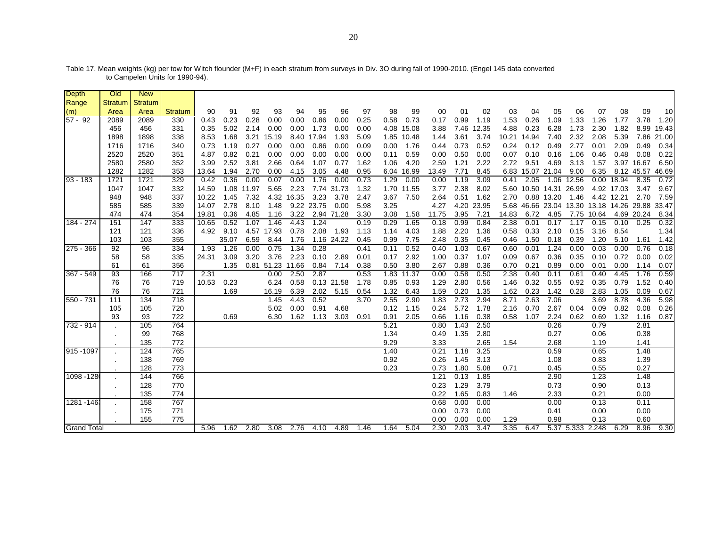| <b>Depth</b>       | Old            | <b>New</b>     |                |       |       |            |                  |            |            |            |      |      |       |       |      |            |       |             |                  |       |                                          |            |            |       |
|--------------------|----------------|----------------|----------------|-------|-------|------------|------------------|------------|------------|------------|------|------|-------|-------|------|------------|-------|-------------|------------------|-------|------------------------------------------|------------|------------|-------|
| Range              | <b>Stratum</b> | <b>Stratum</b> |                |       |       |            |                  |            |            |            |      |      |       |       |      |            |       |             |                  |       |                                          |            |            |       |
| (m)                | Area           | Area           | <b>Stratum</b> | 90    | 91    | 92         | 93               | 94         | 95         | 96         | 97   | 98   | 99    | 00    | 01   | 02         | 03    | 04          | 05               | 06    | 07                                       | 08         | 09         | 10    |
| $57 - 92$          | 2089           | 2089           | 330            | 0.43  | 0.23  | 0.28       | 0.00             | 0.00       | 0.86       | 0.00       | 0.25 | 0.58 | 0.73  | 0.17  | 0.99 | 1.19       | 1.53  | 0.26        | 1.09             | 1.33  | 1.26                                     | 1.77       | 3.78       | 1.20  |
|                    | 456            | 456            | 331            | 0.35  | 5.02  | 2.14       | 0.00             | 0.00       | 1.73       | 0.00       | 0.00 | 4.08 | 15.08 | 3.88  | 7.46 | 12.35      | 4.88  | 0.23        | 6.28             | 1.73  | 2.30                                     | 1.82       | 8.99       | 19.43 |
|                    | 1898           | 1898           | 338            | 8.53  | 1.68  | 3.21       | 15.19            |            | 8.40 17.94 | 1.93       | 5.09 | 1.85 | 10.48 | 1.44  | 3.61 | 3.74       |       | 10.21 14.94 | 7.40             | 2.32  | 2.08                                     | 5.39       | 7.86       | 21.00 |
|                    | 1716           | 1716           | 340            | 0.73  | 1.19  | 0.27       | 0.00             | 0.00       | 0.86       | 0.00       | 0.09 | 0.00 | 1.76  | 0.44  | 0.73 | 0.52       | 0.24  | 0.12        | 0.49             | 2.77  | 0.01                                     | 2.09       | 0.49       | 0.34  |
|                    | 2520           | 2520           | 351            | 4.87  | 0.82  | 0.21       | 0.00             | 0.00       | 0.00       | 0.00       | 0.00 | 0.11 | 0.59  | 0.00  | 0.50 | 0.00       | 0.07  | 0.10        | 0.16             | 1.06  | 0.46                                     | 0.48       | 0.08       | 0.22  |
|                    | 2580           | 2580           | 352            | 3.99  | 2.52  | 3.81       | 2.66             | 0.64       | 1.07       | 0.77       | 1.62 | 1.06 | 4.20  | 2.59  | 1.21 | 2.22       | 2.72  | 9.51        | 4.69             | 3.13  | 1.57                                     |            | 3.97 16.67 | 6.50  |
|                    | 1282           | 1282           | 353            | 13.64 | 1.94  | 2.70       | 0.00             | 4.15       | 3.05       | 4.48       | 0.95 | 6.04 | 16.99 | 13.49 | 7.71 | 8.45       |       |             | 6.83 15.07 21.04 | 9.00  | 6.35                                     |            | 8.12 45.57 | 46.69 |
| $93 - 183$         | 1721           | 1721           | 329            | 0.42  | 0.36  | 0.00       | 0.07             | 0.00       | 1.76       | 0.00       | 0.73 | 1.29 | 0.00  | 0.00  | 1.19 | 3.09       | 0.41  | 2.05        | 1.06             | 12.56 | 0.00                                     | 18.94      | 8.35       | 0.72  |
|                    | 1047           | 1047           | 332            | 14.59 |       | 1.08 11.97 | 5.65             | 2.23       | 7.74       | 31.73      | 1.32 | 1.70 | 11.55 | 3.77  | 2.38 | 8.02       |       |             | 5.60 10.50 14.31 | 26.99 |                                          | 4.92 17.03 | 3.47       | 9.67  |
|                    | 948            | 948            | 337            | 10.22 | 1.45  | 7.32       |                  | 4.32 16.35 | 3.23       | 3.78       | 2.47 | 3.67 | 7.50  | 2.64  | 0.51 | 1.62       | 2.70  | 0.88        | 13.20            | 1.46  |                                          | 4.42 12.21 | 2.70       | 7.59  |
|                    | 585            | 585            | 339            | 14.07 | 2.78  | 8.10       | 1.48             |            | 9.22 23.75 | 0.00       | 5.98 | 3.25 |       | 4.27  |      | 4.20 23.95 |       |             |                  |       | 5.68 46.66 23.04 13.30 13.18 14.26 29.88 |            |            | 33.47 |
|                    | 474            | 474            | 354            | 19.81 | 0.36  | 4.85       | 1.16             | 3.22       |            | 2.94 71.28 | 3.30 | 3.08 | 1.58  | 11.75 | 3.95 | 7.21       | 14.83 | 6.72        | 4.85             | 7.75  | 10.64                                    |            | 4.69 20.24 | 8.34  |
| 184 - 274          | 151            | 147            | 333            | 10.65 | 0.52  | 1.07       | 1.46             | 4.43       | 1.24       |            | 0.19 | 0.29 | 1.65  | 0.18  | 0.99 | 0.84       | 2.38  | 0.01        | 0.17             | 1.17  | 0.15                                     | 0.10       | 0.25       | 0.32  |
|                    | 121            | 121            | 336            | 4.92  | 9.10  |            | 4.57 17.93       | 0.78       | 2.08       | 1.93       | 1.13 | 1.14 | 4.03  | 1.88  | 2.20 | 1.36       | 0.58  | 0.33        | 2.10             | 0.15  | 3.16                                     | 8.54       |            | 1.34  |
|                    | 103            | 103            | 355            |       | 35.07 | 6.59       | 8.44             | 1.76       |            | 1.16 24.22 | 0.45 | 0.99 | 7.75  | 2.48  | 0.35 | 0.45       | 0.46  | 1.50        | 0.18             | 0.39  | 1.20                                     | 5.10       | 1.61       | 1.42  |
| 275 - 366          | 92             | 96             | 334            | 1.93  | 1.26  | 0.00       | 0.75             | 1.34       | 0.28       |            | 0.41 | 0.11 | 0.52  | 0.40  | 1.03 | 0.67       | 0.60  | 0.01        | 1.24             | 0.00  | 0.03                                     | 0.00       | 0.76       | 0.18  |
|                    | 58             | 58             | 335            | 24.31 | 3.09  | 3.20       | 3.76             | 2.23       | 0.10       | 2.89       | 0.01 | 0.17 | 2.92  | 1.00  | 0.37 | 1.07       | 0.09  | 0.67        | 0.36             | 0.35  | 0.10                                     | 0.72       | 0.00       | 0.02  |
|                    | 61             | 61             | 356            |       | 1.35  |            | 0.81 51.23 11.66 |            | 0.84       | 7.14       | 0.38 | 0.50 | 3.80  | 2.67  | 0.88 | 0.36       | 0.70  | 0.21        | 0.89             | 0.00  | 0.01                                     | 0.00       | 1.14       | 0.07  |
| $367 - 549$        | 93             | 166            | 717            | 2.31  |       |            | 0.00             | 2.50       | 2.87       |            | 0.53 | 1.83 | 11.37 | 0.00  | 0.58 | 0.50       | 2.38  | 0.40        | 0.11             | 0.61  | 0.40                                     | 4.45       | 1.76       | 0.59  |
|                    | 76             | 76             | 719            | 10.53 | 0.23  |            | 6.24             | 0.58       |            | 0.13 21.58 | 1.78 | 0.85 | 0.93  | 1.29  | 2.80 | 0.56       | 1.46  | 0.32        | 0.55             | 0.92  | 0.35                                     | 0.79       | 1.52       | 0.40  |
|                    | 76             | 76             | 721            |       | 1.69  |            | 16.19            | 6.39       | 2.02       | 5.15       | 0.54 | 1.32 | 6.43  | 1.59  | 0.20 | 1.35       | 1.62  | 0.23        | 1.42             | 0.28  | 2.83                                     | 1.05       | 0.09       | 0.67  |
| $550 - 731$        | 111            | 134            | 718            |       |       |            | 1.45             | 4.43       | 0.52       |            | 3.70 | 2.55 | 2.90  | 1.83  | 2.73 | 2.94       | 8.71  | 2.63        | 7.06             |       | 3.69                                     | 8.78       | 4.36       | 5.98  |
|                    | 105            | 105            | 720            |       |       |            | 5.02             | 0.00       | 0.91       | 4.68       |      | 0.12 | 1.15  | 0.24  | 5.72 | 1.78       | 2.16  | 0.70        | 2.67             | 0.04  | 0.09                                     | 0.82       | 0.08       | 0.26  |
|                    | 93             | 93             | 722            |       | 0.69  |            | 6.30             | 1.62       | 1.13       | 3.03       | 0.91 | 0.91 | 2.05  | 0.66  | 1.16 | 0.38       | 0.58  | 1.07        | 2.24             | 0.62  | 0.69                                     | 1.32       | 1.16       | 0.87  |
| $732 - 914$        |                | 105            | 764            |       |       |            |                  |            |            |            |      | 5.21 |       | 0.80  | 1.43 | 2.50       |       |             | 0.26             |       | 0.79                                     |            | 2.81       |       |
|                    |                | 99             | 768            |       |       |            |                  |            |            |            |      | 1.34 |       | 0.49  | 1.35 | 2.80       |       |             | 0.27             |       | 0.06                                     |            | 0.38       |       |
|                    |                | 135            | 772            |       |       |            |                  |            |            |            |      | 9.29 |       | 3.33  |      | 2.65       | 1.54  |             | 2.68             |       | 1.19                                     |            | 1.41       |       |
| $915 - 1097$       |                | 124            | 765            |       |       |            |                  |            |            |            |      | 1.40 |       | 0.21  | 1.18 | 3.25       |       |             | 0.59             |       | 0.65                                     |            | 1.48       |       |
|                    | $\cdot$        | 138            | 769            |       |       |            |                  |            |            |            |      | 0.92 |       | 0.26  | 1.45 | 3.13       |       |             | 1.08             |       | 0.83                                     |            | 1.39       |       |
|                    |                | 128            | 773            |       |       |            |                  |            |            |            |      | 0.23 |       | 0.73  | 1.80 | 5.08       | 0.71  |             | 0.45             |       | 0.55                                     |            | 0.27       |       |
| $1098 - 128$       |                | 144            | 766            |       |       |            |                  |            |            |            |      |      |       | 1.21  | 0.13 | 1.85       |       |             | 2.90             |       | 1.23                                     |            | 1.48       |       |
|                    | $\cdot$        | 128            | 770            |       |       |            |                  |            |            |            |      |      |       | 0.23  | 1.29 | 3.79       |       |             | 0.73             |       | 0.90                                     |            | 0.13       |       |
|                    |                | 135            | 774            |       |       |            |                  |            |            |            |      |      |       | 0.22  | 1.65 | 0.83       | 1.46  |             | 2.33             |       | 0.21                                     |            | 0.00       |       |
| 1281 - 146         |                | 158            | 767            |       |       |            |                  |            |            |            |      |      |       | 0.68  | 0.00 | 0.00       |       |             | 0.00             |       | 0.13                                     |            | 0.11       |       |
|                    | $\blacksquare$ | 175            | 771            |       |       |            |                  |            |            |            |      |      |       | 0.00  | 0.73 | 0.00       |       |             | 0.41             |       | 0.00                                     |            | 0.00       |       |
|                    |                | 155            | 775            |       |       |            |                  |            |            |            |      |      |       | 0.00  | 0.00 | 0.00       | 1.29  |             | 0.98             |       | 0.13                                     |            | 0.60       |       |
| <b>Grand Total</b> |                |                |                | 5.96  | 1.62  | 2.80       | 3.08             | 2.76       | 4.10       | 4.89       | 1.46 | 1.64 | 5.04  | 2.30  | 2.03 | 3.47       | 3.35  | 6.47        |                  |       | 5.37 5.333 2.248                         | 6.29       | 8.96       | 9.30  |

Table 17. Mean weights (kg) per tow for Witch flounder (M+F) in each stratum from surveys in Div. 3O during fall of 1990-2010. (Engel 145 data converted to Campelen Units for 1990-94).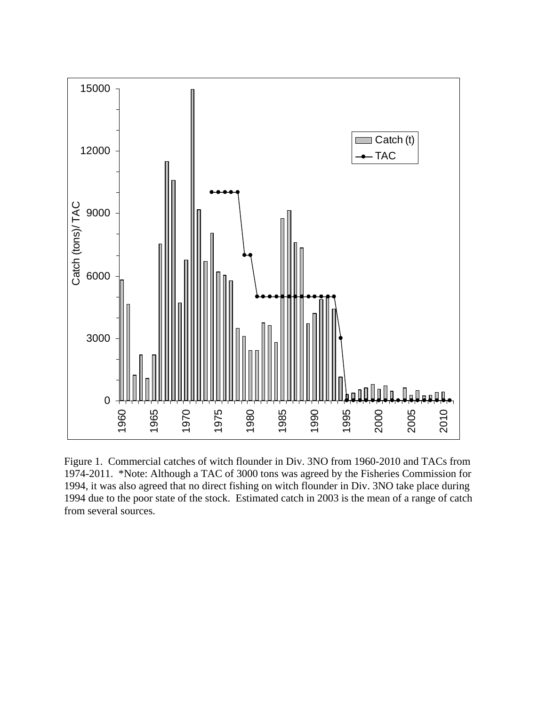

Figure 1. Commercial catches of witch flounder in Div. 3NO from 1960-2010 and TACs from 1974-2011. \*Note: Although a TAC of 3000 tons was agreed by the Fisheries Commission for 1994, it was also agreed that no direct fishing on witch flounder in Div. 3NO take place during 1994 due to the poor state of the stock. Estimated catch in 2003 is the mean of a range of catch from several sources.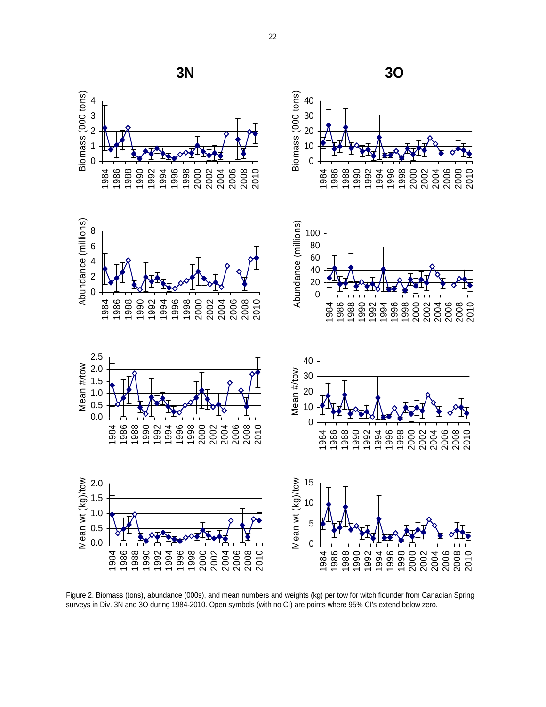

Figure 2. Biomass (tons), abundance (000s), and mean numbers and weights (kg) per tow for witch flounder from Canadian Spring surveys in Div. 3N and 3O during 1984-2010. Open symbols (with no CI) are points where 95% CI's extend below zero.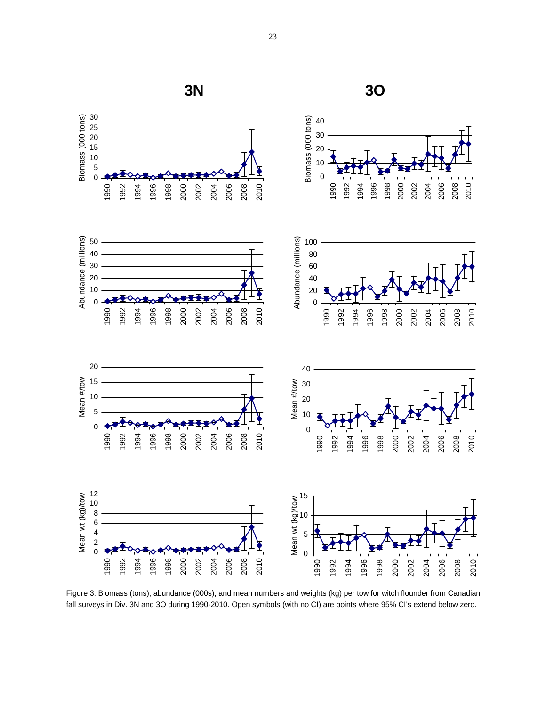

Figure 3. Biomass (tons), abundance (000s), and mean numbers and weights (kg) per tow for witch flounder from Canadian fall surveys in Div. 3N and 3O during 1990-2010. Open symbols (with no CI) are points where 95% CI's extend below zero.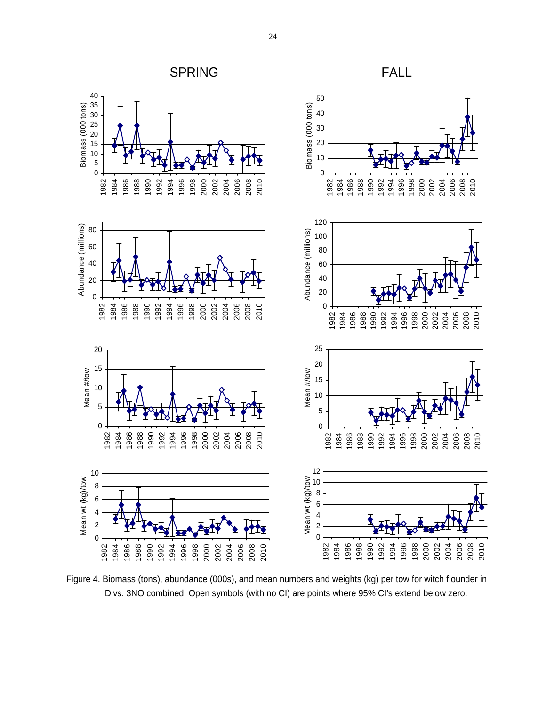

Figure 4. Biomass (tons), abundance (000s), and mean numbers and weights (kg) per tow for witch flounder in Divs. 3NO combined. Open symbols (with no CI) are points where 95% CI's extend below zero.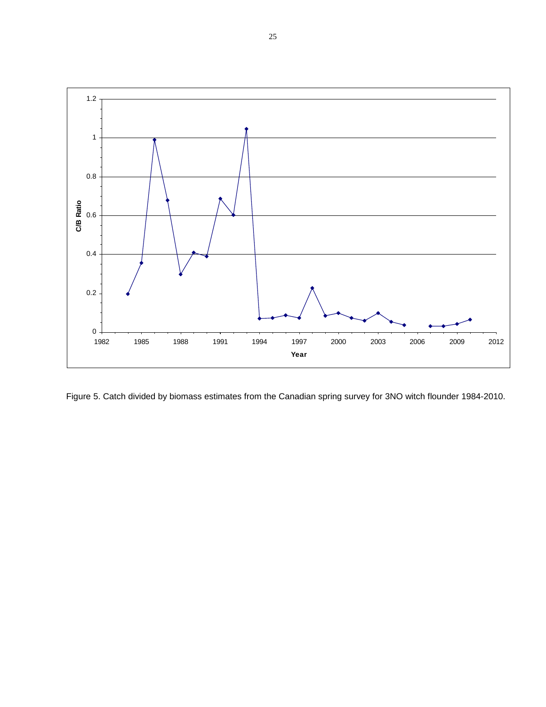

Figure 5. Catch divided by biomass estimates from the Canadian spring survey for 3NO witch flounder 1984-2010.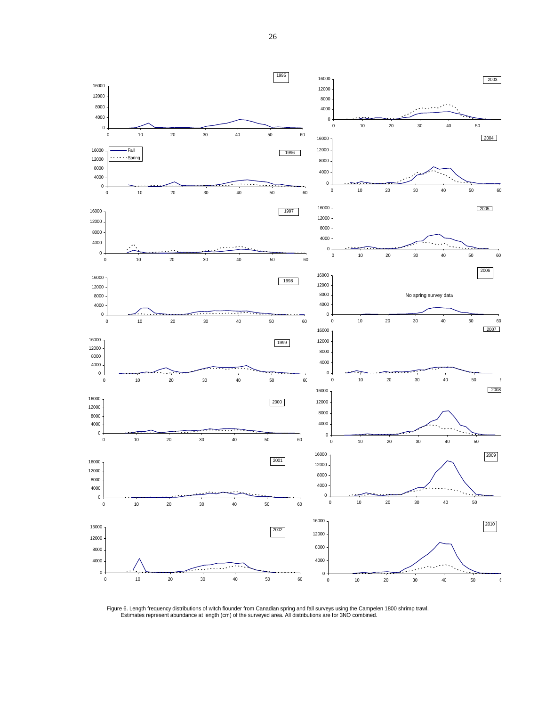

Figure 6. Length frequency distributions of witch flounder from Canadian spring and fall surveys using the Campelen 1800 shrimp trawl.<br>Estimates represent abundance at length (cm) of the surveyed area. All distributions ar